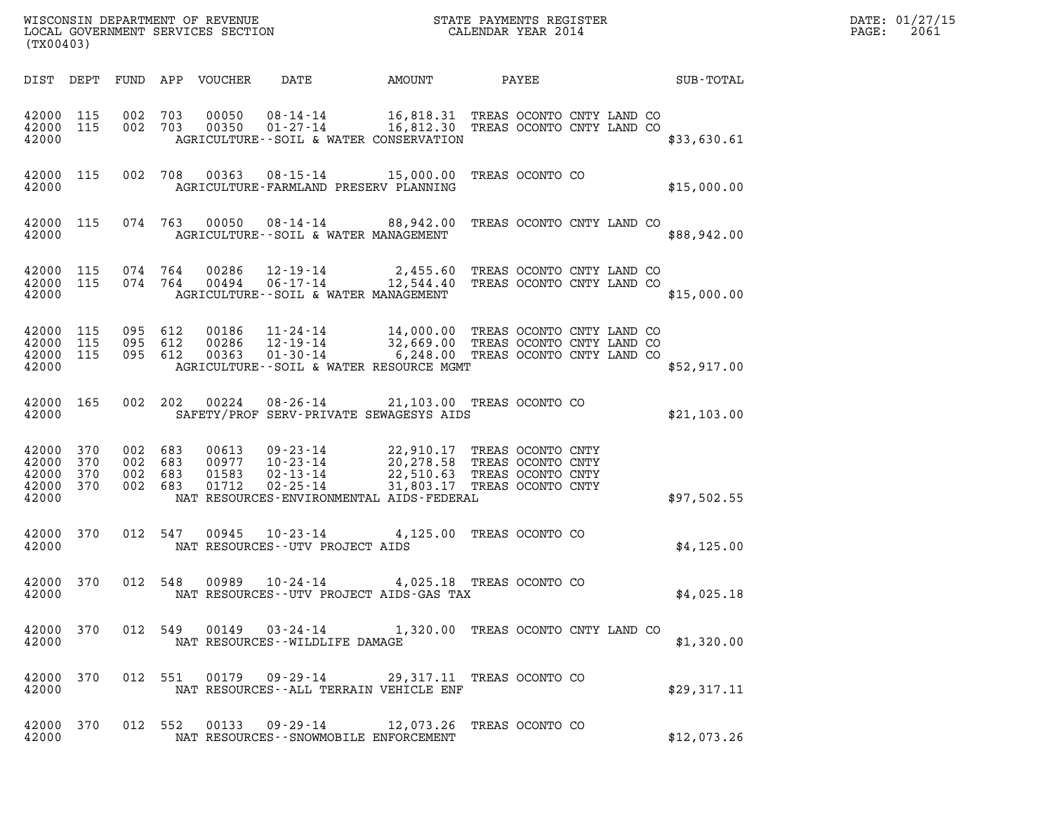| WISCONSIN DEPARTMENT OF REVENUE<br>LOCAL GOVERNMENT SERVICES SECTION<br>(TX00403) | STATE PAYMENTS REGISTER<br>CALENDAR YEAR 2014 | DATE: 01/27/15<br>2061<br>PAGE: |
|-----------------------------------------------------------------------------------|-----------------------------------------------|---------------------------------|

| (TX00403)                                 |                          |                          |                          |                                             |                                                                      |                |                                                                                                         |                                                                                  |  |             |
|-------------------------------------------|--------------------------|--------------------------|--------------------------|---------------------------------------------|----------------------------------------------------------------------|----------------|---------------------------------------------------------------------------------------------------------|----------------------------------------------------------------------------------|--|-------------|
| DIST                                      | DEPT                     | FUND                     | APP                      | VOUCHER                                     | DATE                                                                 |                | AMOUNT                                                                                                  | PAYEE                                                                            |  | SUB-TOTAL   |
| 42000<br>42000<br>42000                   | 115<br>115               | 002<br>002               | 703<br>703               | 00050<br>00350                              | $08 - 14 - 14$<br>$01 - 27 - 14$                                     |                | 16,818.31<br>16,812.30<br>AGRICULTURE--SOIL & WATER CONSERVATION                                        | TREAS OCONTO CNTY LAND CO<br>TREAS OCONTO CNTY LAND CO                           |  | \$33,630.61 |
| 42000<br>42000                            | 115                      | 002                      | 708                      | 00363                                       | $08 - 15 - 14$                                                       |                | 15,000.00<br>AGRICULTURE-FARMLAND PRESERV PLANNING                                                      | TREAS OCONTO CO                                                                  |  | \$15,000.00 |
| 42000<br>42000                            | 115                      | 074                      | 763                      | 00050                                       | 08-14-14                                                             |                | 88,942.00<br>AGRICULTURE--SOIL & WATER MANAGEMENT                                                       | TREAS OCONTO CNTY LAND CO                                                        |  | \$88,942.00 |
| 42000<br>42000<br>42000                   | 115<br>115               | 074<br>074               | 764<br>764               | 00286<br>00494                              | $12 - 19 - 14$<br>$06 - 17 - 14$                                     |                | 2,455.60<br>12,544.40<br>AGRICULTURE--SOIL & WATER MANAGEMENT                                           | TREAS OCONTO CNTY LAND CO<br>TREAS OCONTO CNTY LAND CO                           |  | \$15,000.00 |
| 42000<br>42000<br>42000<br>42000          | 115<br>115<br>115        | 095<br>095<br>095        | 612<br>612<br>612        | 00186<br>00286<br>00363                     | $11 - 24 - 14$<br>$12 - 19 - 14$<br>$01 - 30 - 14$                   |                | 14,000.00<br>32,669.00 TREAS OCONTO CNTY LAND CO<br>6,248.00<br>AGRICULTURE--SOIL & WATER RESOURCE MGMT | TREAS OCONTO CNTY LAND CO<br>TREAS OCONTO CNTY LAND CO                           |  | \$52,917.00 |
| 42000<br>42000                            | 165                      | 002                      | 202                      | 00224                                       | $08 - 26 - 14$                                                       |                | 21,103.00 TREAS OCONTO CO<br>SAFETY/PROF SERV-PRIVATE SEWAGESYS AIDS                                    |                                                                                  |  | \$21,103.00 |
| 42000<br>42000<br>42000<br>42000<br>42000 | 370<br>370<br>370<br>370 | 002<br>002<br>002<br>002 | 683<br>683<br>683<br>683 | 00613<br>00977<br>01583<br>01712            | $09 - 23 - 14$<br>$10 - 23 - 14$<br>$02 - 13 - 14$<br>$02 - 25 - 14$ |                | 22,910.17<br>20,278.58<br>22,510.63<br>31,803.17<br>NAT RESOURCES-ENVIRONMENTAL AIDS-FEDERAL            | TREAS OCONTO CNTY<br>TREAS OCONTO CNTY<br>TREAS OCONTO CNTY<br>TREAS OCONTO CNTY |  | \$97,502.55 |
| 42000<br>42000                            | 370                      | 012                      | 547                      | 00945<br>NAT RESOURCES - - UTV PROJECT AIDS | $10 - 23 - 14$                                                       |                | 4,125.00                                                                                                | TREAS OCONTO CO                                                                  |  | \$4,125.00  |
| 42000<br>42000                            | 370                      | 012                      | 548                      | 00989                                       | $10 - 24 - 14$                                                       |                | 4,025.18 TREAS OCONTO CO<br>NAT RESOURCES - - UTV PROJECT AIDS - GAS TAX                                |                                                                                  |  | \$4,025.18  |
| 42000<br>42000                            | 370                      | 012                      | 549                      | 00149<br>NAT RESOURCES - - WILDLIFE DAMAGE  | $03 - 24 - 14$                                                       |                | 1,320.00                                                                                                | TREAS OCONTO CNTY LAND CO                                                        |  | \$1,320.00  |
| 42000<br>42000                            | 370                      | 012                      | 551                      | 00179                                       |                                                                      | $09 - 29 - 14$ | 29,317.11 TREAS OCONTO CO<br>NAT RESOURCES--ALL TERRAIN VEHICLE ENF                                     |                                                                                  |  | \$29,317.11 |
| 42000<br>42000                            | 370                      | 012                      | 552                      | 00133                                       | $09 - 29 - 14$                                                       |                | 12,073.26<br>NAT RESOURCES - - SNOWMOBILE ENFORCEMENT                                                   | TREAS OCONTO CO                                                                  |  | \$12,073.26 |

(TX00403)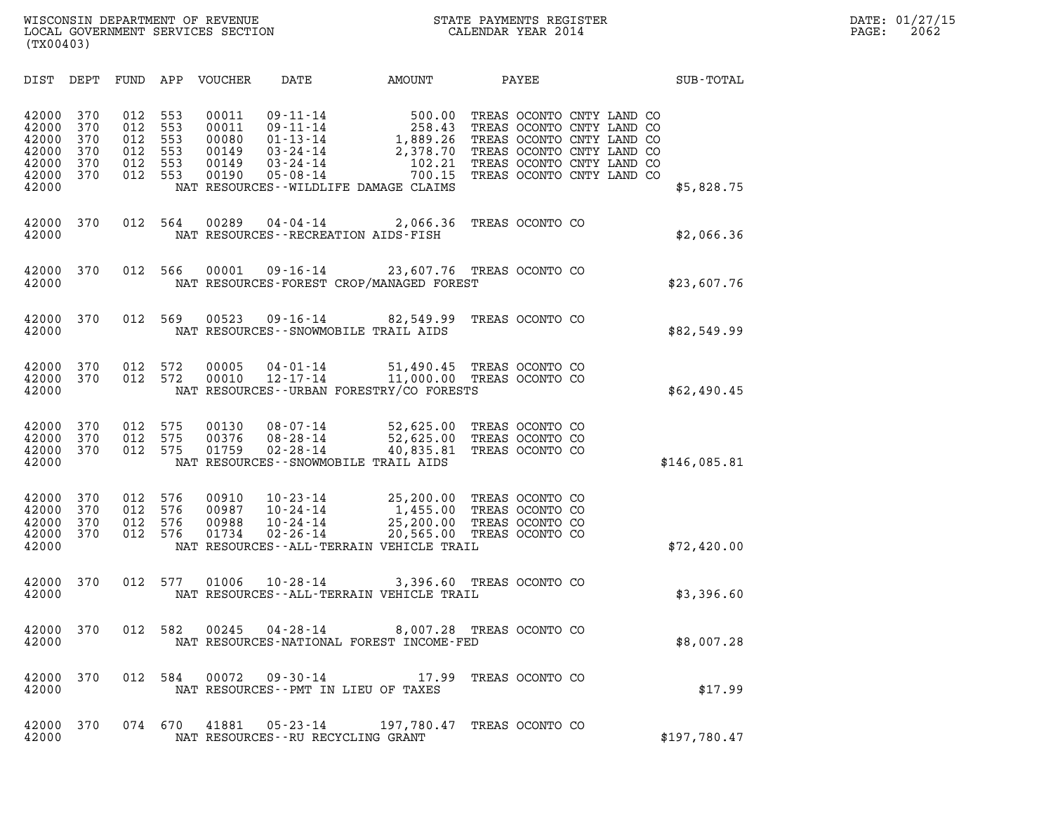| (TX00403)                                                   |                                        |                                        |                                        |                                                    |                                                                                              |                                                                                                                                                                |                 |                                                                                                                                                                                   |              |
|-------------------------------------------------------------|----------------------------------------|----------------------------------------|----------------------------------------|----------------------------------------------------|----------------------------------------------------------------------------------------------|----------------------------------------------------------------------------------------------------------------------------------------------------------------|-----------------|-----------------------------------------------------------------------------------------------------------------------------------------------------------------------------------|--------------|
| DIST                                                        | DEPT                                   | FUND APP                               |                                        | VOUCHER                                            | DATE                                                                                         | AMOUNT                                                                                                                                                         |                 | PAYEE                                                                                                                                                                             | SUB-TOTAL    |
| 42000<br>42000<br>42000<br>42000<br>42000<br>42000<br>42000 | 370<br>370<br>370<br>370<br>370<br>370 | 012<br>012<br>012<br>012<br>012<br>012 | 553<br>553<br>553<br>553<br>553<br>553 | 00011<br>00011<br>00080<br>00149<br>00149<br>00190 | $09 - 11 - 14$<br>$09 - 11 - 14$<br>$01 - 13 - 14$<br>03-24-14<br>03-24-14<br>$05 - 08 - 14$ | 500.00<br>258.43<br>$1,889.26$<br>2.378.70<br>2,378.70<br>102.21<br>NAT RESOURCES - - WILDLIFE DAMAGE CLAIMS                                                   |                 | TREAS OCONTO CNTY LAND CO<br>TREAS OCONTO CNTY LAND CO<br>TREAS OCONTO CNTY LAND CO<br>TREAS OCONTO CNTY LAND CO<br>TREAS OCONTO CNTY LAND CO<br>700.15 TREAS OCONTO CNTY LAND CO | \$5,828.75   |
| 42000<br>42000                                              | 370                                    | 012                                    | 564                                    | 00289                                              | $04 - 04 - 14$                                                                               | 2,066.36<br>NAT RESOURCES - - RECREATION AIDS - FISH                                                                                                           | TREAS OCONTO CO |                                                                                                                                                                                   | \$2,066.36   |
| 42000<br>42000                                              | 370                                    | 012                                    | 566                                    | 00001                                              |                                                                                              | 09-16-14 23,607.76 TREAS OCONTO CO<br>NAT RESOURCES-FOREST CROP/MANAGED FOREST                                                                                 |                 |                                                                                                                                                                                   | \$23,607.76  |
| 42000<br>42000                                              | 370                                    | 012                                    | 569                                    | 00523                                              | 09-16-14                                                                                     | 82,549.99<br>NAT RESOURCES - - SNOWMOBILE TRAIL AIDS                                                                                                           | TREAS OCONTO CO |                                                                                                                                                                                   | \$82,549.99  |
| 42000<br>42000<br>42000                                     | 370<br>370                             | 012<br>012                             | 572<br>572                             | 00005<br>00010                                     | 04-01-14                                                                                     | 51,490.45 TREAS OCONTO CO<br>12-17-14 11,000.00 TREAS OCONTO CO<br>NAT RESOURCES - - URBAN FORESTRY/CO FORESTS                                                 |                 |                                                                                                                                                                                   | \$62,490.45  |
| 42000<br>42000<br>42000<br>42000                            | 370<br>370<br>370                      | 012<br>012<br>012                      | 575<br>575<br>575                      | 00130<br>00376<br>01759                            | 08-07-14<br>08-28-14<br>$02 - 28 - 14$                                                       | 52,625.00 TREAS OCONTO CO<br>52,625.00 TREAS OCONTO CO<br>40,835.81<br>NAT RESOURCES - - SNOWMOBILE TRAIL AIDS                                                 | TREAS OCONTO CO |                                                                                                                                                                                   | \$146,085.81 |
| 42000<br>42000<br>42000<br>42000<br>42000                   | 370<br>370<br>370<br>370               | 012<br>012<br>012<br>012               | 576<br>576<br>576<br>576               | 00910<br>00987<br>00988<br>01734                   | $10 - 23 - 14$<br>10-24-14<br>10-24-14<br>$02 - 26 - 14$                                     | 25,200.00 TREAS OCONTO CO<br>1,455.00 TREAS OCONTO CO<br>25,200.00 TREAS OCONTO CO<br>20,565.00 TREAS OCONTO CO<br>NAT RESOURCES - - ALL-TERRAIN VEHICLE TRAIL |                 |                                                                                                                                                                                   | \$72,420.00  |
| 42000<br>42000                                              | 370                                    | 012                                    | 577                                    | 01006                                              | $10 - 28 - 14$                                                                               | 3,396.60 TREAS OCONTO CO<br>NAT RESOURCES - - ALL - TERRAIN VEHICLE TRAIL                                                                                      |                 |                                                                                                                                                                                   | \$3,396.60   |
| 42000<br>42000                                              | 370                                    | 012 582                                |                                        | 00245                                              | $04 - 28 - 14$                                                                               | 8,007.28<br>NAT RESOURCES-NATIONAL FOREST INCOME-FED                                                                                                           | TREAS OCONTO CO |                                                                                                                                                                                   | \$8,007.28   |
| 42000<br>42000                                              | 370                                    |                                        |                                        |                                                    |                                                                                              | 012 584 00072 09-30-14 17.99 TREAS OCONTO CO<br>NAT RESOURCES - PMT IN LIEU OF TAXES                                                                           |                 |                                                                                                                                                                                   | \$17.99      |
| 42000<br>42000                                              | 370                                    |                                        |                                        |                                                    | NAT RESOURCES - - RU RECYCLING GRANT                                                         | 074 670 41881 05-23-14 197,780.47 TREAS OCONTO CO                                                                                                              |                 |                                                                                                                                                                                   | \$197,780.47 |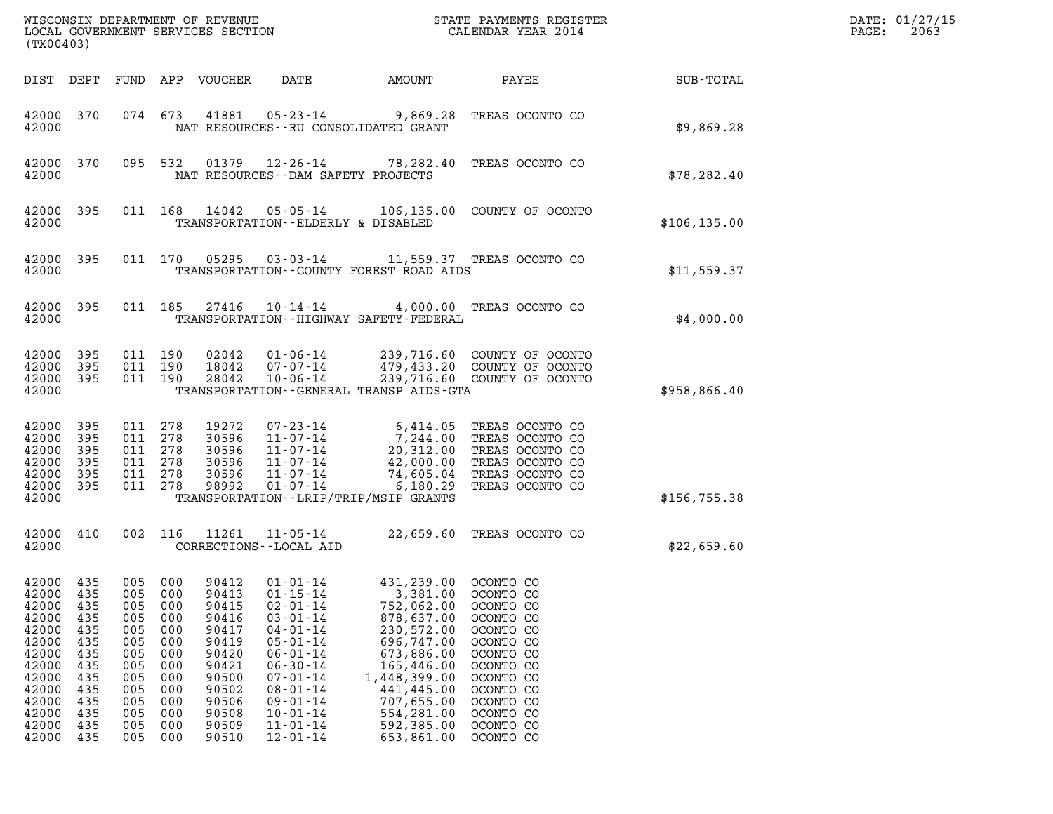| (TX00403)                                                                                                                  |                                                                                                |                                                                                                |                                                                                                |                                                                                                                            |                                                                                                                                                                                                                                                          |                                                                                                                                                                                                  |                                                                                                                                                                                    |               | DATE: 01/27/15<br>2063<br>PAGE: |
|----------------------------------------------------------------------------------------------------------------------------|------------------------------------------------------------------------------------------------|------------------------------------------------------------------------------------------------|------------------------------------------------------------------------------------------------|----------------------------------------------------------------------------------------------------------------------------|----------------------------------------------------------------------------------------------------------------------------------------------------------------------------------------------------------------------------------------------------------|--------------------------------------------------------------------------------------------------------------------------------------------------------------------------------------------------|------------------------------------------------------------------------------------------------------------------------------------------------------------------------------------|---------------|---------------------------------|
| DIST DEPT                                                                                                                  |                                                                                                |                                                                                                |                                                                                                | FUND APP VOUCHER                                                                                                           | DATE                                                                                                                                                                                                                                                     | AMOUNT                                                                                                                                                                                           | PAYEE                                                                                                                                                                              | SUB-TOTAL     |                                 |
| 42000 370<br>42000                                                                                                         |                                                                                                |                                                                                                | 074 673                                                                                        | 41881                                                                                                                      |                                                                                                                                                                                                                                                          | NAT RESOURCES - - RU CONSOLIDATED GRANT                                                                                                                                                          | 05-23-14 9,869.28 TREAS OCONTO CO                                                                                                                                                  | \$9,869.28    |                                 |
| 42000 370<br>42000                                                                                                         |                                                                                                |                                                                                                |                                                                                                |                                                                                                                            | NAT RESOURCES - - DAM SAFETY PROJECTS                                                                                                                                                                                                                    |                                                                                                                                                                                                  | 095 532 01379 12-26-14 78,282.40 TREAS OCONTO CO                                                                                                                                   | \$78, 282.40  |                                 |
| 42000 395<br>42000                                                                                                         |                                                                                                |                                                                                                |                                                                                                | 011 168 14042                                                                                                              | $05 - 05 - 14$<br>TRANSPORTATION--ELDERLY & DISABLED                                                                                                                                                                                                     |                                                                                                                                                                                                  | 106,135.00 COUNTY OF OCONTO                                                                                                                                                        | \$106, 135.00 |                                 |
| 42000 395<br>42000                                                                                                         |                                                                                                |                                                                                                |                                                                                                | 011 170 05295                                                                                                              |                                                                                                                                                                                                                                                          | TRANSPORTATION--COUNTY FOREST ROAD AIDS                                                                                                                                                          | 03-03-14 11,559.37 TREAS OCONTO CO                                                                                                                                                 | \$11,559.37   |                                 |
| 42000 395<br>42000                                                                                                         |                                                                                                |                                                                                                | 011 185                                                                                        |                                                                                                                            | 27416 10-14-14                                                                                                                                                                                                                                           | TRANSPORTATION - - HIGHWAY SAFETY - FEDERAL                                                                                                                                                      | 4,000.00 TREAS OCONTO CO                                                                                                                                                           | \$4,000.00    |                                 |
| 42000<br>42000<br>42000 395<br>42000                                                                                       | 395<br>395                                                                                     | 011 190<br>011 190                                                                             | 011 190                                                                                        | 02042<br>18042<br>28042                                                                                                    | $01 - 06 - 14$<br>07-07-14<br>$10 - 06 - 14$                                                                                                                                                                                                             | TRANSPORTATION--GENERAL TRANSP AIDS-GTA                                                                                                                                                          | 239,716.60 COUNTY OF OCONTO<br>479,433.20 COUNTY OF OCONTO<br>239,716.60 COUNTY OF OCONTO                                                                                          | \$958,866.40  |                                 |
| 42000 395<br>42000<br>42000<br>42000<br>42000<br>42000 395<br>42000                                                        | 395<br>395<br>395<br>395                                                                       | 011 278<br>011<br>011 278<br>011<br>011<br>011 278                                             | 278<br>278<br>278                                                                              | 19272<br>30596<br>30596<br>30596<br>30596<br>98992                                                                         | 07-23-14<br>11-07-14<br>$11 - 07 - 14$<br>11-07-14<br>$11 - 07 - 14$<br>$01 - 07 - 14$                                                                                                                                                                   | 6,180.29<br>TRANSPORTATION - - LRIP/TRIP/MSIP GRANTS                                                                                                                                             | 6,414.05 TREAS OCONTO CO<br>7,244.00 TREAS OCONTO CO<br>20,312.00 TREAS OCONTO CO<br>42,000.00 TREAS OCONTO CO<br>74,605.04 TREAS OCONTO CO<br>TREAS OCONTO CO                     | \$156,755.38  |                                 |
| 42000<br>42000                                                                                                             | 410                                                                                            | 002 116                                                                                        |                                                                                                | 11261                                                                                                                      | CORRECTIONS - - LOCAL AID                                                                                                                                                                                                                                |                                                                                                                                                                                                  | 11-05-14 22,659.60 TREAS OCONTO CO                                                                                                                                                 | \$22,659.60   |                                 |
| 42000<br>42000<br>42000<br>42000<br>42000<br>42000<br>42000<br>42000<br>42000<br>42000<br>42000<br>42000<br>42000<br>42000 | 435<br>435<br>435<br>435<br>435<br>435<br>435<br>435<br>435<br>435<br>435<br>435<br>435<br>435 | 005<br>005<br>005<br>005<br>005<br>005<br>005<br>005<br>005<br>005<br>005<br>005<br>005<br>005 | 000<br>000<br>000<br>000<br>000<br>000<br>000<br>000<br>000<br>000<br>000<br>000<br>000<br>000 | 90412<br>90413<br>90415<br>90416<br>90417<br>90419<br>90420<br>90421<br>90500<br>90502<br>90506<br>90508<br>90509<br>90510 | $01 - 01 - 14$<br>$01 - 15 - 14$<br>$02 - 01 - 14$<br>$03 - 01 - 14$<br>$04 - 01 - 14$<br>$05 - 01 - 14$<br>$06 - 01 - 14$<br>$06 - 30 - 14$<br>$07 - 01 - 14$<br>$08 - 01 - 14$<br>$09 - 01 - 14$<br>$10 - 01 - 14$<br>$11 - 01 - 14$<br>$12 - 01 - 14$ | 431,239.00<br>3,381.00<br>752,062.00<br>878,637.00<br>230,572.00<br>696,747.00<br>673,886.00<br>165,446.00<br>1,448,399.00<br>441,445.00<br>707,655.00<br>554,281.00<br>592,385.00<br>653,861.00 | OCONTO CO<br>OCONTO CO<br>OCONTO CO<br>OCONTO CO<br>OCONTO CO<br>OCONTO CO<br>OCONTO CO<br>OCONTO CO<br>OCONTO CO<br>OCONTO CO<br>OCONTO CO<br>OCONTO CO<br>OCONTO CO<br>OCONTO CO |               |                                 |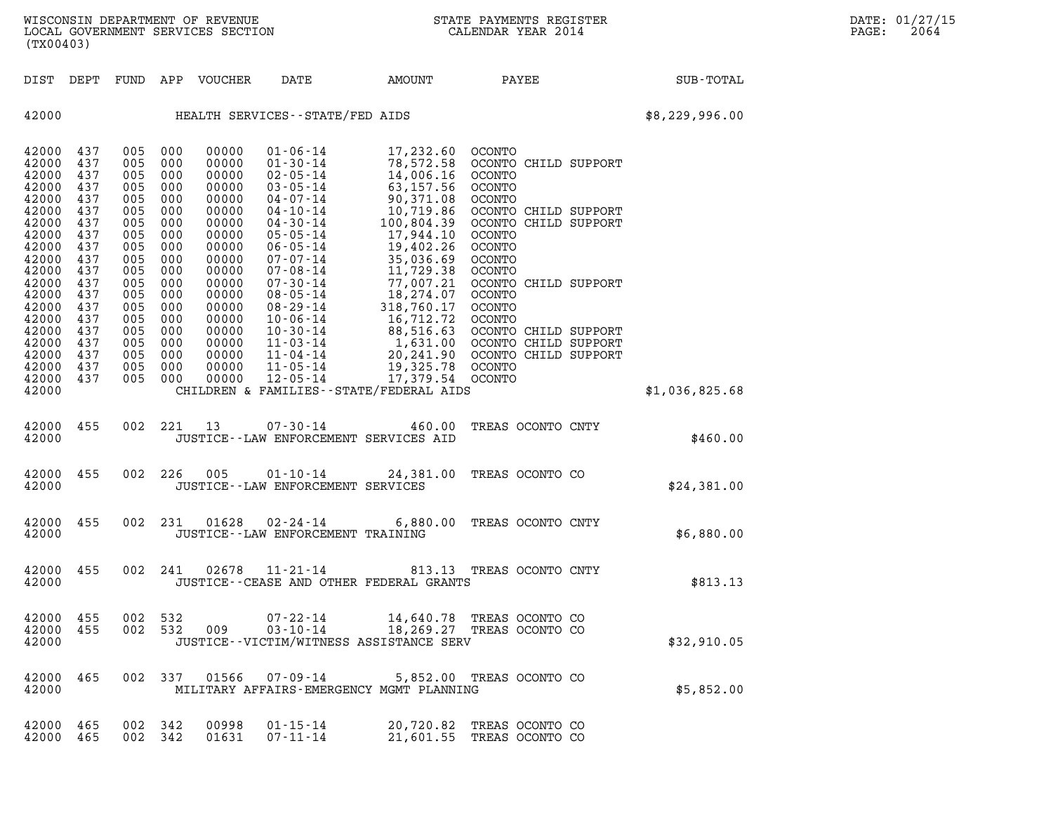| DIST DEPT FUND APP VOUCHER<br>437<br>005<br>000<br>437<br>005<br>000<br>005<br>000<br>437<br>437<br>005<br>000<br>437<br>005<br>000<br>437<br>005<br>000<br>437<br>005<br>000<br>437<br>005<br>000<br>437<br>005<br>000<br>437<br>005<br>000<br>437<br>005<br>000<br>437<br>005<br>000<br>437<br>005<br>000<br>437<br>005<br>000<br>437<br>005<br>000<br>437<br>005<br>000<br>437<br>005<br>000<br>437<br>005<br>000<br>005<br>000<br>437<br>437<br>005 000<br>455<br>455<br>455 | DATE<br>HEALTH SERVICES--STATE/FED AIDS<br>00000<br>$01 - 06 - 14$<br>00000<br>01-30-14<br>00000<br>02-05-14<br>00000<br>03-05-14<br>00000<br>04-07-14<br>00000<br>04-10-14<br>00000<br>04-30-14<br>00000<br>05-05-14<br>00000<br>$06 - 05 - 14$<br>00000<br>07-07-14<br>00000<br>07-08-14<br>00000<br>07-30-14<br>00000<br>08-05-14<br>00000<br>08-29-14<br>00000<br>$10 - 06 - 14$<br>00000<br>10-30-14<br>00000<br>11-03-14<br>00000<br>11-04-14 | AMOUNT<br>17,232.60 OCONTO<br>78,572.58<br>14,006.16<br>63,157.56<br>90,371.08<br>10,719.86<br>100,804.39<br>17,944.10<br>19,402.26<br>35,036.69<br>11,729.38<br>77,007.21<br>18,274.07<br>318,760.17<br>16, 712, 72<br>88,516.63<br>1,631.00<br>20,241.90 | <b>PAYEE</b><br>OCONTO CHILD SUPPORT<br>OCONTO<br>OCONTO<br>OCONTO<br>OCONTO CHILD SUPPORT<br>OCONTO CHILD SUPPORT<br>OCONTO<br>OCONTO<br>OCONTO<br>OCONTO<br>OCONTO CHILD SUPPORT<br>OCONTO<br>OCONTO<br>OCONTO<br>OCONTO CHILD SUPPORT<br>OCONTO CHILD SUPPORT | SUB-TOTAL<br>\$8,229,996.00 |  |
|----------------------------------------------------------------------------------------------------------------------------------------------------------------------------------------------------------------------------------------------------------------------------------------------------------------------------------------------------------------------------------------------------------------------------------------------------------------------------------|-----------------------------------------------------------------------------------------------------------------------------------------------------------------------------------------------------------------------------------------------------------------------------------------------------------------------------------------------------------------------------------------------------------------------------------------------------|------------------------------------------------------------------------------------------------------------------------------------------------------------------------------------------------------------------------------------------------------------|------------------------------------------------------------------------------------------------------------------------------------------------------------------------------------------------------------------------------------------------------------------|-----------------------------|--|
| 42000<br>42000<br>42000<br>42000<br>42000<br>42000<br>42000<br>42000<br>42000<br>42000<br>42000<br>42000<br>42000<br>42000<br>42000<br>42000<br>42000<br>42000<br>42000<br>42000<br>42000<br>42000<br>42000<br>42000<br>42000<br>42000<br>42000                                                                                                                                                                                                                                  |                                                                                                                                                                                                                                                                                                                                                                                                                                                     |                                                                                                                                                                                                                                                            |                                                                                                                                                                                                                                                                  |                             |  |
|                                                                                                                                                                                                                                                                                                                                                                                                                                                                                  |                                                                                                                                                                                                                                                                                                                                                                                                                                                     |                                                                                                                                                                                                                                                            |                                                                                                                                                                                                                                                                  |                             |  |
|                                                                                                                                                                                                                                                                                                                                                                                                                                                                                  | 00000<br>11-05-14<br>00000<br>12-05-14                                                                                                                                                                                                                                                                                                                                                                                                              | 19,325.78<br>17,379.54                                                                                                                                                                                                                                     | OCONTO CHILD SUPPORT<br>OCONTO<br>OCONTO                                                                                                                                                                                                                         |                             |  |
|                                                                                                                                                                                                                                                                                                                                                                                                                                                                                  | CHILDREN & FAMILIES - - STATE/FEDERAL AIDS                                                                                                                                                                                                                                                                                                                                                                                                          |                                                                                                                                                                                                                                                            |                                                                                                                                                                                                                                                                  | \$1,036,825.68              |  |
|                                                                                                                                                                                                                                                                                                                                                                                                                                                                                  | 002 221 13 07-30-14<br>JUSTICE - - LAW ENFORCEMENT SERVICES AID                                                                                                                                                                                                                                                                                                                                                                                     | 460.00                                                                                                                                                                                                                                                     | TREAS OCONTO CNTY                                                                                                                                                                                                                                                | \$460.00                    |  |
|                                                                                                                                                                                                                                                                                                                                                                                                                                                                                  | 002 226 005<br>$01 - 10 - 14$<br>JUSTICE - - LAW ENFORCEMENT SERVICES                                                                                                                                                                                                                                                                                                                                                                               |                                                                                                                                                                                                                                                            | 24,381.00 TREAS OCONTO CO                                                                                                                                                                                                                                        | \$24,381.00                 |  |
| 42000                                                                                                                                                                                                                                                                                                                                                                                                                                                                            | 002 231 01628 02-24-14<br>JUSTICE - - LAW ENFORCEMENT TRAINING                                                                                                                                                                                                                                                                                                                                                                                      |                                                                                                                                                                                                                                                            | 6,880.00 TREAS OCONTO CNTY                                                                                                                                                                                                                                       | \$6,880.00                  |  |
| 42000 455<br>002 241<br>42000                                                                                                                                                                                                                                                                                                                                                                                                                                                    | 02678<br>11-21-14<br>JUSTICE - - CEASE AND OTHER FEDERAL GRANTS                                                                                                                                                                                                                                                                                                                                                                                     |                                                                                                                                                                                                                                                            | 813.13 TREAS OCONTO CNTY                                                                                                                                                                                                                                         | \$813.13                    |  |
| 42000 455<br>002 532<br>42000 455<br>42000                                                                                                                                                                                                                                                                                                                                                                                                                                       | 002 532 009 03-10-14 18,269.27 TREAS OCONTO CO<br>JUSTICE--VICTIM/WITNESS ASSISTANCE SERV                                                                                                                                                                                                                                                                                                                                                           |                                                                                                                                                                                                                                                            | 07-22-14 14,640.78 TREAS OCONTO CO                                                                                                                                                                                                                               | \$32,910.05                 |  |
| 42000 465<br>42000                                                                                                                                                                                                                                                                                                                                                                                                                                                               | 002 337 01566 07-09-14 5,852.00 TREAS OCONTO CO<br>MILITARY AFFAIRS-EMERGENCY MGMT PLANNING                                                                                                                                                                                                                                                                                                                                                         |                                                                                                                                                                                                                                                            |                                                                                                                                                                                                                                                                  | \$5,852.00                  |  |
| 42000 465<br>002 342<br>42000 465<br>002 342                                                                                                                                                                                                                                                                                                                                                                                                                                     | 00998<br>$01 - 15 - 14$<br>01631<br>07-11-14                                                                                                                                                                                                                                                                                                                                                                                                        |                                                                                                                                                                                                                                                            | 20,720.82 TREAS OCONTO CO<br>21,601.55 TREAS OCONTO CO                                                                                                                                                                                                           |                             |  |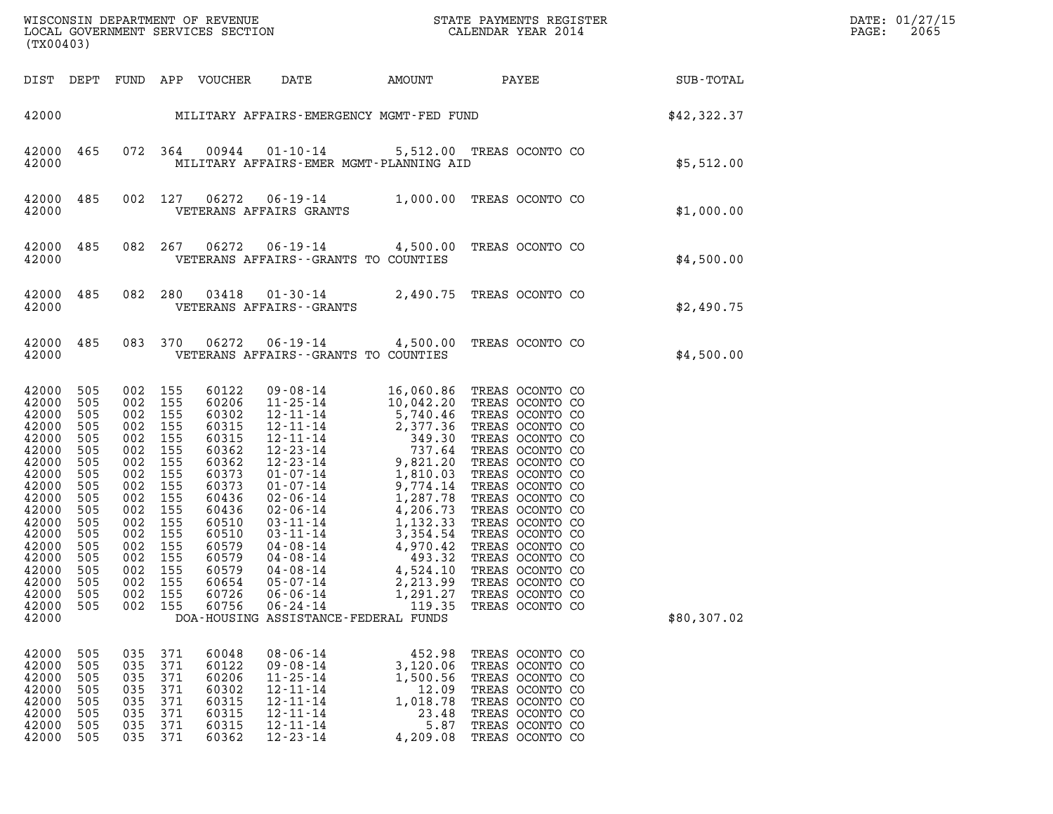| (TX00403)                                                                                                                                                                            |                                                                                                                            |                                                                                                                                                                           |                                                             |                                                                                                                                                                         |                                                                                                                                              |                                                                                  |                                                                                                                                                      |             | DATE: 01/27/15<br>2065<br>$\mathtt{PAGE}$ : |
|--------------------------------------------------------------------------------------------------------------------------------------------------------------------------------------|----------------------------------------------------------------------------------------------------------------------------|---------------------------------------------------------------------------------------------------------------------------------------------------------------------------|-------------------------------------------------------------|-------------------------------------------------------------------------------------------------------------------------------------------------------------------------|----------------------------------------------------------------------------------------------------------------------------------------------|----------------------------------------------------------------------------------|------------------------------------------------------------------------------------------------------------------------------------------------------|-------------|---------------------------------------------|
| DIST DEPT                                                                                                                                                                            |                                                                                                                            |                                                                                                                                                                           |                                                             | FUND APP VOUCHER                                                                                                                                                        | DATE                                                                                                                                         |                                                                                  | AMOUNT PAYEE SUB-TOTAL                                                                                                                               |             |                                             |
|                                                                                                                                                                                      |                                                                                                                            |                                                                                                                                                                           |                                                             |                                                                                                                                                                         |                                                                                                                                              |                                                                                  | 42000 MILITARY AFFAIRS-EMERGENCY MGMT-FED FUND S42,322.37                                                                                            |             |                                             |
| 42000<br>42000                                                                                                                                                                       | 465                                                                                                                        |                                                                                                                                                                           | 072 364                                                     | 00944                                                                                                                                                                   | MILITARY AFFAIRS-EMER MGMT-PLANNING AID                                                                                                      |                                                                                  | 01-10-14 5,512.00 TREAS OCONTO CO                                                                                                                    | \$5,512.00  |                                             |
| 42000<br>42000                                                                                                                                                                       | 485                                                                                                                        |                                                                                                                                                                           | 002 127                                                     | 06272                                                                                                                                                                   | VETERANS AFFAIRS GRANTS                                                                                                                      |                                                                                  | 06-19-14 1,000.00 TREAS OCONTO CO                                                                                                                    | \$1,000.00  |                                             |
| 42000<br>42000                                                                                                                                                                       | 485                                                                                                                        |                                                                                                                                                                           | 082 267                                                     | 06272                                                                                                                                                                   | VETERANS AFFAIRS -- GRANTS TO COUNTIES                                                                                                       |                                                                                  | 06-19-14 4,500.00 TREAS OCONTO CO                                                                                                                    | \$4,500.00  |                                             |
| 42000<br>42000                                                                                                                                                                       | 485                                                                                                                        | 082 280                                                                                                                                                                   |                                                             | 03418                                                                                                                                                                   | VETERANS AFFAIRS - - GRANTS                                                                                                                  |                                                                                  | 01-30-14 2,490.75 TREAS OCONTO CO                                                                                                                    | \$2,490.75  |                                             |
| 42000<br>42000                                                                                                                                                                       | 485                                                                                                                        |                                                                                                                                                                           | 083 370                                                     | 06272                                                                                                                                                                   | VETERANS AFFAIRS -- GRANTS TO COUNTIES                                                                                                       |                                                                                  | 06-19-14 4,500.00 TREAS OCONTO CO                                                                                                                    | \$4,500.00  |                                             |
| 42000<br>42000<br>42000<br>42000<br>42000<br>42000<br>42000<br>42000<br>42000<br>42000<br>42000<br>42000<br>42000<br>42000<br>42000<br>42000 505<br>42000<br>42000<br>42000<br>42000 | 505<br>505<br>505<br>505<br>505<br>505<br>505<br>505<br>505<br>505<br>505<br>505<br>505<br>505<br>505<br>505<br>505<br>505 | 002 155<br>002 155<br>002 155<br>002 155<br>002 155<br>002 155<br>002<br>002<br>002<br>002<br>002<br>002<br>002<br>002 155<br>002 155<br>002 155<br>002<br>002<br>002 155 | 155<br>155<br>155<br>155<br>155<br>155<br>155<br>155<br>155 | 60122<br>60206<br>60302<br>60315<br>60315<br>60362<br>60362<br>60373<br>60373<br>60436<br>60436<br>60510<br>60510<br>60579<br>60579<br>60579<br>60654<br>60726<br>60756 | $05 - 07 - 14$<br>$06 - 06 - 14$<br>$06 - 24 - 14$<br>DOA-HOUSING ASSISTANCE-FEDERAL FUNDS                                                   | 2,213.99<br>1,291.27<br>119.35                                                   | TREAS OCONTO CO<br>TREAS OCONTO CO<br>TREAS OCONTO CO                                                                                                | \$80,307.02 |                                             |
| 42000<br>42000<br>42000<br>42000<br>42000<br>42000<br>42000<br>42000                                                                                                                 | 505<br>505<br>505<br>505<br>505<br>505<br>505<br>505                                                                       | 035<br>035<br>035<br>035<br>035<br>035<br>035<br>035                                                                                                                      | 371<br>371<br>371<br>371<br>371<br>371<br>371<br>371        | 60048<br>60122<br>60206<br>60302<br>60315<br>60315<br>60315<br>60362                                                                                                    | $08 - 06 - 14$<br>$09 - 08 - 14$<br>$11 - 25 - 14$<br>$12 - 11 - 14$<br>$12 - 11 - 14$<br>$12 - 11 - 14$<br>$12 - 11 - 14$<br>$12 - 23 - 14$ | 452.98<br>3,120.06<br>1,500.56<br>12.09<br>1,018.78<br>23.48<br>5.87<br>4,209.08 | TREAS OCONTO CO<br>TREAS OCONTO CO<br>TREAS OCONTO CO<br>TREAS OCONTO CO<br>TREAS OCONTO CO<br>TREAS OCONTO CO<br>TREAS OCONTO CO<br>TREAS OCONTO CO |             |                                             |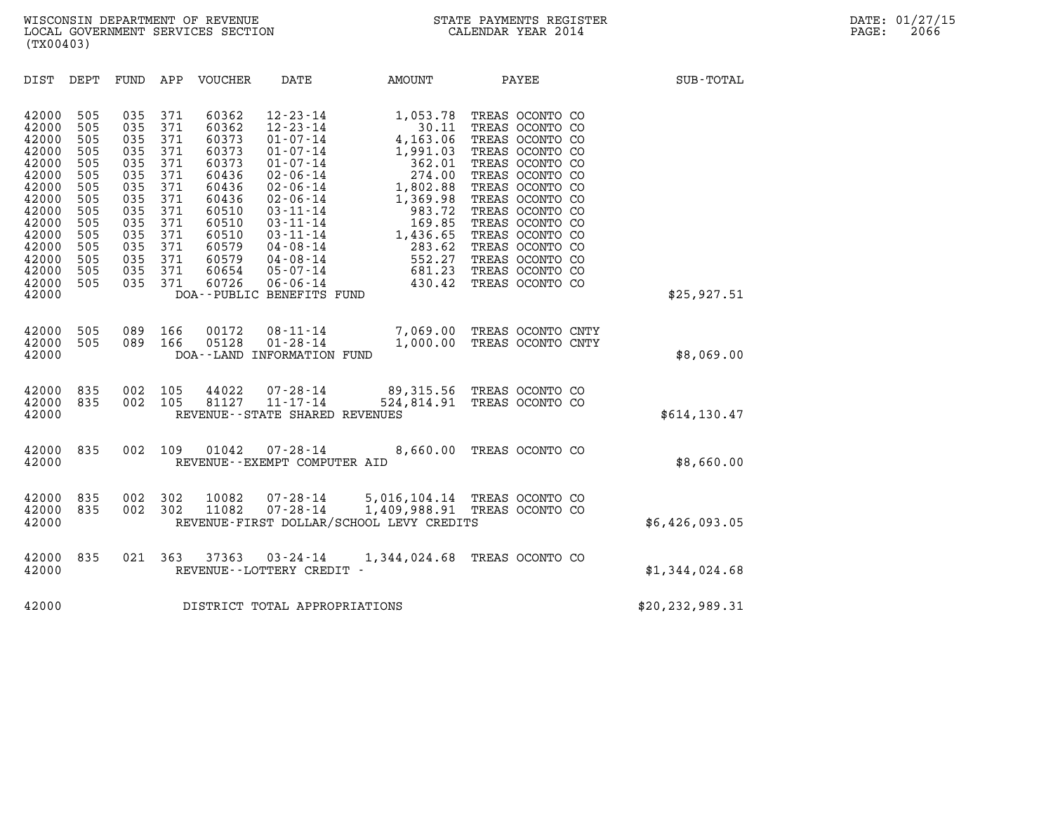| (TX00403)                                                                                                                                                                                                                                                                                                                                                      |                                                                                                                                                                                                                                                                                                                                                                                                                                                                                                                                                         |                                                                                                                                                               |                                                                                                                                                                                                                                                                                           |                   |
|----------------------------------------------------------------------------------------------------------------------------------------------------------------------------------------------------------------------------------------------------------------------------------------------------------------------------------------------------------------|---------------------------------------------------------------------------------------------------------------------------------------------------------------------------------------------------------------------------------------------------------------------------------------------------------------------------------------------------------------------------------------------------------------------------------------------------------------------------------------------------------------------------------------------------------|---------------------------------------------------------------------------------------------------------------------------------------------------------------|-------------------------------------------------------------------------------------------------------------------------------------------------------------------------------------------------------------------------------------------------------------------------------------------|-------------------|
| DEPT<br>FUND<br>DIST                                                                                                                                                                                                                                                                                                                                           | APP<br>VOUCHER<br>DATE                                                                                                                                                                                                                                                                                                                                                                                                                                                                                                                                  | AMOUNT                                                                                                                                                        | PAYEE                                                                                                                                                                                                                                                                                     | <b>SUB-TOTAL</b>  |
| 42000<br>505<br>035<br>42000<br>505<br>035<br>035<br>42000<br>505<br>42000<br>505<br>035<br>42000<br>505<br>035<br>42000<br>505<br>035<br>42000<br>505<br>035<br>42000<br>035<br>505<br>42000<br>505<br>035<br>42000<br>035<br>505<br>42000<br>505<br>035<br>42000<br>505<br>035<br>42000<br>505<br>035<br>42000<br>505<br>035<br>42000<br>505<br>035<br>42000 | 60362<br>371<br>$12 - 23 - 14$<br>371<br>60362<br>$12 - 23 - 14$<br>371<br>$01 - 07 - 14$<br>60373<br>371<br>$01 - 07 - 14$<br>60373<br>371<br>60373<br>$01 - 07 - 14$<br>371<br>60436<br>$02 - 06 - 14$<br>371<br>60436<br>$02 - 06 - 14$<br>371<br>60436<br>$02 - 06 - 14$<br>371<br>60510<br>$03 - 11 - 14$<br>371<br>60510<br>$03 - 11 - 14$<br>371<br>$03 - 11 - 14$<br>60510<br>$04 - 08 - 14$<br>371<br>60579<br>371<br>60579<br>$04 - 08 - 14$<br>371<br>60654<br>$05 - 07 - 14$<br>371<br>60726<br>$06 - 06 - 14$<br>DOA--PUBLIC BENEFITS FUND | 1,053.78<br>30.11<br>4,163.06<br>1,991.03<br>362.01<br>274.00<br>1,802.88<br>1,369.98<br>983.72<br>169.85<br>1,436.65<br>283.62<br>552.27<br>681.23<br>430.42 | TREAS OCONTO CO<br>TREAS OCONTO CO<br>TREAS OCONTO CO<br>TREAS OCONTO CO<br>TREAS OCONTO CO<br>TREAS OCONTO CO<br>TREAS OCONTO CO<br>TREAS OCONTO CO<br>TREAS OCONTO CO<br>TREAS OCONTO CO<br>TREAS OCONTO CO<br>TREAS OCONTO CO<br>TREAS OCONTO CO<br>TREAS OCONTO CO<br>TREAS OCONTO CO | \$25,927.51       |
| 505<br>089<br>42000<br>42000<br>505<br>089<br>42000                                                                                                                                                                                                                                                                                                            | 166<br>00172<br>$08 - 11 - 14$<br>$01 - 28 - 14$<br>05128<br>166<br>DOA--LAND INFORMATION FUND                                                                                                                                                                                                                                                                                                                                                                                                                                                          | 7,069.00<br>1,000.00                                                                                                                                          | TREAS OCONTO CNTY<br>TREAS OCONTO CNTY                                                                                                                                                                                                                                                    | \$8,069.00        |
| 42000<br>835<br>002<br>42000<br>835<br>002<br>42000                                                                                                                                                                                                                                                                                                            | 105<br>44022<br>$07 - 28 - 14$<br>$11 - 17 - 14$<br>105<br>81127<br>REVENUE - - STATE SHARED REVENUES                                                                                                                                                                                                                                                                                                                                                                                                                                                   | 89,315.56 TREAS OCONTO CO<br>524,814.91 TREAS OCONTO CO                                                                                                       |                                                                                                                                                                                                                                                                                           | \$614, 130.47     |
| 835<br>002<br>42000<br>42000                                                                                                                                                                                                                                                                                                                                   | 109<br>01042<br>$07 - 28 - 14$<br>REVENUE - - EXEMPT COMPUTER AID                                                                                                                                                                                                                                                                                                                                                                                                                                                                                       | 8,660.00                                                                                                                                                      | TREAS OCONTO CO                                                                                                                                                                                                                                                                           | \$8,660.00        |
| 42000<br>835<br>002<br>42000<br>002<br>835<br>42000                                                                                                                                                                                                                                                                                                            | 302<br>10082<br>$07 - 28 - 14$<br>$07 - 28 - 14$<br>302<br>11082<br>REVENUE-FIRST DOLLAR/SCHOOL LEVY CREDITS                                                                                                                                                                                                                                                                                                                                                                                                                                            | 5,016,104.14 TREAS OCONTO CO<br>1,409,988.91                                                                                                                  | TREAS OCONTO CO                                                                                                                                                                                                                                                                           | \$6,426,093.05    |
| 42000<br>835<br>021<br>42000                                                                                                                                                                                                                                                                                                                                   | 363<br>37363<br>$03 - 24 - 14$<br>REVENUE--LOTTERY CREDIT -                                                                                                                                                                                                                                                                                                                                                                                                                                                                                             | 1,344,024.68                                                                                                                                                  | TREAS OCONTO CO                                                                                                                                                                                                                                                                           | \$1,344,024.68    |
| 42000                                                                                                                                                                                                                                                                                                                                                          | DISTRICT TOTAL APPROPRIATIONS                                                                                                                                                                                                                                                                                                                                                                                                                                                                                                                           |                                                                                                                                                               |                                                                                                                                                                                                                                                                                           | \$20, 232, 989.31 |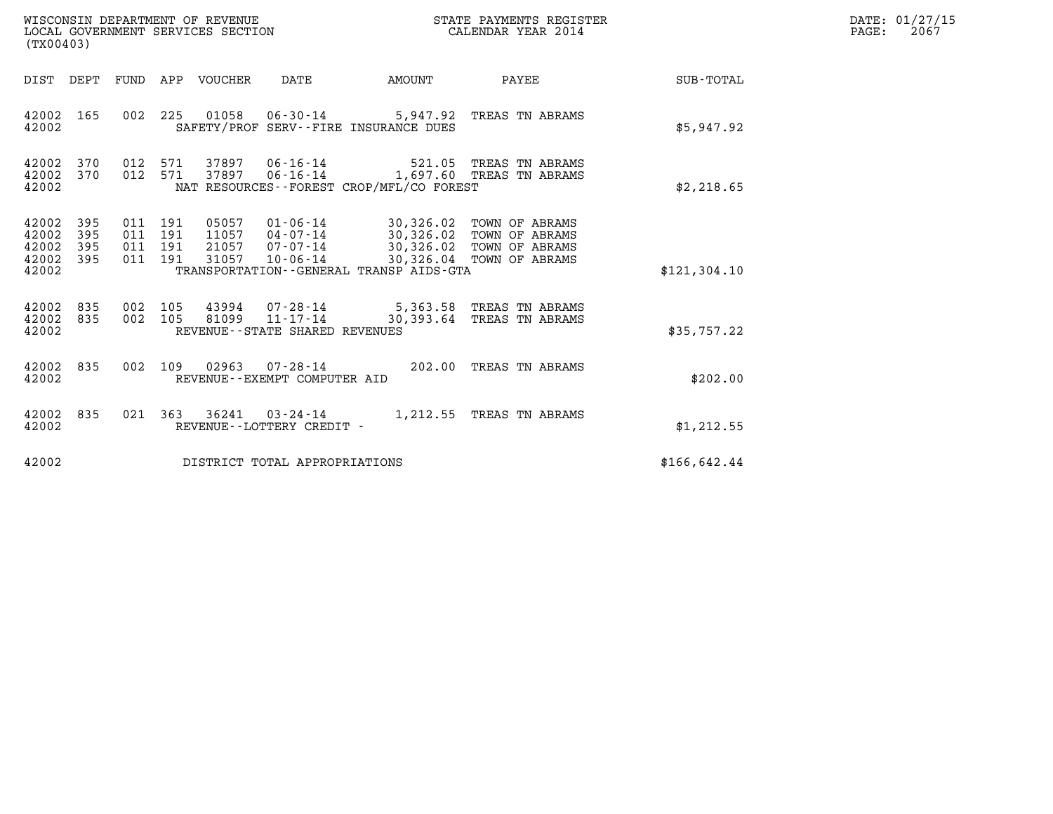| DATE: | 01/27/15 |
|-------|----------|
| PAGE: | 2067     |

| (TX00403)                                     |                   |  | WISCONSIN DEPARTMENT OF REVENUE<br>LOCAL GOVERNMENT SERVICES SECTION |                                |                                          | STATE PAYMENTS REGISTER<br>CALENDAR YEAR 2014                                                                                                                                                                 |                 | DATE: 01/27/15<br>$\mathtt{PAGE:}$<br>2067 |
|-----------------------------------------------|-------------------|--|----------------------------------------------------------------------|--------------------------------|------------------------------------------|---------------------------------------------------------------------------------------------------------------------------------------------------------------------------------------------------------------|-----------------|--------------------------------------------|
|                                               |                   |  | DIST DEPT FUND APP VOUCHER DATE                                      |                                | <b>AMOUNT</b>                            |                                                                                                                                                                                                               | PAYEE SUB-TOTAL |                                            |
| 42002 165<br>42002                            |                   |  |                                                                      |                                | SAFETY/PROF SERV--FIRE INSURANCE DUES    | 002 225 01058 06-30-14 5,947.92 TREAS TN ABRAMS                                                                                                                                                               | \$5,947.92      |                                            |
| 42002 370<br>42002 370<br>42002               |                   |  |                                                                      |                                | NAT RESOURCES--FOREST CROP/MFL/CO FOREST | 012 571 37897 06-16-14 521.05 TREAS TN ABRAMS<br>012 571 37897 06-16-14 1,697.60 TREAS TN ABRAMS                                                                                                              | \$2,218.65      |                                            |
| 42002<br>42002<br>42002<br>42002 395<br>42002 | 395<br>395<br>395 |  |                                                                      |                                | TRANSPORTATION--GENERAL TRANSP AIDS-GTA  | 011  191  05057  01-06-14  30,326.02  TOWN OF ABRAMS<br>011 191 11057 04-07-14 30,326.02 TOWN OF ABRAMS<br>011 191 21057 07-07-14 30,326.02 TOWN OF ABRAMS<br>011 191 31057 10-06-14 30,326.04 TOWN OF ABRAMS | \$121, 304.10   |                                            |
| 42002 835<br>42002 835<br>42002               |                   |  |                                                                      | REVENUE--STATE SHARED REVENUES |                                          | 002 105  43994  07-28-14  5,363.58 TREAS TN ABRAMS<br>002  105  81099  11-17-14  30,393.64 TREAS TN ABRAMS                                                                                                    | \$35,757.22     |                                            |
| 42002 835<br>42002                            |                   |  |                                                                      | REVENUE--EXEMPT COMPUTER AID   |                                          | 002 109 02963 07-28-14 202.00 TREAS TN ABRAMS                                                                                                                                                                 | \$202.00        |                                            |
| 42002 835<br>42002                            |                   |  |                                                                      | REVENUE - - LOTTERY CREDIT -   |                                          | 021 363 36241 03-24-14 1,212.55 TREAS TN ABRAMS                                                                                                                                                               | \$1,212.55      |                                            |
| 42002                                         |                   |  |                                                                      | DISTRICT TOTAL APPROPRIATIONS  |                                          |                                                                                                                                                                                                               | \$166, 642.44   |                                            |
|                                               |                   |  |                                                                      |                                |                                          |                                                                                                                                                                                                               |                 |                                            |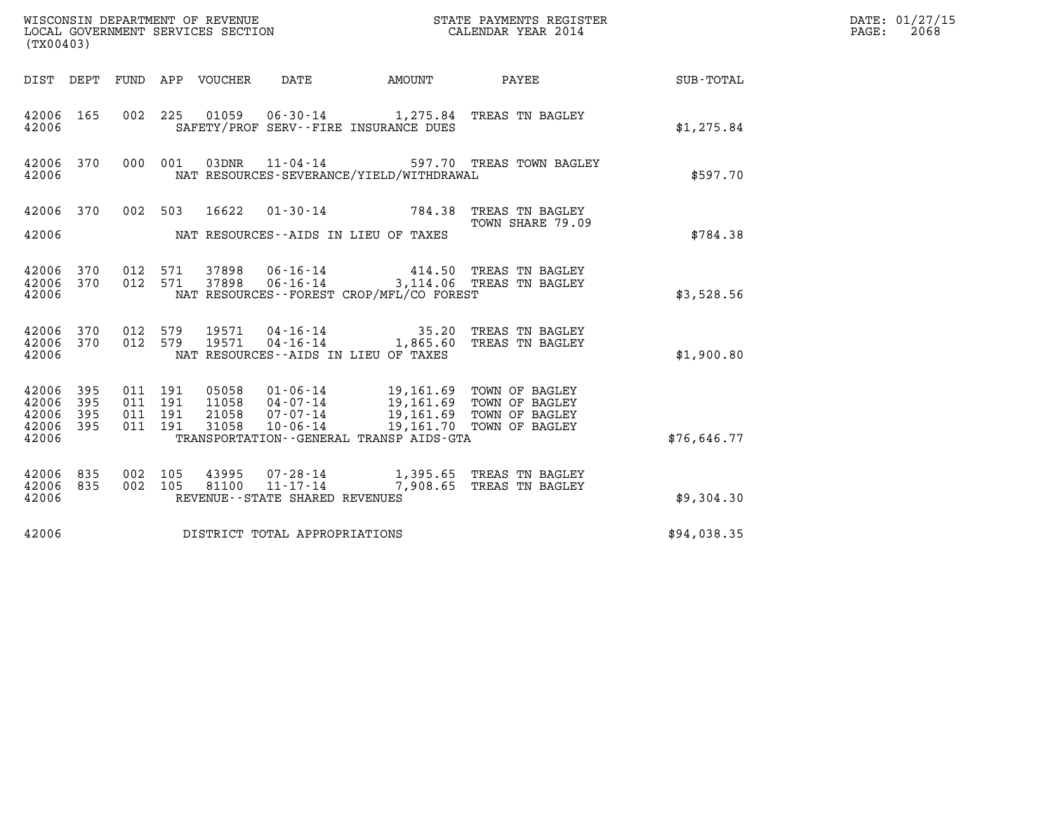| (TX00403)                                         |            |                                          |         |                                 | WISCONSIN DEPARTMENT OF REVENUE<br>LOCAL GOVERNMENT SERVICES SECTION |                                          | STATE PAYMENTS REGISTER<br>CALENDAR YEAR 2014                                                                                                                                        |             | DATE: 01/27/15<br>$\mathtt{PAGE:}$<br>2068 |
|---------------------------------------------------|------------|------------------------------------------|---------|---------------------------------|----------------------------------------------------------------------|------------------------------------------|--------------------------------------------------------------------------------------------------------------------------------------------------------------------------------------|-------------|--------------------------------------------|
|                                                   |            |                                          |         | DIST DEPT FUND APP VOUCHER DATE |                                                                      |                                          | AMOUNT PAYEE SUB-TOTAL                                                                                                                                                               |             |                                            |
| 42006 165<br>42006                                |            |                                          |         |                                 |                                                                      | SAFETY/PROF SERV--FIRE INSURANCE DUES    | 002 225 01059 06-30-14 1,275.84 TREAS TN BAGLEY                                                                                                                                      | \$1,275.84  |                                            |
| 42006                                             | 42006 370  |                                          |         |                                 |                                                                      | NAT RESOURCES-SEVERANCE/YIELD/WITHDRAWAL | 000 001 03DNR 11-04-14 597.70 TREAS TOWN BAGLEY                                                                                                                                      | \$597.70    |                                            |
| 42006                                             | 42006 370  |                                          |         |                                 | NAT RESOURCES--AIDS IN LIEU OF TAXES                                 |                                          | 002 503 16622 01-30-14 784.38 TREAS TN BAGLEY<br>TOWN SHARE 79.09                                                                                                                    | \$784.38    |                                            |
| 42006                                             |            | 42006 370 012 571<br>42006 370 012 571   |         |                                 |                                                                      | NAT RESOURCES--FOREST CROP/MFL/CO FOREST | 37898  06-16-14  414.50  TREAS TN BAGLEY<br>37898  06-16-14  3,114.06  TREAS TN BAGLEY                                                                                               | \$3,528.56  |                                            |
| 42006                                             | 42006 370  | 42006 370 012 579                        | 012 579 |                                 | NAT RESOURCES--AIDS IN LIEU OF TAXES                                 |                                          | 19571  04-16-14  35.20 TREAS TN BAGLEY<br>19571  04-16-14   1,865.60 TREAS TN BAGLEY                                                                                                 | \$1,900.80  |                                            |
| 42006 395<br>42006<br>42006<br>42006 395<br>42006 | 395<br>395 | 011 191<br>011 191<br>011 191<br>011 191 |         |                                 |                                                                      | TRANSPORTATION--GENERAL TRANSP AIDS-GTA  | 05058  01-06-14  19,161.69  TOWN OF BAGLEY<br>11058  04-07-14  19,161.69  TOWN OF BAGLEY<br>21058  07-07-14  19,161.69  TOWN OF BAGLEY<br>31058  10-06-14  19,161.70  TOWN OF BAGLEY | \$76,646.77 |                                            |
| 42006 835<br>42006                                | 42006 835  | 002 105<br>002 105                       |         |                                 | REVENUE - - STATE SHARED REVENUES                                    |                                          |                                                                                                                                                                                      | \$9,304.30  |                                            |
| 42006                                             |            |                                          |         |                                 | DISTRICT TOTAL APPROPRIATIONS                                        |                                          |                                                                                                                                                                                      | \$94,038.35 |                                            |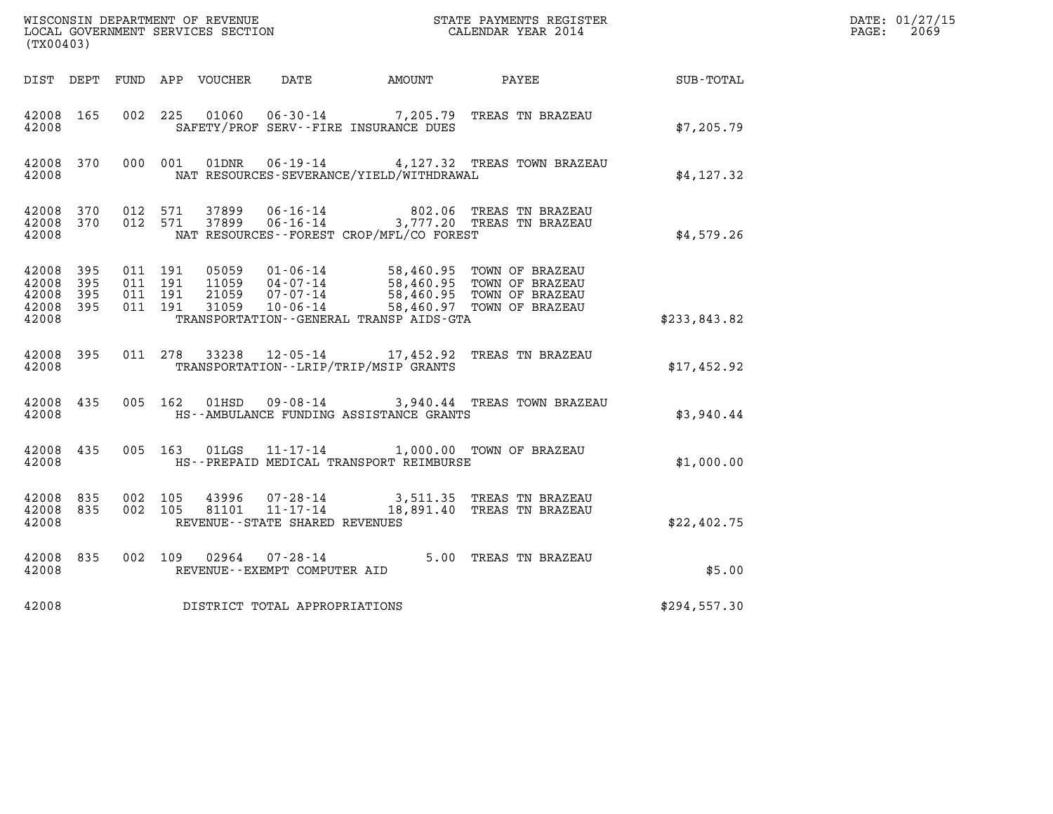|                                                       |       |                                          |         |                         |                                                        |                                              |                                                                                                                           |                                               | DATE: 01/27/15           |
|-------------------------------------------------------|-------|------------------------------------------|---------|-------------------------|--------------------------------------------------------|----------------------------------------------|---------------------------------------------------------------------------------------------------------------------------|-----------------------------------------------|--------------------------|
| (TX00403)                                             |       |                                          |         |                         |                                                        |                                              |                                                                                                                           |                                               | $\mathtt{PAGE:}$<br>2069 |
|                                                       |       |                                          |         |                         |                                                        | DIST DEPT FUND APP VOUCHER DATE AMOUNT PAYEE |                                                                                                                           | $\operatorname{SUB}$ - $\operatorname{TOTAL}$ |                          |
| 42008 165<br>42008                                    |       | 002 225                                  |         |                         |                                                        | SAFETY/PROF SERV--FIRE INSURANCE DUES        | 01060  06-30-14  7,205.79  TREAS TN BRAZEAU                                                                               | \$7,205.79                                    |                          |
| 42008 370<br>42008                                    |       |                                          | 000 001 |                         |                                                        | NAT RESOURCES-SEVERANCE/YIELD/WITHDRAWAL     | 01DNR  06-19-14  4,127.32 TREAS TOWN BRAZEAU                                                                              | \$4,127.32                                    |                          |
| 42008 370<br>42008                                    |       | 42008 370 012 571                        | 012 571 | 37899                   |                                                        | NAT RESOURCES - - FOREST CROP/MFL/CO FOREST  | 37899   06-16-14   802.06   TREAS TN BRAZEAU<br>37899   06-16-14   3,777.20   TREAS TN BRAZEAU                            | \$4,579.26                                    |                          |
| 42008 395<br>42008<br>42008 395<br>42008 395<br>42008 | - 395 | 011 191<br>011 191<br>011 191<br>011 191 |         | 05059<br>21059<br>31059 | 11059 04-07-14<br>07-07-14<br>$10 - 06 - 14$           | TRANSPORTATION--GENERAL TRANSP AIDS-GTA      | 01-06-14 58,460.95 TOWN OF BRAZEAU<br>58,460.95 TOWN OF BRAZEAU<br>58,460.95 TOWN OF BRAZEAU<br>58,460.97 TOWN OF BRAZEAU | \$233,843.82                                  |                          |
| 42008 395<br>42008                                    |       |                                          |         | 011 278 33238           |                                                        | TRANSPORTATION - - LRIP/TRIP/MSIP GRANTS     | 12-05-14 17,452.92 TREAS TN BRAZEAU                                                                                       | \$17,452.92                                   |                          |
| 42008 435<br>42008                                    |       |                                          |         |                         |                                                        | HS--AMBULANCE FUNDING ASSISTANCE GRANTS      | 005 162 01HSD 09-08-14 3,940.44 TREAS TOWN BRAZEAU                                                                        | \$3,940.44                                    |                          |
| 42008 435<br>42008                                    |       |                                          |         |                         |                                                        | HS--PREPAID MEDICAL TRANSPORT REIMBURSE      | 005 163 01LGS 11-17-14 1,000.00 TOWN OF BRAZEAU                                                                           | \$1,000.00                                    |                          |
| 42008 835<br>42008 835<br>42008                       |       | 002 105<br>002 105                       |         | 43996<br>81101          | $11 - 17 - 14$<br>REVENUE - - STATE SHARED REVENUES    |                                              | 07-28-14 3,511.35 TREAS TN BRAZEAU<br>18,891.40 TREAS TN BRAZEAU                                                          | \$22,402.75                                   |                          |
| 42008 835<br>42008                                    |       |                                          |         |                         | 002 109 02964 07-28-14<br>REVENUE--EXEMPT COMPUTER AID |                                              | 5.00 TREAS TN BRAZEAU                                                                                                     | \$5.00                                        |                          |
| 42008                                                 |       |                                          |         |                         | DISTRICT TOTAL APPROPRIATIONS                          |                                              |                                                                                                                           | \$294,557.30                                  |                          |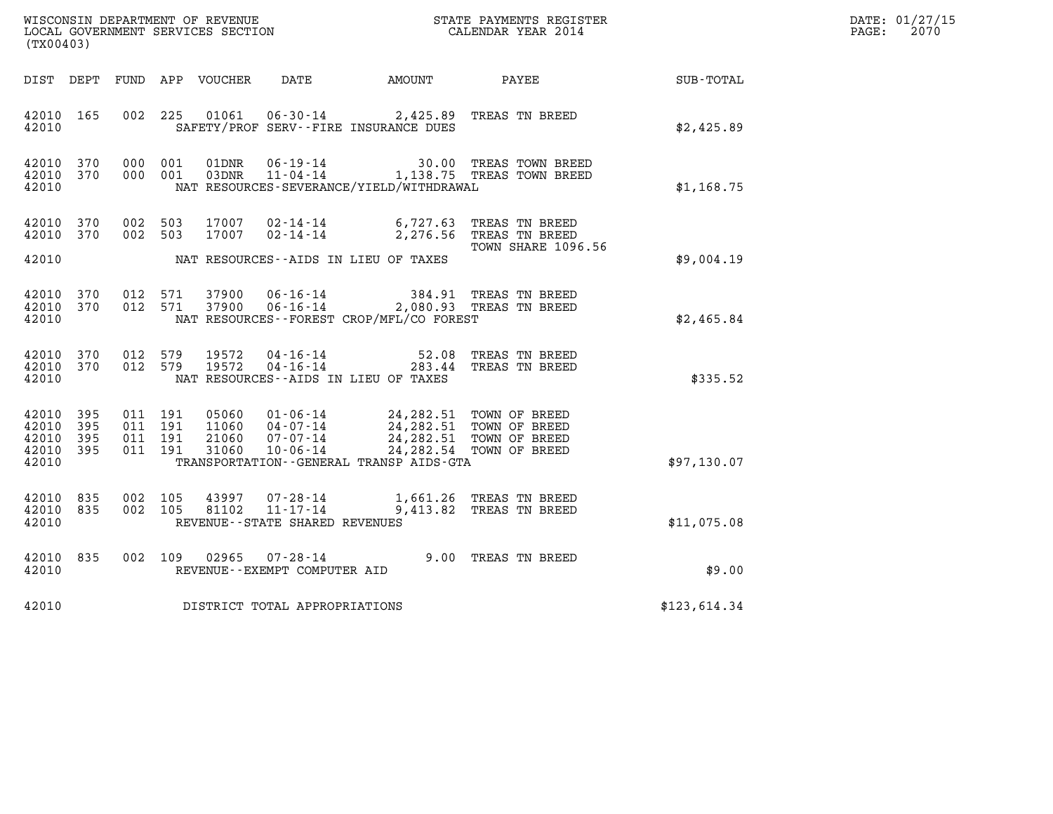| DATE: | 01/27/15 |
|-------|----------|
| PAGE: | 2070     |

| WISCONSIN DEPARTMENT OF REVENUE<br>LOCAL GOVERNMENT SERVICES SECTION<br>(EVACALO)<br>(TX00403) |            |                                          |                    |                         |                                                                 |                                                                             |                                                                                        |                 | DATE: 01/27/15<br>$\mathtt{PAGE:}$<br>2070 |
|------------------------------------------------------------------------------------------------|------------|------------------------------------------|--------------------|-------------------------|-----------------------------------------------------------------|-----------------------------------------------------------------------------|----------------------------------------------------------------------------------------|-----------------|--------------------------------------------|
| DIST DEPT                                                                                      |            |                                          |                    | FUND APP VOUCHER        | DATE                                                            | AMOUNT                                                                      |                                                                                        | PAYEE SUB-TOTAL |                                            |
| 42010<br>42010                                                                                 | 165        |                                          | 002 225            | 01061                   |                                                                 | 06-30-14 2,425.89 TREAS TN BREED<br>SAFETY/PROF SERV--FIRE INSURANCE DUES   |                                                                                        | \$2,425.89      |                                            |
| 42010<br>42010 370<br>42010                                                                    | 370        |                                          | 000 001<br>000 001 |                         |                                                                 | NAT RESOURCES-SEVERANCE/YIELD/WITHDRAWAL                                    | 01DNR  06-19-14  30.00 TREAS TOWN BREED<br>03DNR  11-04-14   1,138.75 TREAS TOWN BREED | \$1,168.75      |                                            |
| 42010<br>42010 370                                                                             | 370        | 002 503<br>002 503                       |                    | 17007<br>17007          | $02 - 14 - 14$                                                  | $02 - 14 - 14$ 6, 727.63                                                    | TREAS TN BREED<br>2,276.56 TREAS TN BREED                                              |                 |                                            |
| 42010                                                                                          |            |                                          |                    |                         |                                                                 | NAT RESOURCES--AIDS IN LIEU OF TAXES                                        | TOWN SHARE 1096.56                                                                     | \$9,004.19      |                                            |
| 42010<br>42010 370<br>42010                                                                    | 370        |                                          | 012 571<br>012 571 | 37900<br>37900          | $06 - 16 - 14$<br>06 - 16 - 14                                  | NAT RESOURCES--FOREST CROP/MFL/CO FOREST                                    | 384.91 TREAS TN BREED<br>2,080.93 TREAS TN BREED                                       | \$2,465.84      |                                            |
| 42010 370<br>42010 370<br>42010                                                                |            | 012 579<br>012 579                       |                    | 19572<br>19572          | 04-16-14<br>$04 - 16 - 14$                                      | 52.08<br>NAT RESOURCES - AIDS IN LIEU OF TAXES                              | TREAS TN BREED<br>283.44 TREAS TN BREED                                                | \$335.52        |                                            |
| 42010<br>42010<br>42010 395<br>42010 395<br>42010                                              | 395<br>395 | 011 191<br>011 191<br>011 191<br>011 191 |                    | 05060<br>11060<br>31060 | 04-07-14<br>21060 07-07-14<br>10-06-14                          | 01-06-14 24,282.51 TOWN OF BREED<br>TRANSPORTATION--GENERAL TRANSP AIDS-GTA | 24, 282.51 TOWN OF BREED<br>24, 282.51 TOWN OF BREED<br>24, 282.54 TOWN OF BREED       | \$97,130.07     |                                            |
| 42010<br>42010<br>42010                                                                        | 835<br>835 | 002<br>002 105                           | 105                | 43997<br>81102          | 07-28-14<br>$11 - 17 - 14$<br>REVENUE - - STATE SHARED REVENUES |                                                                             | 1,661.26 TREAS TN BREED<br>9,413.82 TREAS TN BREED                                     | \$11,075.08     |                                            |
| 42010<br>42010                                                                                 | 835        | 002 109                                  |                    | 02965                   | 07-28-14<br>REVENUE--EXEMPT COMPUTER AID                        |                                                                             | 9.00 TREAS TN BREED                                                                    | \$9.00          |                                            |
| 42010                                                                                          |            |                                          |                    |                         | DISTRICT TOTAL APPROPRIATIONS                                   |                                                                             |                                                                                        | \$123,614.34    |                                            |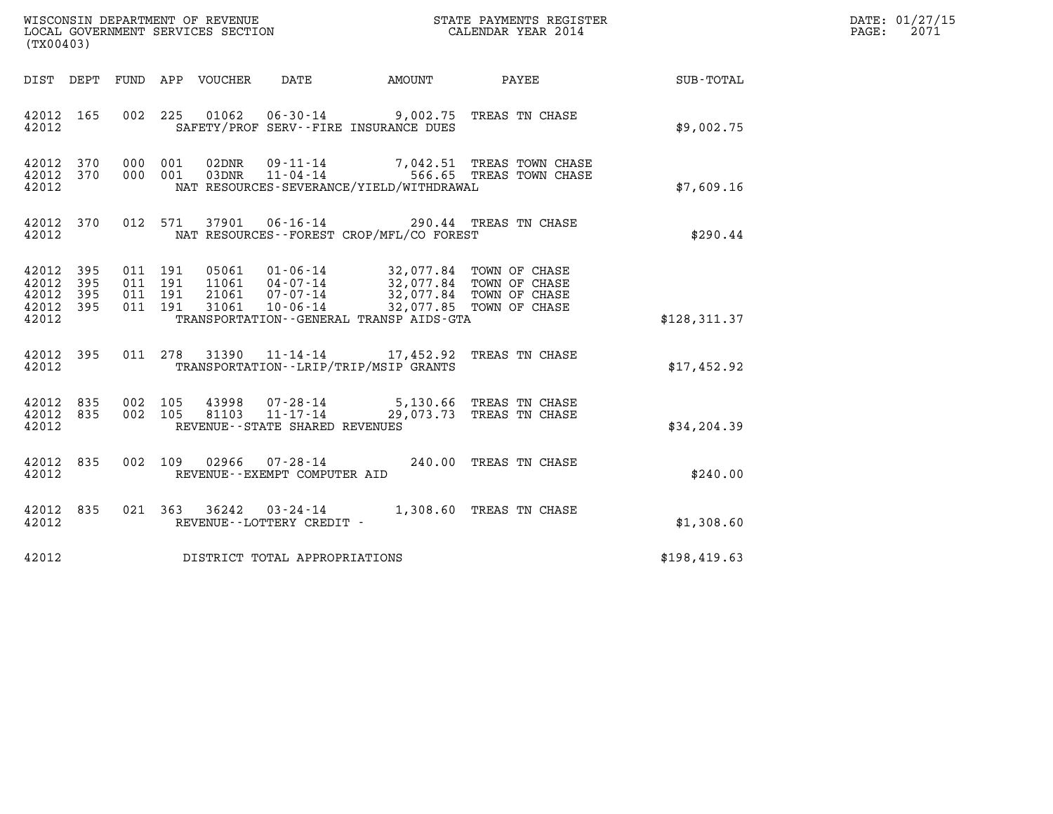| WISCONSIN DEPARTMENT OF REVENUE<br>LOCAL GOVERNMENT SERVICES SECTION<br>$1 - 2 - 0 - 1 - 0$ | STATE PAYMENTS REGISTER<br>CALENDAR YEAR 2014 | DATE: 01/27/15<br>2071<br>PAGE: |
|---------------------------------------------------------------------------------------------|-----------------------------------------------|---------------------------------|

| WISCONSIN DEPARTMENT OF REVENUE<br>LOCAL GOVERNMENT SERVICES SECTION<br>(TX00403)                 | <b>ST</b><br>STATE PAYMENTS REGISTER<br>CALENDAR YEAR 2014                                                                                       |                                                                                                                                                                |               |
|---------------------------------------------------------------------------------------------------|--------------------------------------------------------------------------------------------------------------------------------------------------|----------------------------------------------------------------------------------------------------------------------------------------------------------------|---------------|
| DEPT<br>FUND<br>DIST                                                                              | APP VOUCHER DATE AMOUNT                                                                                                                          | PAYEE                                                                                                                                                          | SUB-TOTAL     |
| 42012<br>165<br>002<br>42012                                                                      | 225  01062  06-30-14  9,002.75  TREAS TN CHASE<br>SAFETY/PROF SERV--FIRE INSURANCE DUES                                                          |                                                                                                                                                                | \$9,002.75    |
| 42012<br>370<br>000<br>42012<br>370<br>000<br>42012                                               | 001<br>02DNR  09-11-14  7,042.51 TREAS TOWN CHASE<br>03DNR  11-04-14  566.65 TREAS TOWN CHASE<br>001<br>NAT RESOURCES-SEVERANCE/YIELD/WITHDRAWAL |                                                                                                                                                                | \$7,609.16    |
| 370<br>012<br>42012<br>42012                                                                      | 37901  06-16-14  290.44  TREAS TN CHASE<br>571<br>NAT RESOURCES - - FOREST CROP/MFL/CO FOREST                                                    |                                                                                                                                                                | \$290.44      |
| 42012<br>395<br>011<br>42012<br>395<br>011<br>42012<br>395<br>011<br>42012<br>395<br>011<br>42012 | 191<br>05061<br>11061<br>191<br>21061<br>$07 - 07 - 14$<br>191<br>191<br>31061<br>TRANSPORTATION--GENERAL TRANSP AIDS-GTA                        | 01-06-14 32,077.84 TOWN OF CHASE<br>04-07-14 32,077.84 TOWN OF CHASE<br>32,077.84 TOWN OF CHASE<br>32,077.84 TOWN OF CHASE<br>10-06-14 32,077.85 TOWN OF CHASE | \$128, 311.37 |
| 42012 395<br>42012                                                                                | 011 278<br>31390<br>TRANSPORTATION - - LRIP/TRIP/MSIP GRANTS                                                                                     | 11-14-14 17,452.92 TREAS TN CHASE                                                                                                                              | \$17,452.92   |
| 42012 835<br>002<br>42012<br>835<br>002<br>42012                                                  | 105<br>43998<br>43998  07-28-14  5,130.66 TREAS TN CHASE<br>81103  11-17-14  29,073.73 TREAS TN CHASE<br>105<br>REVENUE--STATE SHARED REVENUES   |                                                                                                                                                                | \$34,204.39   |
| 42012<br>835<br>002<br>42012                                                                      | 109<br>02966  07-28-14<br>REVENUE--EXEMPT COMPUTER AID                                                                                           | 240.00 TREAS TN CHASE                                                                                                                                          | \$240.00      |
| 835<br>42012<br>42012                                                                             | 021 363 36242 03-24-14<br>REVENUE--LOTTERY CREDIT -                                                                                              | 1,308.60 TREAS TN CHASE                                                                                                                                        | \$1,308.60    |
| 42012                                                                                             | DISTRICT TOTAL APPROPRIATIONS                                                                                                                    |                                                                                                                                                                | \$198,419.63  |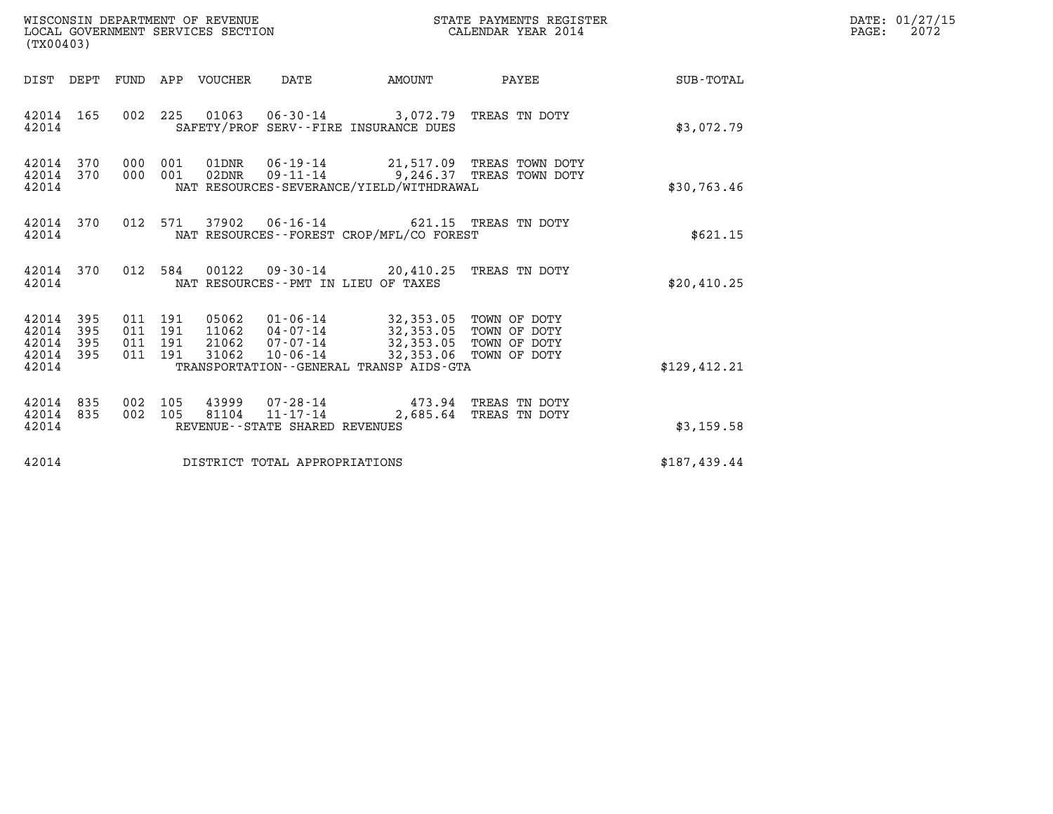| WISCONSIN DEPARTMENT OF REVENUE<br>LOCAL GOVERNMENT SERVICES SECTION<br>(TX00403)                                                                                                                                            | STATE PAYMENTS REGISTER<br>CALENDAR YEAR 2014                                        |              | DATE: 01/27/15<br>$\mathtt{PAGE:}$<br>2072 |
|------------------------------------------------------------------------------------------------------------------------------------------------------------------------------------------------------------------------------|--------------------------------------------------------------------------------------|--------------|--------------------------------------------|
| DIST DEPT FUND APP VOUCHER DATE                                                                                                                                                                                              | PAYEE SUB-TOTAL<br><b>EXAMPLE THE AMOUNT</b>                                         |              |                                            |
| 42014 165<br>002 225 01063 06-30-14 3,072.79 TREAS TN DOTY<br>SAFETY/PROF SERV--FIRE INSURANCE DUES<br>42014                                                                                                                 |                                                                                      | \$3,072.79   |                                            |
| 000 001 01DNR 06-19-14 21,517.09 TREAS TOWN DOTY<br>42014 370<br>000 001 02DNR 09-11-14 9,246.37 TREAS TOWN DOTY<br>42014 370<br>42014<br>NAT RESOURCES-SEVERANCE/YIELD/WITHDRAWAL                                           |                                                                                      | \$30,763.46  |                                            |
| 42014 370<br>012 571 37902 06-16-14 621.15 TREAS TN DOTY<br>NAT RESOURCES--FOREST CROP/MFL/CO FOREST<br>42014                                                                                                                |                                                                                      | \$621.15     |                                            |
| 42014 370 012 584 00122 09-30-14 20,410.25 TREAS TN DOTY<br>42014<br>NAT RESOURCES -- PMT IN LIEU OF TAXES                                                                                                                   |                                                                                      | \$20,410.25  |                                            |
| 011 191 05062 01-06-14 32,353.05 TOWN OF DOTY<br>011 191 11062 04-07-14 32,353.05 TOWN OF DOTY<br>42014 395<br>42014 395<br>42014 395<br>011 191<br>42014 395<br>011 191<br>42014<br>TRANSPORTATION--GENERAL TRANSP AIDS-GTA | 21062  07-07-14  32,353.05  TOWN OF DOTY<br>31062  10-06-14  32,353.06  TOWN OF DOTY | \$129,412.21 |                                            |
| 42014 835<br>002 105 43999 07-28-14 473.94 TREAS TN DOTY<br>81104 11-17-14<br>42014 835<br>002 105<br>42014<br>REVENUE--STATE SHARED REVENUES                                                                                | 2,685.64 TREAS TN DOTY                                                               | \$3,159.58   |                                            |
| 42014<br>DISTRICT TOTAL APPROPRIATIONS                                                                                                                                                                                       |                                                                                      | \$187,439.44 |                                            |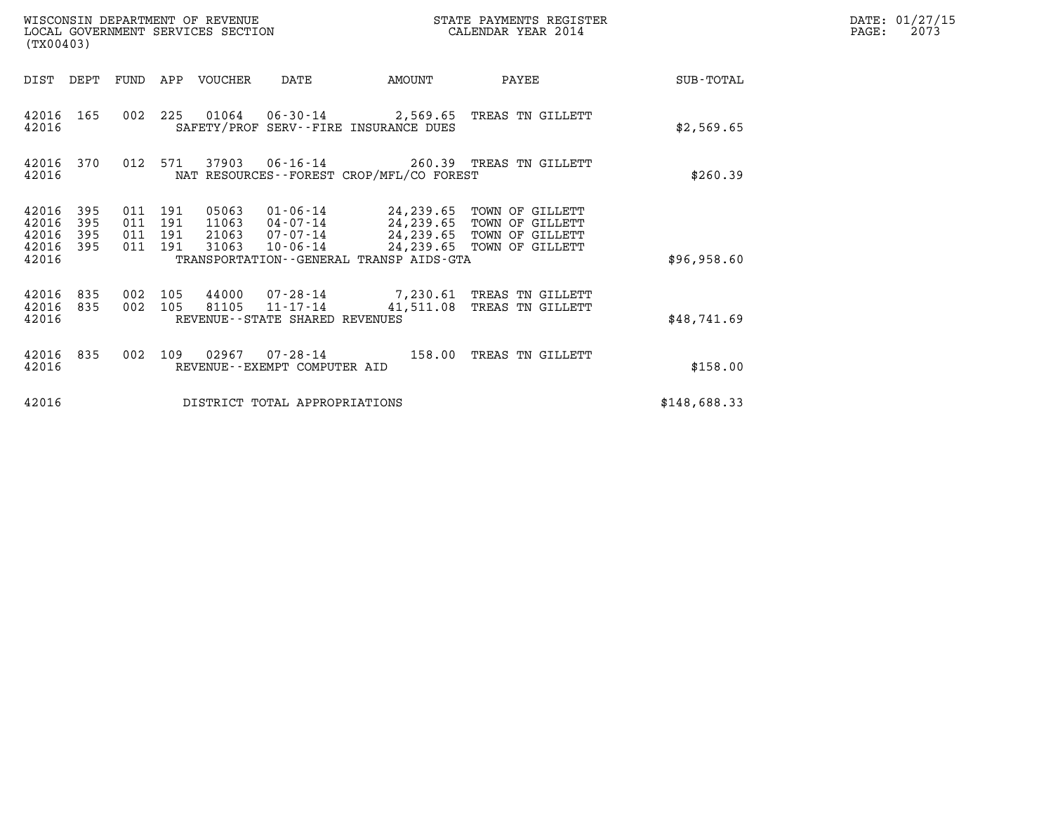| WISCONSIN DEPARTMENT OF REVENUE<br>LOCAL GOVERNMENT SERVICES SECTION<br>(TX00403) |                          |                                      |            |                                  |                                                                 |                                             | STATE PAYMENTS REGISTER<br>CALENDAR YEAR 2014                                                                    |              | DATE: 01/27/15<br>PAGE:<br>2073 |
|-----------------------------------------------------------------------------------|--------------------------|--------------------------------------|------------|----------------------------------|-----------------------------------------------------------------|---------------------------------------------|------------------------------------------------------------------------------------------------------------------|--------------|---------------------------------|
| DIST DEPT                                                                         |                          | FUND                                 |            | APP VOUCHER                      | DATE                                                            | AMOUNT                                      | PAYEE                                                                                                            | SUB-TOTAL    |                                 |
| 42016<br>42016                                                                    | 165                      |                                      | 002 225    |                                  |                                                                 | SAFETY/PROF SERV--FIRE INSURANCE DUES       | 01064  06-30-14  2,569.65  TREAS TN GILLETT                                                                      | \$2,569.65   |                                 |
| 42016<br>42016                                                                    | 370                      | 012                                  | 571        | 37903                            | $06 - 16 - 14$                                                  | NAT RESOURCES - - FOREST CROP/MFL/CO FOREST | 260.39 TREAS TN GILLETT                                                                                          | \$260.39     |                                 |
| 42016<br>42016<br>42016<br>42016<br>42016                                         | 395<br>395<br>395<br>395 | 011 191<br>011<br>011 191<br>011 191 | 191        | 05063<br>11063<br>21063<br>31063 | 01-06-14<br>04-07-14<br>$07 - 07 - 14$<br>10-06-14              | TRANSPORTATION--GENERAL TRANSP AIDS-GTA     | 24,239.65 TOWN OF GILLETT<br>24,239.65 TOWN OF GILLETT<br>24,239.65 TOWN OF GILLETT<br>24,239.65 TOWN OF GILLETT | \$96,958.60  |                                 |
| 42016<br>42016<br>42016                                                           | 835<br>835               | 002<br>002                           | 105<br>105 | 44000<br>81105                   | 07-28-14<br>$11 - 17 - 14$<br>REVENUE - - STATE SHARED REVENUES | 41,511.08                                   | 7,230.61 TREAS TN GILLETT<br>TREAS TN GILLETT                                                                    | \$48,741.69  |                                 |
| 42016<br>42016                                                                    | 835                      | 002                                  | 109        | 02967                            | 07-28-14<br>REVENUE - - EXEMPT COMPUTER AID                     | 158.00                                      | TREAS TN GILLETT                                                                                                 | \$158.00     |                                 |
| 42016                                                                             |                          |                                      |            |                                  | DISTRICT TOTAL APPROPRIATIONS                                   |                                             |                                                                                                                  | \$148,688.33 |                                 |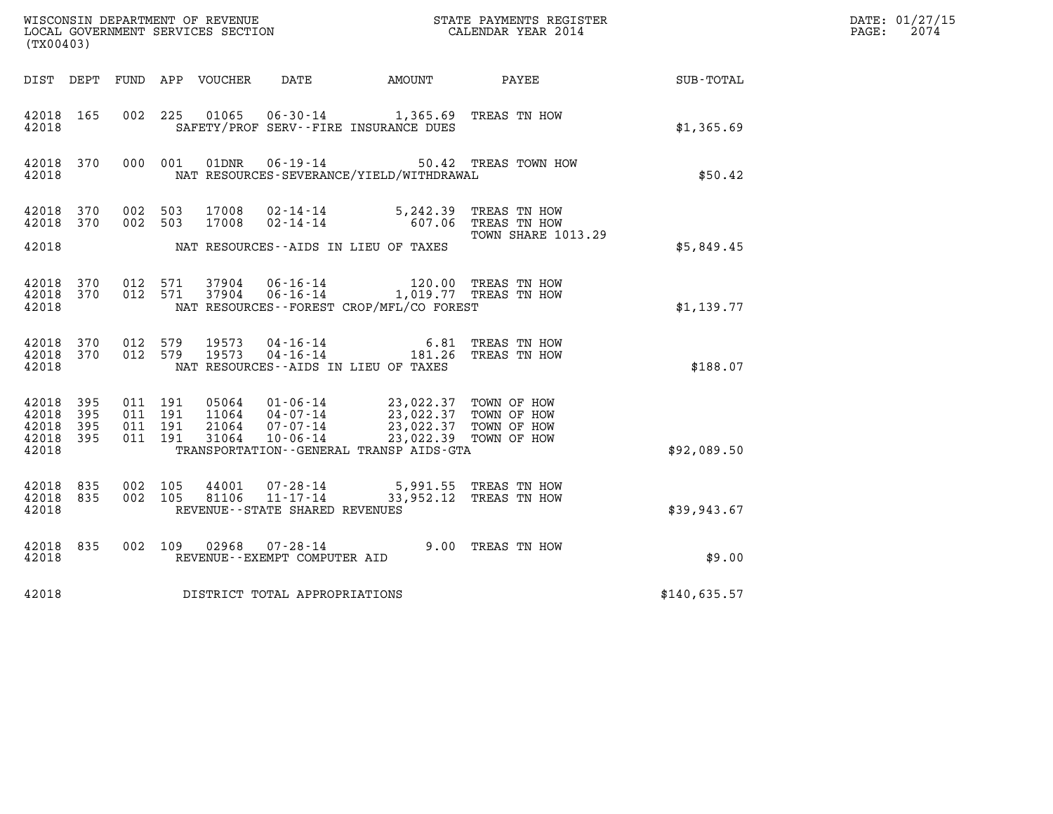| (TX00403)                                                            |                                          |                |                                                                                                                                                                                                                                                                                                                                                           |  | ${\tt WISCOONSIM} \begin{tabular}{lcccc} DEPARTMENT OF REVIEW & \multicolumn{2}{c}{\bullet} & \multicolumn{2}{c}{\bullet} & \multicolumn{2}{c}{\bullet} & \multicolumn{2}{c}{\bullet} & \multicolumn{2}{c}{\tt STATE} \end{tabular} \begin{tabular}{lcccc} DICAL GOVERNMENT S ERVICES SECTION & \multicolumn{2}{c}{\bullet} & \multicolumn{2}{c}{\bullet} & \multicolumn{2}{c}{\tt STATE} \end{tabular} \begin{tabular}{lcccc} DICAL ENDAR YEAR & 2014 & \multicolumn{2}{c}{\bullet} & \multicolumn{2}{c}{\bullet} & \multicolumn{2$ |              | DATE: 01/27/15<br>$\mathtt{PAGE:}$<br>2074 |
|----------------------------------------------------------------------|------------------------------------------|----------------|-----------------------------------------------------------------------------------------------------------------------------------------------------------------------------------------------------------------------------------------------------------------------------------------------------------------------------------------------------------|--|--------------------------------------------------------------------------------------------------------------------------------------------------------------------------------------------------------------------------------------------------------------------------------------------------------------------------------------------------------------------------------------------------------------------------------------------------------------------------------------------------------------------------------------|--------------|--------------------------------------------|
|                                                                      |                                          |                |                                                                                                                                                                                                                                                                                                                                                           |  | DIST DEPT FUND APP VOUCHER DATE AMOUNT PAYEE SUB-TOTAL                                                                                                                                                                                                                                                                                                                                                                                                                                                                               |              |                                            |
| 42018 165<br>42018                                                   |                                          |                | 002 225 01065 06-30-14 1,365.69 TREAS TN HOW<br>SAFETY/PROF SERV--FIRE INSURANCE DUES                                                                                                                                                                                                                                                                     |  |                                                                                                                                                                                                                                                                                                                                                                                                                                                                                                                                      | \$1,365.69   |                                            |
| 42018 370<br>42018                                                   | 000 001                                  | 01DNR          | $06 - 19 - 14$<br>NAT RESOURCES-SEVERANCE/YIELD/WITHDRAWAL                                                                                                                                                                                                                                                                                                |  | 50.42 TREAS TOWN HOW                                                                                                                                                                                                                                                                                                                                                                                                                                                                                                                 | \$50.42      |                                            |
| 42018 370<br>42018 370                                               | 002 503<br>002 503                       | 17008<br>17008 | $02 - 14 - 14$ 5, 242.39<br>02-14-14 607.06 TREAS TN HOW                                                                                                                                                                                                                                                                                                  |  | TREAS TN HOW<br><b>TOWN SHARE 1013.29</b>                                                                                                                                                                                                                                                                                                                                                                                                                                                                                            |              |                                            |
| 42018                                                                | NAT RESOURCES--AIDS IN LIEU OF TAXES     |                |                                                                                                                                                                                                                                                                                                                                                           |  |                                                                                                                                                                                                                                                                                                                                                                                                                                                                                                                                      |              |                                            |
| 42018 370<br>42018 370<br>42018                                      | 012 571<br>012 571                       | 37904<br>37904 | 06-16-14<br>06-16-14 1,019.77 TREAS TN HOW<br>NAT RESOURCES--FOREST CROP/MFL/CO FOREST                                                                                                                                                                                                                                                                    |  | 120.00 TREAS TN HOW                                                                                                                                                                                                                                                                                                                                                                                                                                                                                                                  | \$1,139.77   |                                            |
| 42018 370<br>42018 370<br>42018                                      | 012 579<br>012 579                       | 19573<br>19573 | 04 - 16 - 14 6.81<br>04 - 16 - 14 181.26<br>NAT RESOURCES--AIDS IN LIEU OF TAXES                                                                                                                                                                                                                                                                          |  | TREAS TN HOW<br>TREAS TN HOW                                                                                                                                                                                                                                                                                                                                                                                                                                                                                                         | \$188.07     |                                            |
| 42018<br>395<br>395<br>42018<br>42018<br>- 395<br>42018 395<br>42018 | 011 191<br>011 191<br>011 191<br>011 191 |                | $\begin{array}{cccc} 05064 & 01\cdot 06\cdot 14 & 23\,, 022\,.37 & \text{TOMN OF HOW} \\ 11064 & 04\cdot 07\cdot 14 & 23\,, 022\,.37 & \text{TOMN OF HOW} \\ 21064 & 07\cdot 07\cdot 14 & 23\,, 022\,.37 & \text{TOMN OF HOW} \\ 31064 & 10\cdot 06\cdot 14 & 23\,, 022\,.39 & \text{TOMN OF HOW} \end{array}$<br>TRANSPORTATION--GENERAL TRANSP AIDS-GTA |  |                                                                                                                                                                                                                                                                                                                                                                                                                                                                                                                                      | \$92,089.50  |                                            |
| 42018 835<br>42018 835<br>42018                                      | 002 105<br>002 105                       | 44001<br>81106 | 07-28-14 5,991.55 TREAS TN HOW<br>11-17-14 33,952.12 TREAS TN HOW<br>REVENUE--STATE SHARED REVENUES                                                                                                                                                                                                                                                       |  |                                                                                                                                                                                                                                                                                                                                                                                                                                                                                                                                      | \$39,943.67  |                                            |
| 42018 835<br>42018                                                   |                                          |                | 002 109 02968 07-28-14<br>REVENUE--EXEMPT COMPUTER AID                                                                                                                                                                                                                                                                                                    |  | 9.00 TREAS TN HOW                                                                                                                                                                                                                                                                                                                                                                                                                                                                                                                    | \$9.00       |                                            |
| 42018                                                                |                                          |                | DISTRICT TOTAL APPROPRIATIONS                                                                                                                                                                                                                                                                                                                             |  |                                                                                                                                                                                                                                                                                                                                                                                                                                                                                                                                      | \$140,635.57 |                                            |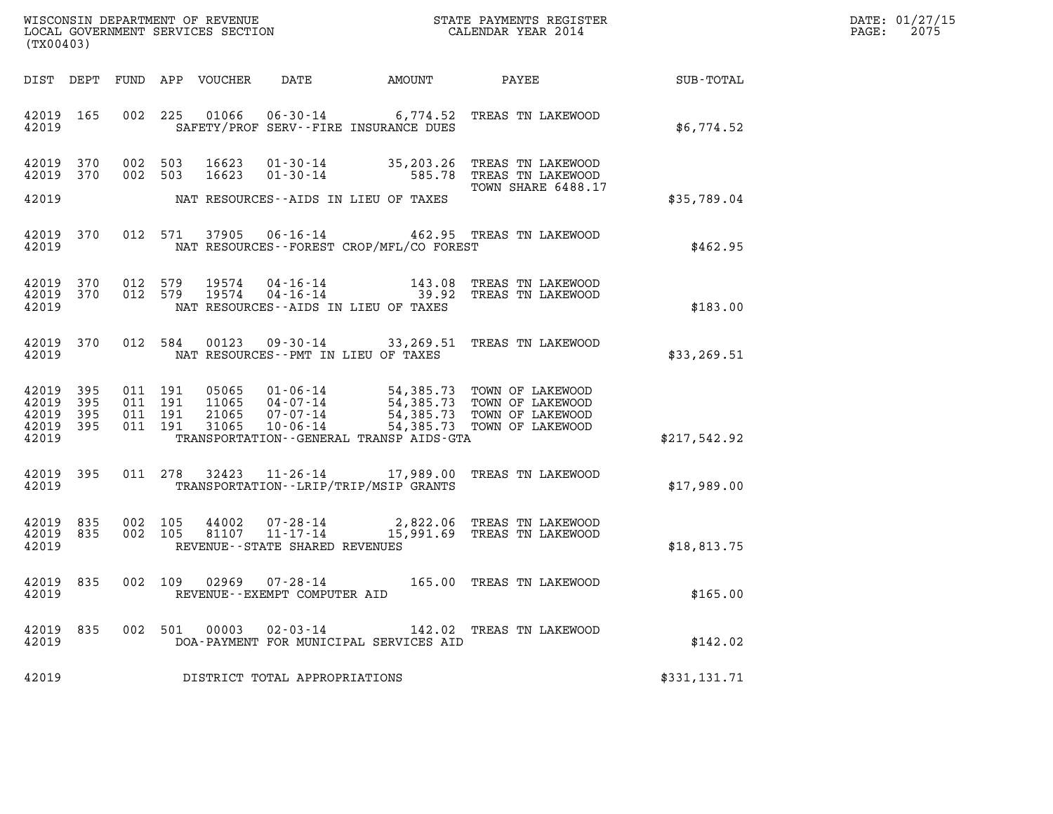| WISCONSIN DEPARTMENT OF REVENUE   | STATE PAYMENTS REGISTER | DATE: 01/27/15 |
|-----------------------------------|-------------------------|----------------|
| LOCAL GOVERNMENT SERVICES SECTION | CALENDAR YEAR 2014      | 2075<br>PAGE:  |

| (TX00403)                                 |                          |                                          |         |       |                                 |                                             | WISCONSIN DEPARTMENT OF REVENUE<br>LOCAL GOVERNMENT SERVICES SECTION<br>CALENDAR YEAR 2014                                                                                                                                  |              | DATE: 01/27/15<br>PAGE: 2075 |
|-------------------------------------------|--------------------------|------------------------------------------|---------|-------|---------------------------------|---------------------------------------------|-----------------------------------------------------------------------------------------------------------------------------------------------------------------------------------------------------------------------------|--------------|------------------------------|
|                                           |                          |                                          |         |       |                                 |                                             | DIST DEPT FUND APP VOUCHER DATE AMOUNT PAYEE TOTAL                                                                                                                                                                          |              |                              |
| 42019                                     | 42019 165                |                                          |         |       |                                 | SAFETY/PROF SERV--FIRE INSURANCE DUES       | 002 225 01066 06-30-14 6,774.52 TREAS TN LAKEWOOD                                                                                                                                                                           | \$6,774.52   |                              |
| 42019 370<br>42019 370<br>42019           |                          |                                          | 002 503 |       |                                 | NAT RESOURCES--AIDS IN LIEU OF TAXES        | 002 503 16623 01-30-14 35,203.26 TREAS TN LAKEWOOD<br>16623  01-30-14  585.78  TREAS TN LAKEWOOD<br>TOWN SHARE 6488.17                                                                                                      | \$35,789.04  |                              |
| 42019                                     |                          |                                          |         |       |                                 | NAT RESOURCES - - FOREST CROP/MFL/CO FOREST | 42019 370 012 571 37905 06-16-14 462.95 TREAS TN LAKEWOOD                                                                                                                                                                   | \$462.95     |                              |
| 42019                                     |                          |                                          |         |       |                                 | NAT RESOURCES--AIDS IN LIEU OF TAXES        | $\begin{array}{cccc} 42019 & 370 & 012 & 579 & 19574 & 04\cdot 16\cdot 14 & & 143.08 & \text{TREAS TN LAKEWOOD} \\ 42019 & 370 & 012 & 579 & 19574 & 04\cdot 16\cdot 14 & & 39.92 & \text{TREAS TN LAKEWOOD} \end{array}$   | \$183.00     |                              |
| 42019                                     |                          |                                          |         |       |                                 | NAT RESOURCES -- PMT IN LIEU OF TAXES       | 42019 370 012 584 00123 09-30-14 33,269.51 TREAS TN LAKEWOOD                                                                                                                                                                | \$33, 269.51 |                              |
| 42019<br>42019<br>42019<br>42019<br>42019 | 395<br>395<br>395<br>395 | 011 191<br>011 191<br>011 191<br>011 191 |         |       |                                 | TRANSPORTATION--GENERAL TRANSP AIDS-GTA     | 05065  01-06-14  54,385.73  TOWN OF LAKEWOOD<br>11065  04-07-14  54,385.73  TOWN OF LAKEWOOD<br>21065  07-07-14  54,385.73  TOWN OF LAKEWOOD<br>31065  10-06-14  54,385.73  TOWN OF LAKEWOOD                                | \$217,542.92 |                              |
| 42019                                     | 42019 395                |                                          |         |       |                                 | TRANSPORTATION - - LRIP/TRIP/MSIP GRANTS    | 011 278 32423 11-26-14 17,989.00 TREAS TN LAKEWOOD                                                                                                                                                                          | \$17,989.00  |                              |
| 42019                                     |                          |                                          |         |       | REVENUE--STATE SHARED REVENUES  |                                             | $\begin{array}{cccc} 42019 & 835 & 002 & 105 & 44002 & 07\cdot 28\cdot 14 & 2,822.06 & \text{TREAS TN LAKEWOOD} \\ 42019 & 835 & 002 & 105 & 81107 & 11\cdot 17\cdot 14 & 15,991.69 & \text{TREAS TN LAKEWOOD} \end{array}$ | \$18,813.75  |                              |
| 42019                                     |                          |                                          |         |       | REVENUE - - EXEMPT COMPUTER AID |                                             | 42019 835 002 109 02969 07-28-14 165.00 TREAS TN LAKEWOOD                                                                                                                                                                   | \$165.00     |                              |
| 42019 835<br>42019                        |                          |                                          | 002 501 | 00003 | 02-03-14                        | DOA-PAYMENT FOR MUNICIPAL SERVICES AID      | 142.02 TREAS TN LAKEWOOD                                                                                                                                                                                                    | \$142.02     |                              |
| 42019                                     |                          |                                          |         |       | DISTRICT TOTAL APPROPRIATIONS   |                                             |                                                                                                                                                                                                                             | \$331,131.71 |                              |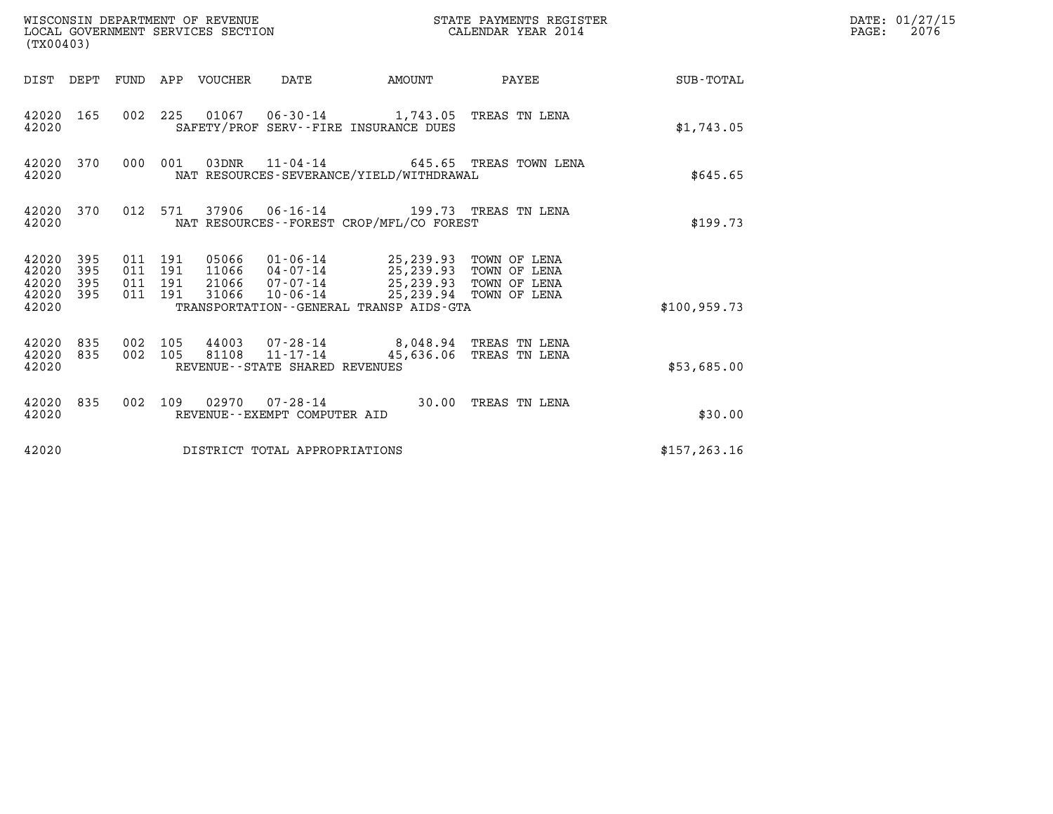| WISCONSIN DEPARTMENT OF REVENUE<br>(TX00403)                    | LOCAL GOVERNMENT SERVICES SECTION                                                                                                                                                                                                                                | STATE PAYMENTS REGISTER<br>CALENDAR YEAR 2014 | DATE: 01/27/15<br>$\mathtt{PAGE:}$<br>2076 |
|-----------------------------------------------------------------|------------------------------------------------------------------------------------------------------------------------------------------------------------------------------------------------------------------------------------------------------------------|-----------------------------------------------|--------------------------------------------|
|                                                                 | DIST DEPT FUND APP VOUCHER DATE                                                                                                                                                                                                                                  | AMOUNT PAYEE SUB-TOTAL                        |                                            |
| 42020 165<br>42020                                              | 002 225 01067 06-30-14 1,743.05 TREAS TN LENA<br>SAFETY/PROF SERV--FIRE INSURANCE DUES                                                                                                                                                                           | \$1,743.05                                    |                                            |
| 42020 370<br>42020                                              | 000 001<br>03DNR  11-04-14  645.65 TREAS TOWN LENA<br>NAT RESOURCES-SEVERANCE/YIELD/WITHDRAWAL                                                                                                                                                                   | \$645.65                                      |                                            |
| 42020 370<br>42020                                              | 012 571 37906 06-16-14 199.73 TREAS TN LENA<br>NAT RESOURCES--FOREST CROP/MFL/CO FOREST                                                                                                                                                                          | \$199.73                                      |                                            |
| 42020 395<br>42020<br>395<br>42020<br>395<br>42020 395<br>42020 | 05066  01-06-14  25,239.93  TOWN OF LENA<br>11066  04-07-14  25,239.93  TOWN OF LENA<br>011 191<br>011 191<br>21066 07-07-14 25,239.93 TOWN OF LENA<br>011 191<br>10-06-14 25,239.94 TOWN OF LENA<br>011 191<br>31066<br>TRANSPORTATION--GENERAL TRANSP AIDS-GTA | \$100.959.73                                  |                                            |
| 42020 835<br>42020 835<br>42020                                 | 002 105<br>44003 07-28-14 8,048.94 TREAS TN LENA<br>81108 11-17-14<br>002 105<br>REVENUE--STATE SHARED REVENUES                                                                                                                                                  | 45,636.06 TREAS TN LENA<br>\$53,685.00        |                                            |
| 42020 835<br>42020                                              | 002 109 02970 07-28-14 30.00 TREAS TN LENA<br>REVENUE--EXEMPT COMPUTER AID                                                                                                                                                                                       |                                               | \$30.00                                    |
| 42020                                                           | DISTRICT TOTAL APPROPRIATIONS                                                                                                                                                                                                                                    | \$157, 263.16                                 |                                            |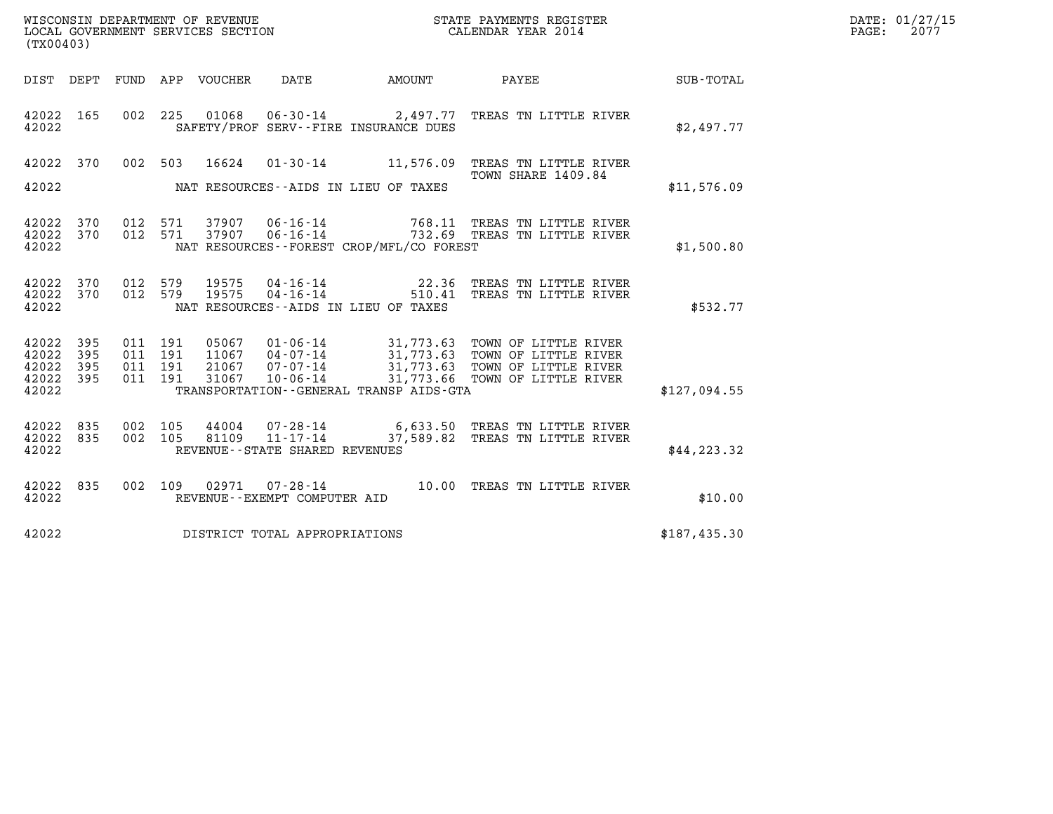| WISCONSIN DEPARTMENT OF REVENUE<br>LOCAL GOVERNMENT SERVICES SECTION<br>(TX00403) |                   |                                          |         |                                  |                                   | STATE PAYMENTS REGISTER<br>CALENDAR YEAR 2014 |                                                                                                                                                                          |              | DATE: 01/27/15<br>$\mathtt{PAGE:}$<br>2077 |
|-----------------------------------------------------------------------------------|-------------------|------------------------------------------|---------|----------------------------------|-----------------------------------|-----------------------------------------------|--------------------------------------------------------------------------------------------------------------------------------------------------------------------------|--------------|--------------------------------------------|
|                                                                                   |                   |                                          |         | DIST DEPT FUND APP VOUCHER       | DATE                              | AMOUNT PAYEE                                  |                                                                                                                                                                          | SUB-TOTAL    |                                            |
| 42022 165<br>42022                                                                |                   | 002 225                                  |         | 01068                            |                                   | SAFETY/PROF SERV--FIRE INSURANCE DUES         | 06-30-14 2,497.77 TREAS TN LITTLE RIVER                                                                                                                                  | \$2,497.77   |                                            |
| 42022 370<br>42022                                                                |                   |                                          | 002 503 |                                  |                                   | NAT RESOURCES--AIDS IN LIEU OF TAXES          | 16624  01-30-14   11,576.09   TREAS TN LITTLE RIVER<br>TOWN SHARE 1409.84                                                                                                | \$11,576.09  |                                            |
| 42022 370<br>42022 370<br>42022                                                   |                   | 012 571<br>012 571                       |         | 37907<br>37907                   | 06-16-14<br>$06 - 16 - 14$        | NAT RESOURCES--FOREST CROP/MFL/CO FOREST      | 768.11 TREAS TN LITTLE RIVER<br>732.69 TREAS TN LITTLE RIVER                                                                                                             | \$1,500.80   |                                            |
| 42022 370<br>42022<br>42022                                                       | 370               | 012 579<br>012 579                       |         | 19575<br>19575                   | 04-16-14<br>04-16-14              | NAT RESOURCES--AIDS IN LIEU OF TAXES          | 22.36 TREAS TN LITTLE RIVER<br>510.41 TREAS TN LITTLE RIVER                                                                                                              | \$532.77     |                                            |
| 42022 395<br>42022<br>42022<br>42022<br>42022                                     | 395<br>395<br>395 | 011 191<br>011 191<br>011 191<br>011 191 |         | 05067<br>11067<br>21067<br>31067 |                                   | TRANSPORTATION--GENERAL TRANSP AIDS-GTA       | 01-06-14 31,773.63 TOWN OF LITTLE RIVER<br>04-07-14 31,773.63 TOWN OF LITTLE RIVER<br>07-07-14 31,773.63 TOWN OF LITTLE RIVER<br>10-06-14 31,773.66 TOWN OF LITTLE RIVER | \$127,094.55 |                                            |
| 42022 835<br>42022<br>42022                                                       | 835               | 002 105<br>002 105                       |         | 44004<br>81109                   | REVENUE - - STATE SHARED REVENUES |                                               | 07-28-14 6,633.50 TREAS TN LITTLE RIVER<br>11-17-14 37,589.82 TREAS TN LITTLE RIVER                                                                                      | \$44, 223.32 |                                            |
| 42022 835<br>42022                                                                |                   | 002 109                                  |         |                                  | REVENUE--EXEMPT COMPUTER AID      |                                               | 02971 07-28-14 10.00 TREAS TN LITTLE RIVER                                                                                                                               | \$10.00      |                                            |
| 42022                                                                             |                   |                                          |         |                                  | DISTRICT TOTAL APPROPRIATIONS     |                                               |                                                                                                                                                                          | \$187,435.30 |                                            |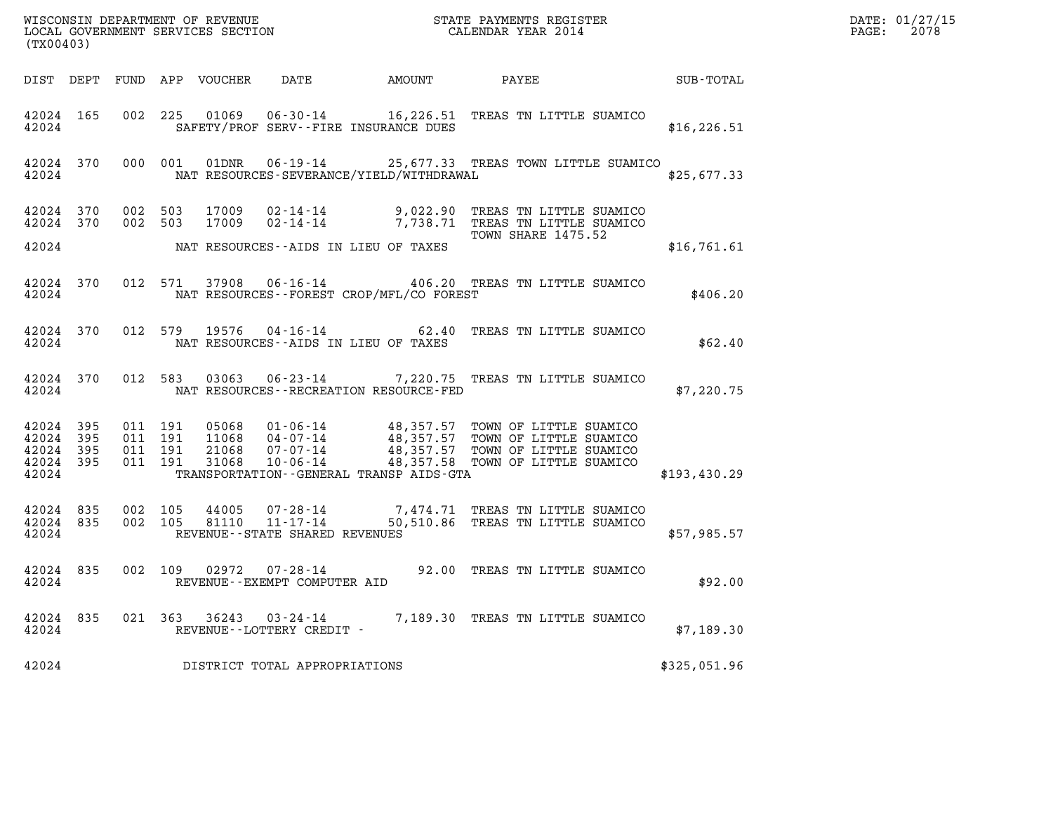| (TX00403)                                     |                   |                               |         |                |                                                     |                                              |                                                                                                                                                                                                                      |              | DATE: 01/27/15<br>$\mathtt{PAGE:}$<br>2078 |
|-----------------------------------------------|-------------------|-------------------------------|---------|----------------|-----------------------------------------------------|----------------------------------------------|----------------------------------------------------------------------------------------------------------------------------------------------------------------------------------------------------------------------|--------------|--------------------------------------------|
|                                               |                   |                               |         |                |                                                     |                                              |                                                                                                                                                                                                                      |              |                                            |
| 42024 165<br>42024                            |                   |                               |         |                |                                                     | SAFETY/PROF SERV--FIRE INSURANCE DUES        | 002 225 01069 06-30-14 16,226.51 TREAS TN LITTLE SUAMICO                                                                                                                                                             | \$16, 226.51 |                                            |
| 42024                                         | 42024 370         |                               |         |                |                                                     |                                              | 000 001 01DNR 06-19-14 25,677.33 TREAS TOWN LITTLE SUAMICO<br>NAT RESOURCES-SEVERANCE/YIELD/WITHDRAWAL                                                                                                               | \$25,677.33  |                                            |
| 42024 370<br>42024 370                        |                   |                               |         |                |                                                     |                                              | 002 503 17009 02-14-14 9,022.90 TREAS TN LITTLE SUAMICO<br>002 503 17009 02-14-14 7,738.71 TREAS TN LITTLE SUAMICO                                                                                                   |              |                                            |
| 42024                                         |                   |                               |         |                |                                                     | NAT RESOURCES -- AIDS IN LIEU OF TAXES       | TOWN SHARE 1475.52                                                                                                                                                                                                   | \$16,761.61  |                                            |
| 42024                                         | 42024 370         |                               |         |                |                                                     | NAT RESOURCES--FOREST CROP/MFL/CO FOREST     | 012 571 37908 06-16-14 406.20 TREAS TN LITTLE SUAMICO                                                                                                                                                                | \$406.20     |                                            |
| 42024                                         | 42024 370         |                               |         |                |                                                     | NAT RESOURCES--AIDS IN LIEU OF TAXES         | 012 579 19576 04-16-14 62.40 TREAS TN LITTLE SUAMICO                                                                                                                                                                 | \$62.40      |                                            |
| 42024                                         |                   |                               |         |                |                                                     | NAT RESOURCES - - RECREATION RESOURCE - FED  | 42024 370 012 583 03063 06-23-14 7,220.75 TREAS TN LITTLE SUAMICO                                                                                                                                                    | \$7,220.75   |                                            |
| 42024 395<br>42024<br>42024<br>42024<br>42024 | 395<br>395<br>395 | 011 191<br>011 191<br>011 191 | 011 191 |                |                                                     | TRANSPORTATION - - GENERAL TRANSP AIDS - GTA | 05068  01-06-14  48,357.57  TOWN OF LITTLE SUAMICO<br>11068  04-07-14  48,357.57  TOWN OF LITTLE SUAMICO<br>21068  07-07-14  48,357.57  TOWN OF LITTLE SUAMICO<br>31068  10-06-14  48,357.58  TOWN OF LITTLE SUAMICO | \$193,430.29 |                                            |
| 42024 835<br>42024                            | 42024 835         | 002 105                       | 002 105 | 44005<br>81110 | REVENUE--STATE SHARED REVENUES                      |                                              | 07-28-14 7,474.71 TREAS TN LITTLE SUAMICO<br>11-17-14 50,510.86 TREAS TN LITTLE SUAMICO                                                                                                                              | \$57,985.57  |                                            |
| 42024                                         | 42024 835         |                               |         |                | REVENUE - - EXEMPT COMPUTER AID                     |                                              | 002 109 02972 07-28-14 92.00 TREAS TN LITTLE SUAMICO                                                                                                                                                                 | \$92.00      |                                            |
| 42024 835<br>42024                            |                   |                               |         |                | 021 363 36243 03-24-14<br>REVENUE--LOTTERY CREDIT - |                                              | 7,189.30 TREAS TN LITTLE SUAMICO                                                                                                                                                                                     | \$7,189.30   |                                            |
| 42024                                         |                   |                               |         |                | DISTRICT TOTAL APPROPRIATIONS                       |                                              |                                                                                                                                                                                                                      | \$325,051.96 |                                            |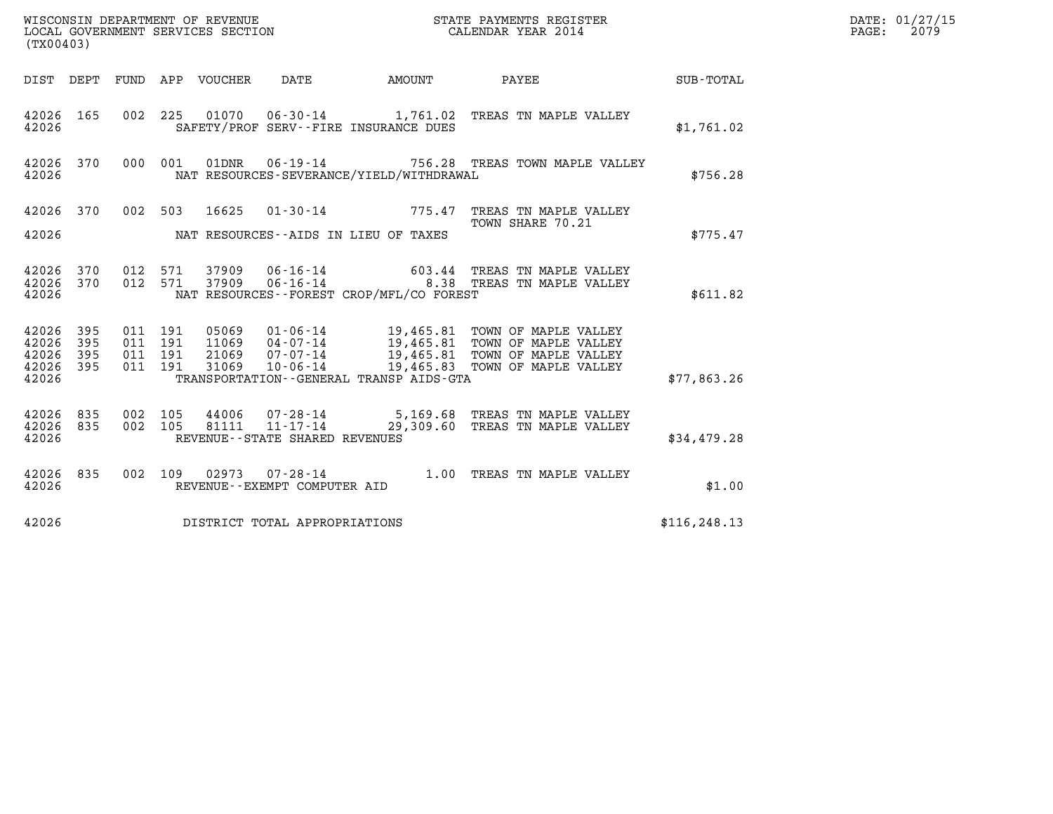| WISCONSIN DEPARTMENT OF REVENUE<br>LOCAL GOVERNMENT SERVICES SECTION<br>CALENDAR YEAR 2014<br>(TX00403) |     |                               |         |  |                                |                                            |                                                                                                                                                                                                                                                    | $\mathbf{E} \mathbf{R}$ | DATE: 01/27/15<br>PAGE: 2079 |
|---------------------------------------------------------------------------------------------------------|-----|-------------------------------|---------|--|--------------------------------|--------------------------------------------|----------------------------------------------------------------------------------------------------------------------------------------------------------------------------------------------------------------------------------------------------|-------------------------|------------------------------|
|                                                                                                         |     |                               |         |  |                                |                                            | DIST DEPT FUND APP VOUCHER DATE AMOUNT PAYEE SUB-TOTAL                                                                                                                                                                                             |                         |                              |
| 42026 165<br>42026                                                                                      |     |                               |         |  |                                | SAFETY/PROF SERV--FIRE INSURANCE DUES      | 002 225 01070 06-30-14 1,761.02 TREAS TN MAPLE VALLEY                                                                                                                                                                                              | \$1,761.02              |                              |
| 42026                                                                                                   |     |                               |         |  |                                | NAT RESOURCES-SEVERANCE/YIELD/WITHDRAWAL   | 42026 370 000 001 01DNR 06-19-14 756.28 TREAS TOWN MAPLE VALLEY                                                                                                                                                                                    | \$756.28                |                              |
|                                                                                                         |     |                               |         |  |                                | 42026 MAT RESOURCES--AIDS IN LIEU OF TAXES | 42026 370 002 503 16625 01-30-14 775.47 TREAS TN MAPLE VALLEY<br>TOWN SHARE 70.21<br>TOWN SHARE 70.21                                                                                                                                              | \$775.47                |                              |
| 42026                                                                                                   |     |                               |         |  |                                | NAT RESOURCES--FOREST CROP/MFL/CO FOREST   | $\begin{array}{cccc} 42026 & 370 & 012 & 571 & 37909 & 06\text{-}16\text{-}14 & & & & & 603.44 & \text{TREAS TN MAPLE VALLEY} \\ 42026 & 370 & 012 & 571 & 37909 & 06\text{-}16\text{-}14 & & & & 8.38 & \text{TREAS TN MAPLE VALLEY} \end{array}$ | \$611.82                |                              |
| 42026 395<br>42026 395<br>42026<br>42026 395<br>42026                                                   | 395 | 011 191<br>011 191<br>011 191 | 011 191 |  |                                | TRANSPORTATION - - GENERAL TRANSP AIDS-GTA | 05069  01-06-14  19,465.81  TOWN OF MAPLE VALLEY<br>11069  04-07-14  19,465.81  TOWN OF MAPLE VALLEY<br>21069  07-07-14  19,465.81  TOWN OF MAPLE VALLEY<br>31069  10-06-14  19,465.83  TOWN OF MAPLE VALLEY                                       | \$77,863.26             |                              |
| 42026                                                                                                   |     |                               |         |  | REVENUE--STATE SHARED REVENUES |                                            | $\begin{array}{cccc} 42026 & 835 & 002 & 105 & 44006 & 07\cdot 28\cdot 14 & 5,169.68 & \text{TREAS TN MAPLE VALLEY} \\ 42026 & 835 & 002 & 105 & 81111 & 11\cdot 17\cdot 14 & 29,309.60 & \text{TREAS TN MAPLE VALLEY} \end{array}$                | \$34,479.28             |                              |
| 42026 835<br>42026                                                                                      |     |                               |         |  | REVENUE--EXEMPT COMPUTER AID   |                                            | 002 109 02973 07-28-14 1.00 TREAS TN MAPLE VALLEY                                                                                                                                                                                                  | \$1.00                  |                              |
| 42026                                                                                                   |     |                               |         |  | DISTRICT TOTAL APPROPRIATIONS  |                                            |                                                                                                                                                                                                                                                    | \$116, 248.13           |                              |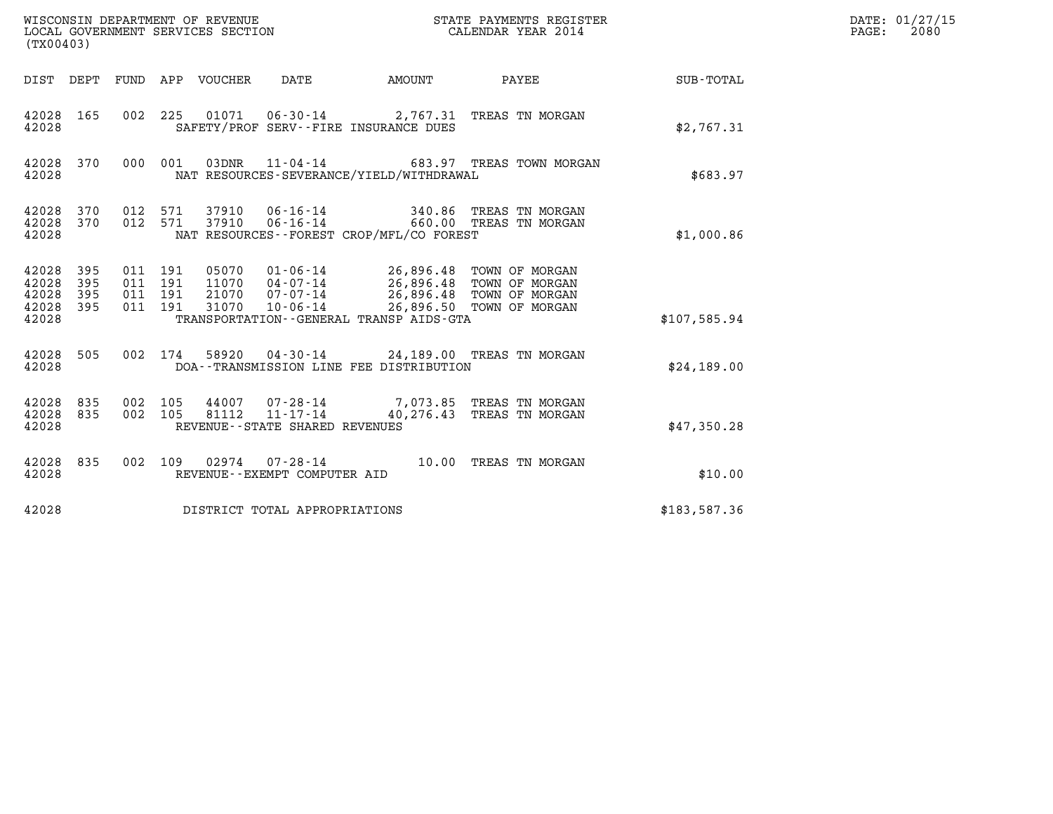| (TX00403)                                 |                          |                                          | WISCONSIN DEPARTMENT OF REVENUE<br>LOCAL GOVERNMENT SERVICES SECTION |                                                                 |                                                                                                                   | STATE PAYMENTS REGISTER<br>CALENDAR YEAR 2014         |              | DATE: 01/27/15<br>$\mathtt{PAGE:}$<br>2080 |
|-------------------------------------------|--------------------------|------------------------------------------|----------------------------------------------------------------------|-----------------------------------------------------------------|-------------------------------------------------------------------------------------------------------------------|-------------------------------------------------------|--------------|--------------------------------------------|
|                                           |                          |                                          | DIST DEPT FUND APP VOUCHER DATE                                      |                                                                 | AMOUNT                                                                                                            | PAYEE                                                 | SUB-TOTAL    |                                            |
| 42028 165<br>42028                        |                          |                                          |                                                                      |                                                                 | SAFETY/PROF SERV--FIRE INSURANCE DUES                                                                             | 002 225 01071 06-30-14 2,767.31 TREAS TN MORGAN       | \$2,767.31   |                                            |
| 42028 370<br>42028                        |                          | 000 001                                  | 03DNR                                                                |                                                                 | NAT RESOURCES-SEVERANCE/YIELD/WITHDRAWAL                                                                          | 11-04-14 683.97 TREAS TOWN MORGAN                     | \$683.97     |                                            |
| 42028 370<br>42028<br>42028               | 370                      | 012 571<br>012 571                       | 37910<br>37910                                                       | 06-16-14<br>$06 - 16 - 14$                                      | NAT RESOURCES--FOREST CROP/MFL/CO FOREST                                                                          | 340.86 TREAS TN MORGAN<br>660.00 TREAS TN MORGAN      | \$1,000.86   |                                            |
| 42028<br>42028<br>42028<br>42028<br>42028 | 395<br>395<br>395<br>395 | 011 191<br>011 191<br>011 191<br>011 191 | 21070<br>31070                                                       | 11070 04-07-14<br>$07 - 07 - 14$<br>10-06-14                    | 05070  01-06-14  26,896.48  TOWN OF MORGAN<br>26,896.48 TOWN OF MORGAN<br>TRANSPORTATION--GENERAL TRANSP AIDS-GTA | 26,896.48 TOWN OF MORGAN<br>26,896.50 TOWN OF MORGAN  | \$107,585.94 |                                            |
| 42028<br>42028                            | 505                      | 002 174                                  | 58920                                                                |                                                                 | DOA--TRANSMISSION LINE FEE DISTRIBUTION                                                                           | 04-30-14 24,189.00 TREAS TN MORGAN                    | \$24,189.00  |                                            |
| 42028<br>42028<br>42028                   | 835<br>835               | 002 105<br>002 105                       | 81112                                                                | 44007 07-28-14<br>11-17-14<br>REVENUE - - STATE SHARED REVENUES |                                                                                                                   | 7,073.85 TREAS TN MORGAN<br>40,276.43 TREAS TN MORGAN | \$47,350.28  |                                            |
| 42028 835<br>42028                        |                          |                                          |                                                                      | 002 109 02974 07-28-14<br>REVENUE--EXEMPT COMPUTER AID          |                                                                                                                   | 10.00 TREAS TN MORGAN                                 | \$10.00      |                                            |
| 42028                                     |                          |                                          |                                                                      | DISTRICT TOTAL APPROPRIATIONS                                   |                                                                                                                   |                                                       | \$183,587.36 |                                            |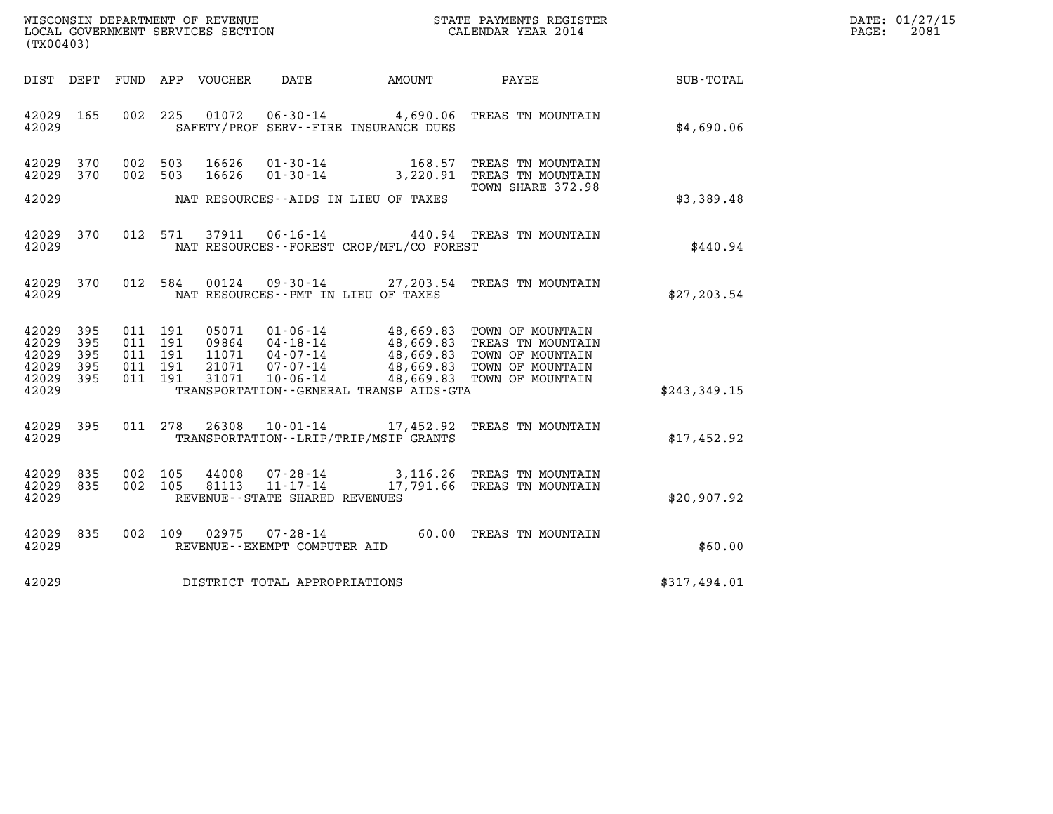| WISCONSIN DEPARTMENT OF REVENUE   | STATE PAYMENTS REGISTER | DATE: 01/27/15 |
|-----------------------------------|-------------------------|----------------|
| LOCAL GOVERNMENT SERVICES SECTION | CALENDAR YEAR 2014      | 2081<br>PAGE:  |

| WISCONSIN DEPARTMENT OF REVENUE<br>LOCAL GOVERNMENT SERVICES SECTION<br>(TX00403)                               |                                                                                                                                                                        | STATE PAYMENTS REGISTER<br>CALENDAR YEAR 2014                                                                                                                      |                  |  |
|-----------------------------------------------------------------------------------------------------------------|------------------------------------------------------------------------------------------------------------------------------------------------------------------------|--------------------------------------------------------------------------------------------------------------------------------------------------------------------|------------------|--|
| DIST<br>DEPT<br>FUND                                                                                            | APP<br>VOUCHER<br>DATE                                                                                                                                                 | AMOUNT<br>PAYEE                                                                                                                                                    | <b>SUB-TOTAL</b> |  |
| 42029<br>165<br>002<br>42029                                                                                    | 225<br>01072<br>$06 - 30 - 14$<br>SAFETY/PROF SERV--FIRE INSURANCE DUES                                                                                                | 4,690.06<br>TREAS TN MOUNTAIN                                                                                                                                      | \$4,690.06       |  |
| 370<br>002<br>42029<br>370<br>42029<br>002                                                                      | 503<br>16626<br>$01 - 30 - 14$<br>503<br>16626<br>$01 - 30 - 14$                                                                                                       | 168.57<br>TREAS TN MOUNTAIN<br>3,220.91<br>TREAS TN MOUNTAIN<br>TOWN SHARE 372.98                                                                                  |                  |  |
| 42029                                                                                                           | NAT RESOURCES -- AIDS IN LIEU OF TAXES                                                                                                                                 |                                                                                                                                                                    | \$3,389.48       |  |
| 42029<br>370<br>012<br>42029                                                                                    | 37911<br>$06 - 16 - 14$<br>571<br>NAT RESOURCES - - FOREST CROP/MFL/CO FOREST                                                                                          | 440.94<br>TREAS TN MOUNTAIN                                                                                                                                        | \$440.94         |  |
| 012<br>42029<br>370<br>42029                                                                                    | 584<br>00124<br>$09 - 30 - 14$<br>NAT RESOURCES - - PMT IN LIEU OF TAXES                                                                                               | 27,203.54<br>TREAS TN MOUNTAIN                                                                                                                                     | \$27, 203.54     |  |
| 42029<br>395<br>011<br>42029<br>395<br>011<br>42029<br>395<br>011<br>42029<br>395<br>011<br>42029<br>395<br>011 | 191<br>05071<br>$01 - 06 - 14$<br>09864<br>$04 - 18 - 14$<br>191<br>191<br>11071<br>$04 - 07 - 14$<br>191<br>21071<br>$07 - 07 - 14$<br>191<br>31071<br>$10 - 06 - 14$ | 48,669.83<br>TOWN OF MOUNTAIN<br>48,669.83<br>TREAS TN MOUNTAIN<br>48,669.83<br>TOWN OF MOUNTAIN<br>48,669.83<br>TOWN OF MOUNTAIN<br>48,669.83<br>TOWN OF MOUNTAIN |                  |  |
| 42029                                                                                                           | TRANSPORTATION--GENERAL TRANSP AIDS-GTA                                                                                                                                |                                                                                                                                                                    | \$243, 349.15    |  |
| 42029<br>395<br>011<br>42029                                                                                    | 278<br>26308<br>$10 - 01 - 14$<br>TRANSPORTATION - - LRIP/TRIP/MSIP GRANTS                                                                                             | 17,452.92<br>TREAS TN MOUNTAIN                                                                                                                                     | \$17,452.92      |  |
| 835<br>002<br>42029<br>42029<br>835<br>002<br>42029                                                             | 105<br>44008<br>$07 - 28 - 14$<br>$11 - 17 - 14$<br>81113<br>105<br>REVENUE - - STATE SHARED REVENUES                                                                  | 3,116.26<br>TREAS TN MOUNTAIN<br>17,791.66<br>TREAS TN MOUNTAIN                                                                                                    | \$20,907.92      |  |
| 835<br>42029<br>002<br>42029                                                                                    | 109<br>02975<br>$07 - 28 - 14$<br>REVENUE - - EXEMPT COMPUTER AID                                                                                                      | 60.00<br>TREAS TN MOUNTAIN                                                                                                                                         | \$60.00          |  |
| 42029                                                                                                           | DISTRICT TOTAL APPROPRIATIONS                                                                                                                                          |                                                                                                                                                                    | \$317,494.01     |  |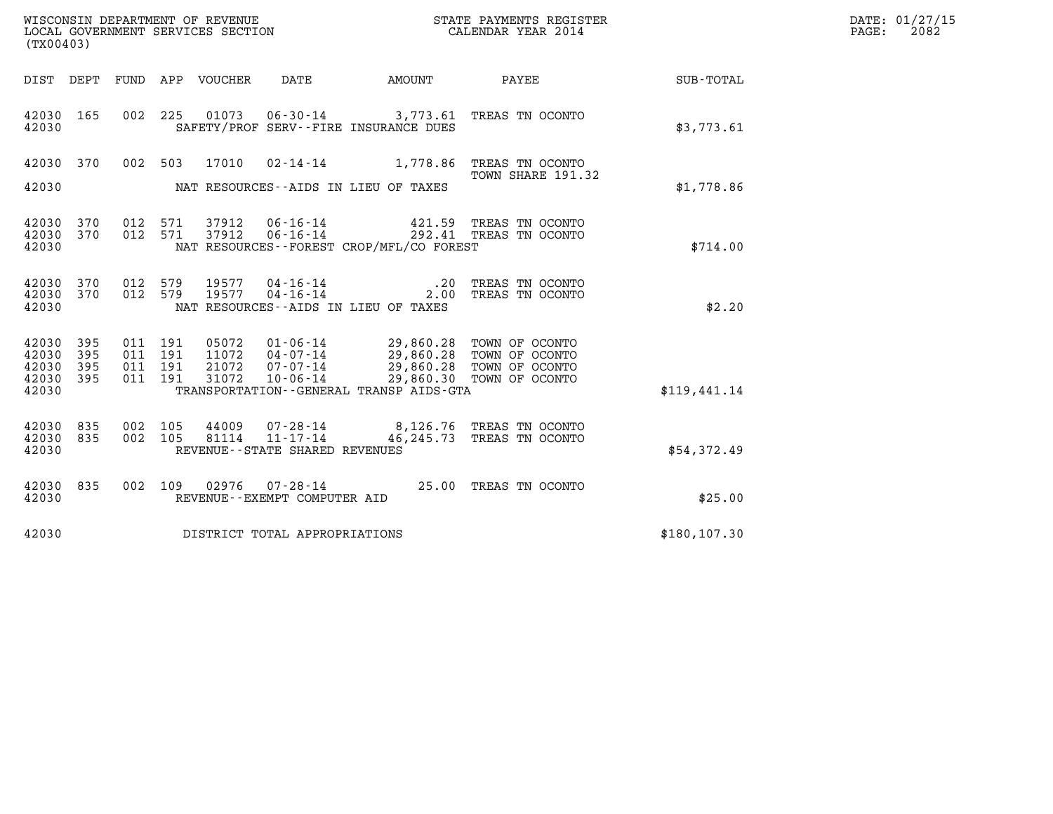| WISCONSIN DEPARTMENT OF REVENUE<br>LOCAL GOVERNMENT SERVICES SECTION<br>(TX00403) |                   |                                      |         |                                  |                                                     |                                                                              | STATE PAYMENTS REGISTER<br>CALENDAR YEAR 2014                                    |               | DATE: 01/27/15<br>$\mathtt{PAGE:}$<br>2082 |
|-----------------------------------------------------------------------------------|-------------------|--------------------------------------|---------|----------------------------------|-----------------------------------------------------|------------------------------------------------------------------------------|----------------------------------------------------------------------------------|---------------|--------------------------------------------|
|                                                                                   |                   |                                      |         | DIST DEPT FUND APP VOUCHER       | DATE                                                |                                                                              |                                                                                  |               |                                            |
| 42030 165<br>42030                                                                |                   | 002 225                              |         | 01073                            |                                                     | SAFETY/PROF SERV--FIRE INSURANCE DUES                                        | 06-30-14 3,773.61 TREAS TN OCONTO                                                | \$3,773.61    |                                            |
| 42030 370                                                                         |                   |                                      | 002 503 |                                  |                                                     |                                                                              | 17010  02-14-14   1,778.86   TREAS TN OCONTO                                     |               |                                            |
| 42030                                                                             |                   |                                      |         |                                  |                                                     | NAT RESOURCES--AIDS IN LIEU OF TAXES                                         | TOWN SHARE 191.32                                                                | \$1,778.86    |                                            |
| 42030 370<br>42030 370<br>42030                                                   |                   | 012 571<br>012 571                   |         | 37912<br>37912                   | 06-16-14<br>$06 - 16 - 14$                          | NAT RESOURCES--FOREST CROP/MFL/CO FOREST                                     | 421.59 TREAS TN OCONTO<br>292.41 TREAS TN OCONTO                                 | \$714.00      |                                            |
| 42030 370<br>42030<br>42030                                                       | 370               | 012 579<br>012 579                   |         | 19577<br>19577                   | $04 - 16 - 14$<br>$04 - 16 - 14$                    | .20<br>NAT RESOURCES -- AIDS IN LIEU OF TAXES                                | TREAS TN OCONTO<br>2.00 TREAS TN OCONTO                                          | \$2.20        |                                            |
| 42030 395<br>42030<br>42030<br>42030<br>42030                                     | 395<br>395<br>395 | 011 191<br>011<br>011 191<br>011 191 | 191     | 05072<br>11072<br>21072<br>31072 | $04 - 07 - 14$<br>$07 - 07 - 14$<br>10-06-14        | 01-06-14 29,860.28 TOWN OF OCONTO<br>TRANSPORTATION--GENERAL TRANSP AIDS-GTA | 29,860.28 TOWN OF OCONTO<br>29,860.28 TOWN OF OCONTO<br>29,860.30 TOWN OF OCONTO | \$119,441.14  |                                            |
| 42030 835<br>42030 835<br>42030                                                   |                   | 002 105<br>002 105                   |         | 44009                            | 81114 11-17-14<br>REVENUE - - STATE SHARED REVENUES |                                                                              | 07-28-14 8,126.76 TREAS TN OCONTO<br>46,245.73 TREAS TN OCONTO                   | \$54,372.49   |                                            |
| 42030 835<br>42030                                                                |                   | 002 109                              |         |                                  | REVENUE--EXEMPT COMPUTER AID                        |                                                                              | 02976  07-28-14  25.00 TREAS TN OCONTO                                           | \$25.00       |                                            |
| 42030                                                                             |                   |                                      |         |                                  | DISTRICT TOTAL APPROPRIATIONS                       |                                                                              |                                                                                  | \$180, 107.30 |                                            |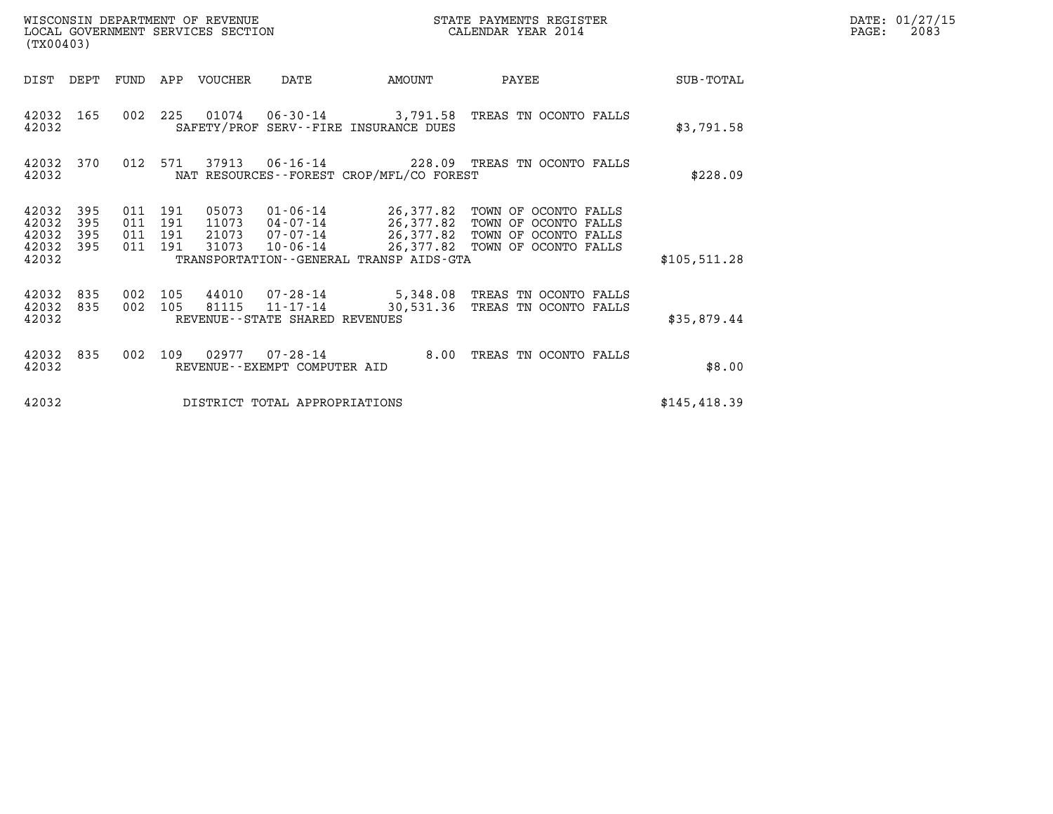| (TX00403)                                     |                   | WISCONSIN DEPARTMENT OF REVENUE<br>LOCAL GOVERNMENT SERVICES SECTION |                                                     | STATE PAYMENTS REGISTER<br>CALENDAR YEAR 2014 |                                                                                                                                                                                            |               | DATE: 01/27/15<br>$\mathtt{PAGE}$ :<br>2083 |
|-----------------------------------------------|-------------------|----------------------------------------------------------------------|-----------------------------------------------------|-----------------------------------------------|--------------------------------------------------------------------------------------------------------------------------------------------------------------------------------------------|---------------|---------------------------------------------|
| DIST DEPT                                     | FUND              | APP VOUCHER                                                          | DATE                                                | AMOUNT                                        | PAYEE                                                                                                                                                                                      | SUB-TOTAL     |                                             |
| 42032 165<br>42032                            |                   |                                                                      | SAFETY/PROF SERV--FIRE INSURANCE DUES               |                                               | 002  225  01074  06-30-14  3,791.58  TREAS TN OCONTO FALLS                                                                                                                                 | \$3,791.58    |                                             |
| 42032 370<br>42032                            |                   | 012 571<br>37913                                                     | NAT RESOURCES - - FOREST CROP/MFL/CO FOREST         |                                               | 06-16-14 228.09 TREAS TN OCONTO FALLS                                                                                                                                                      | \$228.09      |                                             |
| 42032<br>42032<br>42032<br>42032 395<br>42032 | 395<br>395<br>395 | 011 191<br>05073<br>011 191<br>011 191<br>011 191<br>31073           | TRANSPORTATION--GENERAL TRANSP AIDS-GTA             |                                               | 01-06-14 26,377.82 TOWN OF OCONTO FALLS<br>11073  04-07-14  26,377.82  TOWN OF OCONTO FALLS<br>21073  07-07-14  26,377.82  TOWN OF OCONTO FALLS<br>10-06-14 26,377.82 TOWN OF OCONTO FALLS | \$105,511.28  |                                             |
| 42032 835<br>42032 835<br>42032               | 002               | 105<br>44010<br>002 105<br>81115                                     | $11 - 17 - 14$<br>REVENUE - - STATE SHARED REVENUES |                                               | 07-28-14 5,348.08 TREAS TN OCONTO FALLS<br>30,531.36 TREAS TN OCONTO FALLS                                                                                                                 | \$35,879.44   |                                             |
| 42032 835<br>42032                            | 002               | 109                                                                  | REVENUE - - EXEMPT COMPUTER AID                     | 8.00                                          | TREAS TN OCONTO FALLS                                                                                                                                                                      | \$8.00        |                                             |
| 42032                                         |                   |                                                                      | DISTRICT TOTAL APPROPRIATIONS                       |                                               |                                                                                                                                                                                            | \$145, 418.39 |                                             |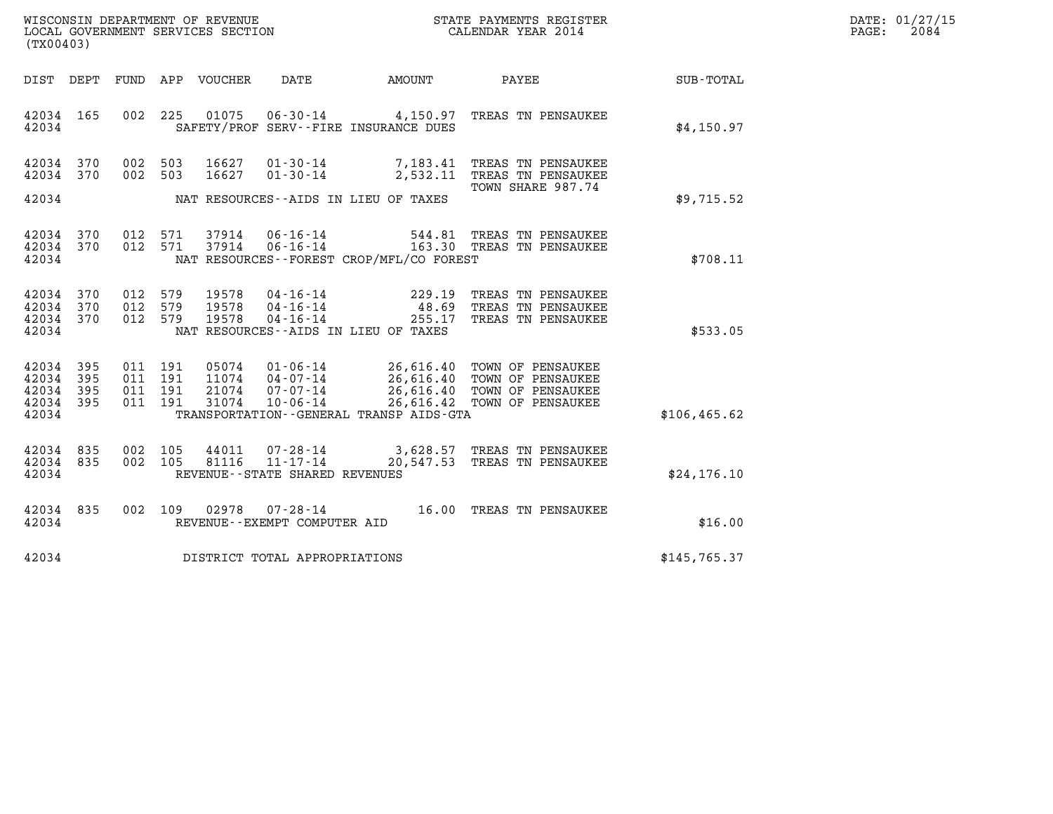| WISCONSIN DEPARTMENT OF REVENUE   | STATE PAYMENTS REGISTER | DATE: 01/27/15 |
|-----------------------------------|-------------------------|----------------|
| LOCAL GOVERNMENT SERVICES SECTION | CALENDAR YEAR 2014      | 2084<br>PAGE:  |

| (TX00403)                                                 |                                                                                            |                                              | WISCONSIN DEPARTMENT OF REVENUE<br>LOCAL GOVERNMENT SERVICES SECTION<br>CALENDAR YEAR 2014 |                                                                                                               |               | DATE: 01/27/15<br>$\mathtt{PAGE}$ :<br>2084 |
|-----------------------------------------------------------|--------------------------------------------------------------------------------------------|----------------------------------------------|--------------------------------------------------------------------------------------------|---------------------------------------------------------------------------------------------------------------|---------------|---------------------------------------------|
| DIST DEPT                                                 |                                                                                            |                                              |                                                                                            |                                                                                                               |               |                                             |
| 42034 165<br>42034                                        | 002 225 01075                                                                              | SAFETY/PROF SERV--FIRE INSURANCE DUES        |                                                                                            | 06-30-14 4,150.97 TREAS TN PENSAUKEE                                                                          | \$4,150.97    |                                             |
| 42034 370<br>42034 370                                    | 002 503 16627<br>002 503 16627                                                             |                                              |                                                                                            | 01-30-14 7,183.41 TREAS TN PENSAUKEE<br>01-30-14 2,532.11 TREAS TN PENSAUKEE                                  |               |                                             |
| 42034                                                     | NAT RESOURCES--AIDS IN LIEU OF TAXES                                                       |                                              |                                                                                            | TOWN SHARE 987.74                                                                                             | \$9,715.52    |                                             |
| 42034 370<br>42034 370<br>42034                           |                                                                                            | NAT RESOURCES--FOREST CROP/MFL/CO FOREST     |                                                                                            | 012 571 37914 06-16-14 544.81 TREAS TN PENSAUKEE<br>012 571 37914 06-16-14 163.30 TREAS TN PENSAUKEE          | \$708.11      |                                             |
| 42034 370<br>42034 370<br>42034 370<br>42034              | 012 579 19578<br>19578<br>012 579<br>012 579 19578<br>NAT RESOURCES--AIDS IN LIEU OF TAXES |                                              |                                                                                            | 04-16-14 229.19 TREAS TN PENSAUKEE<br>04-16-14 48.69 TREAS TN PENSAUKEE<br>04-16-14 255.17 TREAS TN PENSAUKEE | \$533.05      |                                             |
| 42034 395<br>42034 395<br>42034 395<br>42034 395<br>42034 |                                                                                            | TRANSPORTATION - - GENERAL TRANSP AIDS - GTA |                                                                                            |                                                                                                               | \$106, 465.62 |                                             |
| 42034 835<br>42034 835<br>42034                           | 002 105<br>002 105<br>81116<br>REVENUE--STATE SHARED REVENUES                              |                                              |                                                                                            | 44011  07-28-14  3,628.57 TREAS TN PENSAUKEE<br>81116  11-17-14  20,547.53 TREAS TN PENSAUKEE                 | \$24.176.10   |                                             |
| 42034 835<br>42034                                        |                                                                                            | REVENUE--EXEMPT COMPUTER AID                 |                                                                                            | 002 109 02978 07-28-14 16.00 TREAS TN PENSAUKEE                                                               | \$16.00       |                                             |
| 42034                                                     | DISTRICT TOTAL APPROPRIATIONS                                                              |                                              |                                                                                            |                                                                                                               | \$145,765.37  |                                             |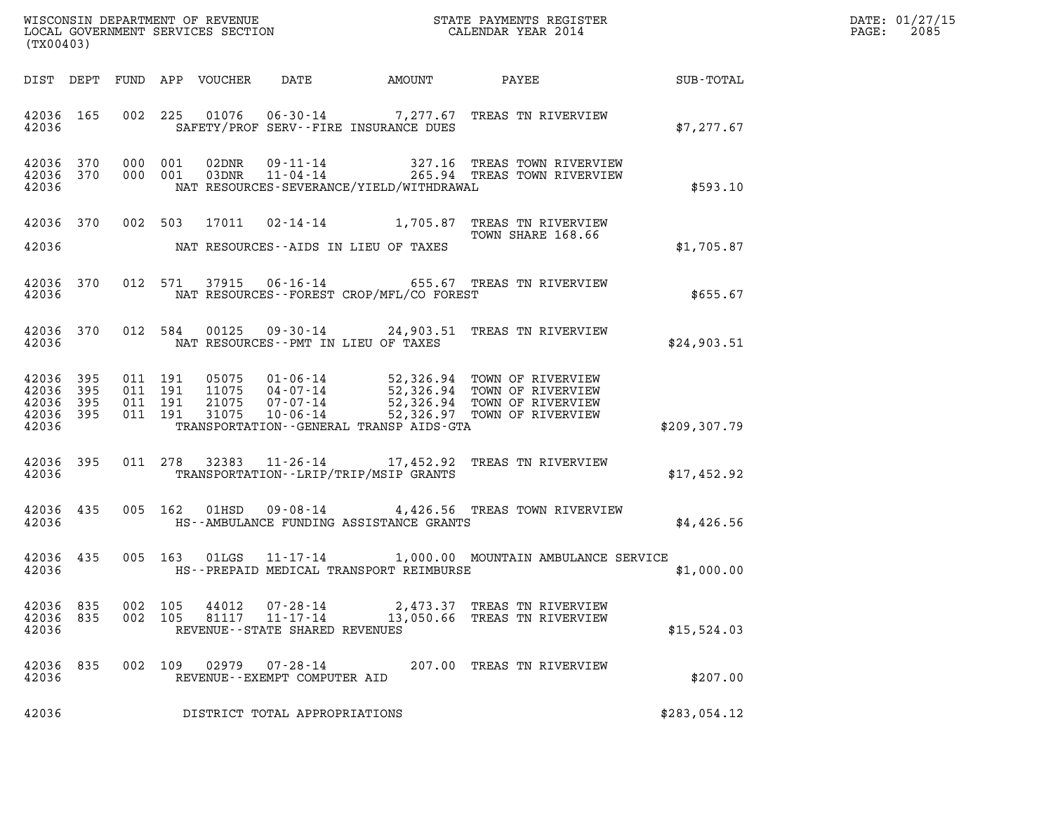| DATE: | 01/27/15 |
|-------|----------|
| PAGE: | 2085     |

| (TX00403)                                             |     |                    |  |                |                                               |                                               |                                                                                                                                                                                                                      |               | DATE: 01/27/15<br>2085<br>$\mathtt{PAGE:}$ |
|-------------------------------------------------------|-----|--------------------|--|----------------|-----------------------------------------------|-----------------------------------------------|----------------------------------------------------------------------------------------------------------------------------------------------------------------------------------------------------------------------|---------------|--------------------------------------------|
|                                                       |     |                    |  |                |                                               |                                               |                                                                                                                                                                                                                      |               |                                            |
| 42036 165<br>42036                                    |     |                    |  |                |                                               | SAFETY/PROF SERV--FIRE INSURANCE DUES         | 002 225 01076 06-30-14 7,277.67 TREAS TN RIVERVIEW                                                                                                                                                                   | \$7,277.67    |                                            |
| 42036 370<br>42036 370<br>42036                       |     | 000 001<br>000 001 |  |                |                                               | NAT RESOURCES-SEVERANCE/YIELD/WITHDRAWAL      | 02DNR  09-11-14  327.16 TREAS TOWN RIVERVIEW<br>03DNR  11-04-14  265.94 TREAS TOWN RIVERVIEW                                                                                                                         | \$593.10      |                                            |
| 42036 370                                             |     |                    |  |                |                                               |                                               | 002 503 17011 02-14-14 1,705.87 TREAS TN RIVERVIEW<br>TOWN SHARE 168.66                                                                                                                                              |               |                                            |
| 42036                                                 |     |                    |  |                |                                               | NAT RESOURCES--AIDS IN LIEU OF TAXES          |                                                                                                                                                                                                                      | \$1,705.87    |                                            |
| 42036 370<br>42036                                    |     |                    |  |                |                                               | NAT RESOURCES--FOREST CROP/MFL/CO FOREST      | 012 571 37915 06-16-14 655.67 TREAS TN RIVERVIEW                                                                                                                                                                     | \$655.67      |                                            |
| 42036                                                 |     |                    |  |                |                                               | NAT RESOURCES--PMT IN LIEU OF TAXES           | 42036 370 012 584 00125 09-30-14 24,903.51 TREAS TN RIVERVIEW                                                                                                                                                        | \$24,903.51   |                                            |
| 42036 395<br>42036<br>42036 395<br>42036 395<br>42036 | 395 |                    |  |                |                                               | TRANSPORTATION - - GENERAL TRANSP AIDS-GTA    | 011 191 05075 01-06-14 52,326.94 TOWN OF RIVERVIEW<br>011 191 11075 04-07-14 52,326.94 TOWN OF RIVERVIEW<br>011 191 21075 07-07-14 52,326.94 TOWN OF RIVERVIEW<br>011 191 31075 10-06-14 52,326.97 TOWN OF RIVERVIEW | \$209, 307.79 |                                            |
| 42036 395<br>42036                                    |     |                    |  |                |                                               | TRANSPORTATION - - LRIP/TRIP/MSIP GRANTS      | 011 278 32383 11-26-14 17,452.92 TREAS TN RIVERVIEW                                                                                                                                                                  | \$17,452.92   |                                            |
| 42036 435                                             |     |                    |  |                |                                               | 42036 HS--AMBULANCE FUNDING ASSISTANCE GRANTS | 005 162 01HSD 09-08-14 4,426.56 TREAS TOWN RIVERVIEW                                                                                                                                                                 | \$4,426.56    |                                            |
| 42036 435<br>42036                                    |     |                    |  |                |                                               | HS--PREPAID MEDICAL TRANSPORT REIMBURSE       | 005 163 01LGS 11-17-14 1,000.00 MOUNTAIN AMBULANCE SERVICE                                                                                                                                                           | \$1,000.00    |                                            |
| 42036 835<br>42036 835<br>42036                       |     | 002 105<br>002 105 |  | 44012<br>81117 | 11-17-14<br>REVENUE - - STATE SHARED REVENUES |                                               | 07-28-14 2,473.37 TREAS TN RIVERVIEW<br>13,050.66 TREAS TN RIVERVIEW                                                                                                                                                 | \$15,524.03   |                                            |
| 42036<br>42036                                        | 835 |                    |  |                | REVENUE--EXEMPT COMPUTER AID                  |                                               | 002 109 02979 07-28-14 207.00 TREAS TN RIVERVIEW                                                                                                                                                                     | \$207.00      |                                            |
| 42036                                                 |     |                    |  |                | DISTRICT TOTAL APPROPRIATIONS                 |                                               |                                                                                                                                                                                                                      | \$283,054.12  |                                            |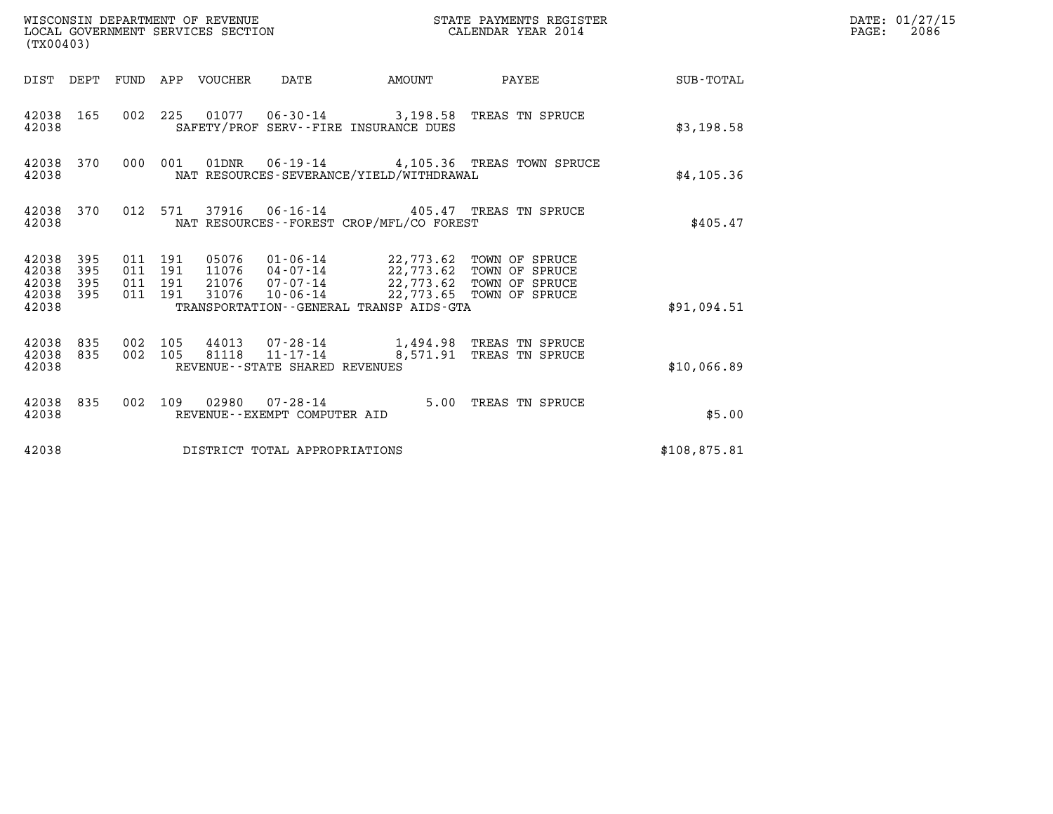| (TX00403)                                                       |                                          | WISCONSIN DEPARTMENT OF REVENUE<br>LOCAL GOVERNMENT SERVICES SECTION                                                                                                                                                               |        | STATE PAYMENTS REGISTER<br>CALENDAR YEAR 2014 |                 | DATE: 01/27/15<br>$\mathtt{PAGE:}$<br>2086 |
|-----------------------------------------------------------------|------------------------------------------|------------------------------------------------------------------------------------------------------------------------------------------------------------------------------------------------------------------------------------|--------|-----------------------------------------------|-----------------|--------------------------------------------|
|                                                                 |                                          | DIST DEPT FUND APP VOUCHER DATE                                                                                                                                                                                                    | AMOUNT |                                               | PAYEE SUB-TOTAL |                                            |
| 42038 165<br>42038                                              |                                          | 002 225 01077 06-30-14 3,198.58 TREAS TN SPRUCE<br>SAFETY/PROF SERV--FIRE INSURANCE DUES                                                                                                                                           |        |                                               | \$3,198.58      |                                            |
| 42038 370<br>42038                                              | 000 001                                  | 01DNR  06-19-14  4,105.36 TREAS TOWN SPRUCE<br>NAT RESOURCES-SEVERANCE/YIELD/WITHDRAWAL                                                                                                                                            |        |                                               | \$4,105.36      |                                            |
| 42038 370<br>42038                                              |                                          | 012 571 37916 06-16-14 405.47 TREAS TN SPRUCE<br>NAT RESOURCES--FOREST CROP/MFL/CO FOREST                                                                                                                                          |        |                                               | \$405.47        |                                            |
| 42038 395<br>42038<br>395<br>395<br>42038<br>42038 395<br>42038 | 011 191<br>011 191<br>011 191<br>011 191 | 05076   01-06-14   22,773.62 TOWN OF SPRUCE<br>11076   04-07-14   22,773.62 TOWN OF SPRUCE<br>21076   07-07-14   22,773.62 TOWN OF SPRUCE<br>31076  10-06-14  22,773.65  TOWN OF SPRUCE<br>TRANSPORTATION--GENERAL TRANSP AIDS-GTA |        |                                               | \$91,094.51     |                                            |
| 42038 835<br>42038 835<br>42038                                 | 002 105<br>002 105                       | 44013  07-28-14   1,494.98 TREAS TN SPRUCE<br>81118  11-17-14   8,571.91 TREAS TN SPRUCE<br>REVENUE--STATE SHARED REVENUES                                                                                                         |        |                                               | \$10,066.89     |                                            |
| 42038 835<br>42038                                              |                                          | 002 109 02980 07-28-14 5.00 TREAS TN SPRUCE<br>REVENUE--EXEMPT COMPUTER AID                                                                                                                                                        |        |                                               | \$5.00          |                                            |
| 42038                                                           |                                          | DISTRICT TOTAL APPROPRIATIONS                                                                                                                                                                                                      |        |                                               | \$108,875.81    |                                            |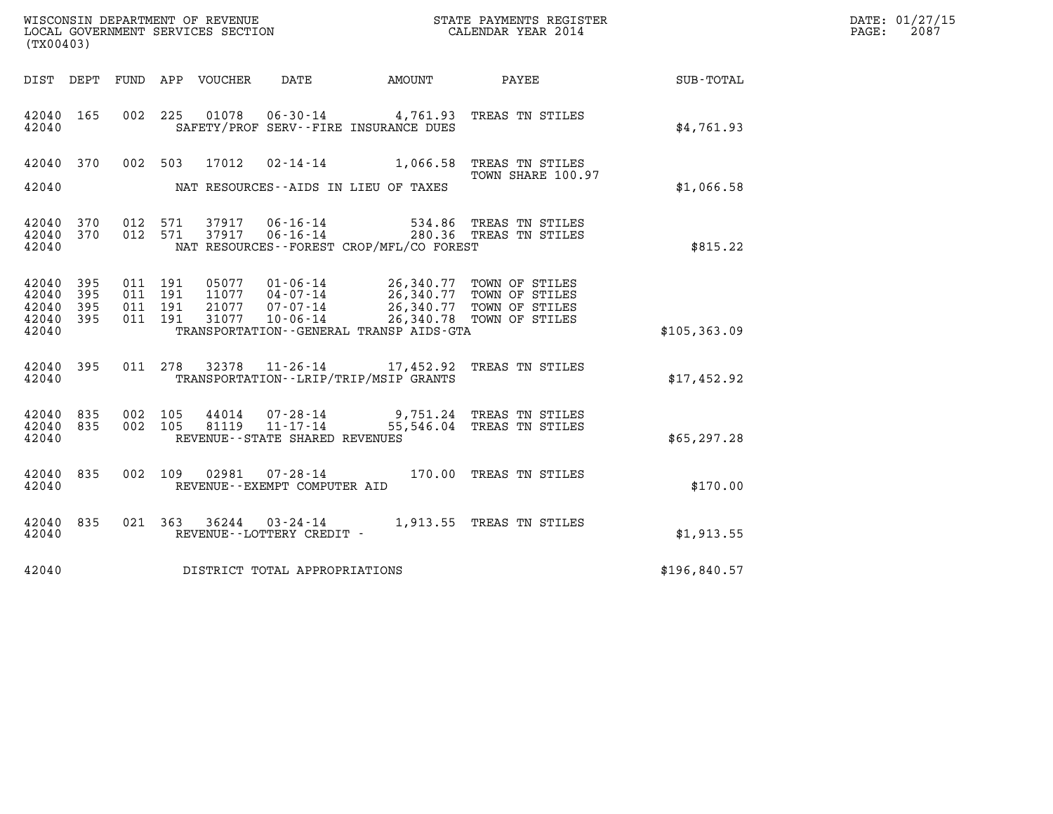| (TX00403)                                 |                          |                               |         | LOCAL GOVERNMENT SERVICES SECTION | WISCONSIN DEPARTMENT OF REVENUE<br>LOCAL GOVERNMENT SERVICES SECTION | STATE PAYMENTS REGISTER<br>CALENDAR YEAR 2014 |                                                                                                                                                                                              |              | DATE: 01/27/15<br>$\mathtt{PAGE:}$<br>2087 |
|-------------------------------------------|--------------------------|-------------------------------|---------|-----------------------------------|----------------------------------------------------------------------|-----------------------------------------------|----------------------------------------------------------------------------------------------------------------------------------------------------------------------------------------------|--------------|--------------------------------------------|
|                                           |                          |                               |         | DIST DEPT FUND APP VOUCHER        | DATE                                                                 | AMOUNT                                        | <b>PAYEE</b>                                                                                                                                                                                 | SUB-TOTAL    |                                            |
| 42040 165<br>42040                        |                          |                               |         |                                   | SAFETY/PROF SERV--FIRE INSURANCE DUES                                |                                               | 002 225 01078 06-30-14 4,761.93 TREAS TN STILES                                                                                                                                              | \$4,761.93   |                                            |
| 42040                                     |                          |                               |         |                                   | NAT RESOURCES--AIDS IN LIEU OF TAXES                                 |                                               | 42040 370 002 503 17012 02-14-14 1,066.58 TREAS TN STILES<br>TOWN SHARE 100.97                                                                                                               | \$1,066.58   |                                            |
| 42040<br>42040<br>42040                   | 370<br>370               |                               |         |                                   | NAT RESOURCES - - FOREST CROP/MFL/CO FOREST                          |                                               | 012 571 37917 06-16-14 534.86 TREAS TN STILES<br>012 571 37917 06-16-14 280.36 TREAS TN STILES                                                                                               | \$815.22     |                                            |
| 42040<br>42040<br>42040<br>42040<br>42040 | 395<br>395<br>395<br>395 | 011 191<br>011 191<br>011 191 | 011 191 | 05077<br>21077<br>31077           | TRANSPORTATION--GENERAL TRANSP AIDS-GTA                              |                                               | 01-06-14 26,340.77 TOWN OF STILES<br>11077  04-07-14  26,340.77  TOWN OF STILES<br>07-07-14<br>07-06-14<br>06-14<br>08.340.77<br>07.77<br>07.77<br>07.77<br>07.77<br>07.77<br>07.77<br>07.77 | \$105,363.09 |                                            |
| 42040 395<br>42040                        |                          |                               |         |                                   | TRANSPORTATION - - LRIP/TRIP/MSIP GRANTS                             |                                               | 011 278 32378 11-26-14 17,452.92 TREAS TN STILES                                                                                                                                             | \$17,452.92  |                                            |
| 42040<br>42040<br>42040                   | 835<br>835               | 002 105                       |         |                                   | REVENUE--STATE SHARED REVENUES                                       |                                               | 44014  07-28-14  9,751.24 TREAS TN STILES<br>002 105 81119 11-17-14 55,546.04 TREAS TN STILES                                                                                                | \$65, 297.28 |                                            |
| 42040 835<br>42040                        |                          |                               |         |                                   | REVENUE--EXEMPT COMPUTER AID                                         |                                               | 002 109 02981 07-28-14 170.00 TREAS TN STILES                                                                                                                                                | \$170.00     |                                            |
|                                           |                          |                               |         |                                   |                                                                      |                                               |                                                                                                                                                                                              |              |                                            |

42040 <br>42040 835 021 363 36244 03-24-14 1,913.55 TREAS TN STILES<br>42040 REVENUE--LOTTERY CREDIT -42040 REVENUE--LOTTERY CREDIT - \$1,913.55

42040 DISTRICT TOTAL APPROPRIATIONS \$196,840.57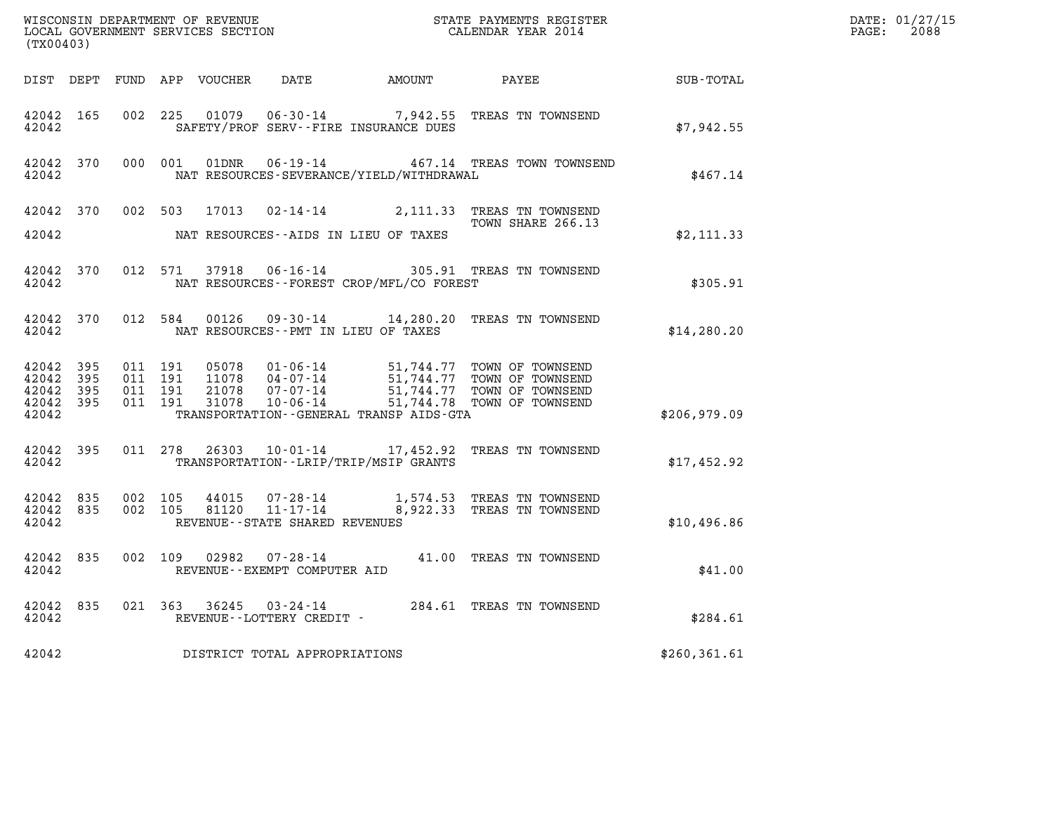| (TX00403)                       |                    |                    |                    |                                |                                              | $\tt WISCONSIM DEPARTMENT OF REVENUE$ $\tt WISCONSIMENT$ SERVICES SECTION $\tt CALENDAR$ YEAR 2014                                                                                           |               | DATE: 01/27/15<br>$\mathtt{PAGE:}$<br>2088 |
|---------------------------------|--------------------|--------------------|--------------------|--------------------------------|----------------------------------------------|----------------------------------------------------------------------------------------------------------------------------------------------------------------------------------------------|---------------|--------------------------------------------|
|                                 |                    |                    |                    |                                |                                              |                                                                                                                                                                                              |               |                                            |
| 42042                           | 42042 165          |                    | 002 225            |                                | SAFETY/PROF SERV--FIRE INSURANCE DUES        | 01079  06-30-14  7,942.55  TREAS TN TOWNSEND                                                                                                                                                 | \$7,942.55    |                                            |
| 42042                           | 42042 370          |                    |                    |                                | NAT RESOURCES-SEVERANCE/YIELD/WITHDRAWAL     | 000 001 01DNR 06-19-14 467.14 TREAS TOWN TOWNSEND                                                                                                                                            | \$467.14      |                                            |
|                                 |                    |                    |                    |                                |                                              | 42042 370 002 503 17013 02-14-14 2,111.33 TREAS TN TOWNSEND<br>TOWN SHARE 266.13                                                                                                             |               |                                            |
| 42042                           |                    |                    |                    |                                | NAT RESOURCES--AIDS IN LIEU OF TAXES         |                                                                                                                                                                                              | \$2,111.33    |                                            |
| 42042                           | 42042 370          |                    |                    |                                | NAT RESOURCES--FOREST CROP/MFL/CO FOREST     | 012 571 37918 06-16-14 305.91 TREAS TN TOWNSEND                                                                                                                                              | \$305.91      |                                            |
| 42042                           |                    |                    |                    |                                | NAT RESOURCES -- PMT IN LIEU OF TAXES        | 42042 370 012 584 00126 09-30-14 14,280.20 TREAS TN TOWNSEND                                                                                                                                 | \$14, 280.20  |                                            |
| 42042 395<br>42042 395          |                    |                    | 011 191<br>011 191 |                                |                                              |                                                                                                                                                                                              |               |                                            |
| 42042 395<br>42042 395<br>42042 |                    |                    | 011 191<br>011 191 |                                | TRANSPORTATION - - GENERAL TRANSP AIDS - GTA | 05078  01-06-14  51,744.77  TOWN OF TOWNSEND<br>11078  04-07-14  51,744.77  TOWN OF TOWNSEND<br>21078  07-07-14  51,744.77  TOWN OF TOWNSEND<br>31078  10-06-14  51,744.78  TOWN OF TOWNSEND | \$206,979.09  |                                            |
| 42042                           | 42042 395          |                    |                    |                                | TRANSPORTATION--LRIP/TRIP/MSIP GRANTS        | 011 278 26303 10-01-14 17,452.92 TREAS TN TOWNSEND                                                                                                                                           | \$17,452.92   |                                            |
| 42042 835<br>42042              | 42042 835          | 002 105<br>002 105 |                    | REVENUE--STATE SHARED REVENUES |                                              |                                                                                                                                                                                              | \$10,496.86   |                                            |
|                                 | 42042 835<br>42042 |                    |                    | REVENUE--EXEMPT COMPUTER AID   |                                              | 002 109 02982 07-28-14 41.00 TREAS TN TOWNSEND                                                                                                                                               | \$41.00       |                                            |
| 42042                           |                    |                    |                    | REVENUE--LOTTERY CREDIT -      |                                              | 42042 835 021 363 36245 03-24-14 284.61 TREAS TN TOWNSEND                                                                                                                                    | \$284.61      |                                            |
| 42042                           |                    |                    |                    | DISTRICT TOTAL APPROPRIATIONS  |                                              |                                                                                                                                                                                              | \$260, 361.61 |                                            |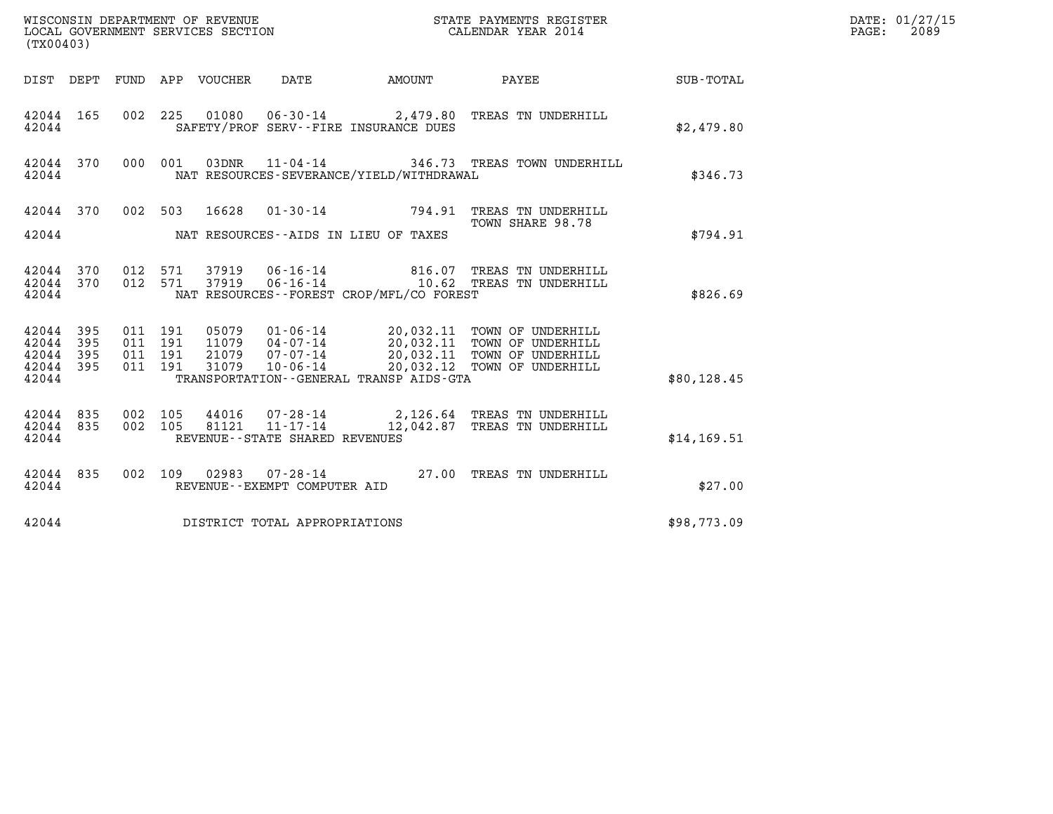| WISCONSIN DEPARTMENT OF REVENUE<br>LOCAL GOVERNMENT SERVICES SECTION<br>CALENDAR YEAR 2014<br>(TX00403) |     |                                          |         |                                 |                                   |                                          |                                                                                                                                                                                                  | DATE: 01/27/15<br>$\mathtt{PAGE:}$<br>2089 |  |
|---------------------------------------------------------------------------------------------------------|-----|------------------------------------------|---------|---------------------------------|-----------------------------------|------------------------------------------|--------------------------------------------------------------------------------------------------------------------------------------------------------------------------------------------------|--------------------------------------------|--|
|                                                                                                         |     |                                          |         | DIST DEPT FUND APP VOUCHER DATE |                                   | AMOUNT PAYEE                             |                                                                                                                                                                                                  | SUB-TOTAL                                  |  |
| 42044 165<br>42044                                                                                      |     |                                          |         |                                 |                                   | SAFETY/PROF SERV--FIRE INSURANCE DUES    | 002 225 01080 06-30-14 2,479.80 TREAS TN UNDERHILL                                                                                                                                               | \$2,479.80                                 |  |
| 42044 370<br>42044                                                                                      |     | 000 001                                  |         |                                 |                                   | NAT RESOURCES-SEVERANCE/YIELD/WITHDRAWAL | 03DNR 11-04-14 346.73 TREAS TOWN UNDERHILL                                                                                                                                                       | \$346.73                                   |  |
| 42044                                                                                                   |     |                                          |         |                                 |                                   | NAT RESOURCES--AIDS IN LIEU OF TAXES     | 42044 370 002 503 16628 01-30-14 794.91 TREAS TN UNDERHILL<br>TOWN SHARE 98.78                                                                                                                   | \$794.91                                   |  |
| 42044 370<br>42044                                                                                      |     | 42044 370 012 571                        | 012 571 |                                 |                                   | NAT RESOURCES--FOREST CROP/MFL/CO FOREST | 37919  06-16-14  816.07  TREAS TN UNDERHILL<br>37919  06-16-14   10.62  TREAS TN UNDERHILL                                                                                                       | \$826.69                                   |  |
| 42044 395<br>42044 395<br>42044<br>42044 395<br>42044                                                   | 395 | 011 191<br>011 191<br>011 191<br>011 191 |         |                                 |                                   | TRANSPORTATION--GENERAL TRANSP AIDS-GTA  | 05079  01-06-14  20,032.11  TOWN OF UNDERHILL<br>11079  04-07-14  20,032.11  TOWN OF UNDERHILL<br>21079  07-07-14  20,032.11  TOWN OF UNDERHILL<br>31079  10-06-14  20,032.12  TOWN OF UNDERHILL | \$80, 128.45                               |  |
| 42044 835<br>42044 835<br>42044                                                                         |     | 002 105<br>002 105                       |         |                                 | REVENUE - - STATE SHARED REVENUES |                                          | 44016  07-28-14  2,126.64 TREAS TN UNDERHILL<br>81121  11-17-14  12,042.87  TREAS TN UNDERHILL                                                                                                   | \$14,169.51                                |  |
| 42044 835<br>42044                                                                                      |     | 002 109                                  |         |                                 | REVENUE--EXEMPT COMPUTER AID      |                                          | 02983  07-28-14  27.00 TREAS TN UNDERHILL                                                                                                                                                        | \$27.00                                    |  |
| 42044                                                                                                   |     |                                          |         |                                 | DISTRICT TOTAL APPROPRIATIONS     |                                          |                                                                                                                                                                                                  | \$98,773.09                                |  |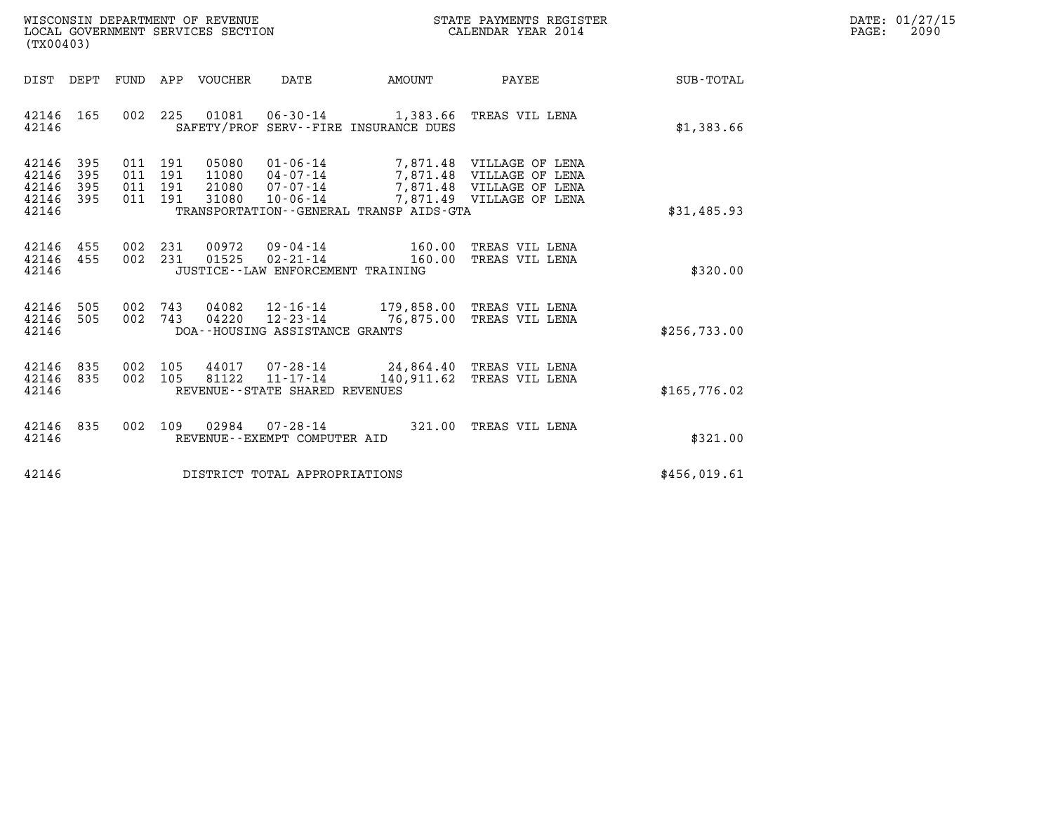| WISCONSIN DEPARTMENT OF REVENUE   | STATE PAYMENTS REGISTER | DATE: 01/27/15 |
|-----------------------------------|-------------------------|----------------|
| LOCAL GOVERNMENT SERVICES SECTION | CALENDAR YEAR 2014      | 2090<br>PAGE:  |

| WISCONSIN DEPARTMENT OF REVENUE<br>LOCAL GOVERNMENT SERVICES SECTION<br>(TX00403)                                                                                                                                                                                              |                                | STATE PAYMENTS REGISTER<br>CALENDAR YEAR 2014                 |              | DATE: 01/27/15<br>PAGE:<br>2090 |
|--------------------------------------------------------------------------------------------------------------------------------------------------------------------------------------------------------------------------------------------------------------------------------|--------------------------------|---------------------------------------------------------------|--------------|---------------------------------|
| FUND APP VOUCHER<br>DIST DEPT                                                                                                                                                                                                                                                  | DATE AMOUNT                    | <b>PAYEE</b> PAYEE                                            | SUB-TOTAL    |                                 |
| 42146 165<br>002 225 01081 06-30-14 1,383.66 TREAS VIL LENA<br>SAFETY/PROF SERV--FIRE INSURANCE DUES<br>42146                                                                                                                                                                  |                                |                                                               | \$1,383.66   |                                 |
| 42146 395<br>011 191<br>05080<br>11080  04-07-14  7,871.48 VILLAGE OF LENA<br>21080  07-07-14  7,871.48 VILLAGE OF LENA<br>42146<br>011 191<br>395<br>42146<br>191<br>395<br>011<br>42146 395<br>011 191<br>31080 10-06-14<br>42146<br>TRANSPORTATION--GENERAL TRANSP AIDS-GTA |                                | 01-06-14 7,871.48 VILLAGE OF LENA<br>7,871.49 VILLAGE OF LENA | \$31,485.93  |                                 |
| 002 231 00972 09-04-14 160.00<br>42146 455<br>42146 455<br>002 231 01525 02-21-14 160.00<br>42146<br>JUSTICE--LAW ENFORCEMENT TRAINING                                                                                                                                         |                                | TREAS VIL LENA<br>TREAS VIL LENA                              | \$320.00     |                                 |
| 42146 505<br>002 743 04082 12-16-14 179,858.00 TREAS VIL LENA<br>42146 505<br>002 743 04220 12-23-14 76,875.00 TREAS VIL LENA<br>42146<br>DOA--HOUSING ASSISTANCE GRANTS                                                                                                       |                                |                                                               | \$256,733.00 |                                 |
| 002 105 44017 07-28-14 24,864.40 TREAS VIL LENA<br>42146 835<br>42146 835<br>002 105 81122 11-17-14 140,911.62 TREAS VIL LENA<br>42146<br>REVENUE--STATE SHARED REVENUES                                                                                                       |                                |                                                               | \$165,776.02 |                                 |
| 42146 835<br>002 109 02984<br>42146<br>REVENUE--EXEMPT COMPUTER AID                                                                                                                                                                                                            | 07-28-14 321.00 TREAS VIL LENA |                                                               | \$321.00     |                                 |
| 42146<br>DISTRICT TOTAL APPROPRIATIONS                                                                                                                                                                                                                                         |                                |                                                               | \$456,019.61 |                                 |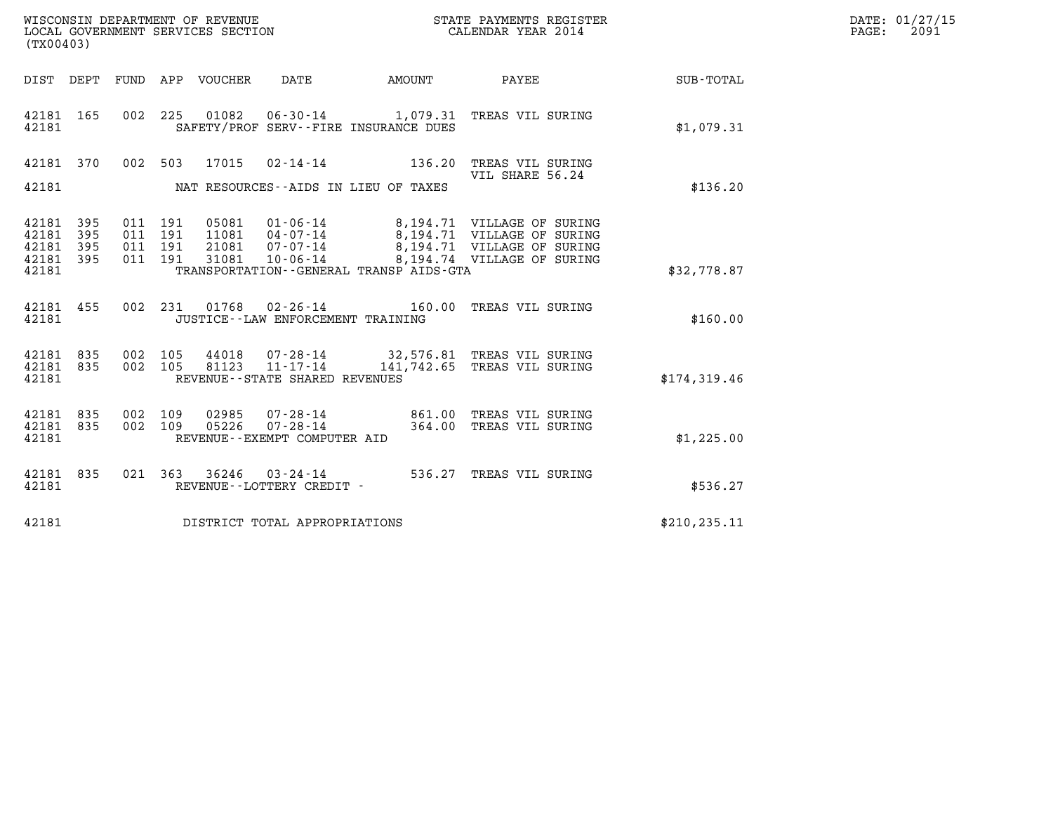| (TX00403)                                             |     |                                          |                                 |                                                                |                                         | WISCONSIN DEPARTMENT OF REVENUE<br>LOCAL GOVERNMENT SERVICES SECTION<br>LOCAL GOVERNMENT SERVICES SECTION<br>CALENDAR YEAR 2014                                            |              | DATE: 01/27/15<br>$\mathtt{PAGE:}$<br>2091 |
|-------------------------------------------------------|-----|------------------------------------------|---------------------------------|----------------------------------------------------------------|-----------------------------------------|----------------------------------------------------------------------------------------------------------------------------------------------------------------------------|--------------|--------------------------------------------|
|                                                       |     |                                          | DIST DEPT FUND APP VOUCHER DATE |                                                                | AMOUNT                                  | <b>PAYEE</b>                                                                                                                                                               | SUB-TOTAL    |                                            |
| 42181 165<br>42181                                    |     |                                          |                                 |                                                                | SAFETY/PROF SERV--FIRE INSURANCE DUES   | 002 225 01082 06-30-14 1,079.31 TREAS VIL SURING                                                                                                                           | \$1,079.31   |                                            |
| 42181 370                                             |     |                                          | 002 503 17015                   |                                                                | $02 - 14 - 14$ 136.20                   | TREAS VIL SURING                                                                                                                                                           |              |                                            |
| 42181                                                 |     |                                          |                                 |                                                                | NAT RESOURCES -- AIDS IN LIEU OF TAXES  | VIL SHARE 56.24                                                                                                                                                            | \$136.20     |                                            |
| 42181 395<br>42181<br>42181 395<br>42181 395<br>42181 | 395 | 011 191<br>011 191<br>011 191<br>011 191 | 31081                           | 10-06-14                                                       | TRANSPORTATION--GENERAL TRANSP AIDS-GTA | 05081  01-06-14  8,194.71  VILLAGE OF SURING<br>11081  04-07-14  8,194.71  VILLAGE OF SURING<br>21081  07-07-14  8,194.71  VILLAGE OF SURING<br>8,194.74 VILLAGE OF SURING | \$32,778.87  |                                            |
| 42181 455<br>42181                                    |     |                                          |                                 | 002 231 01768 02-26-14<br>JUSTICE - - LAW ENFORCEMENT TRAINING |                                         | 160.00 TREAS VIL SURING                                                                                                                                                    | \$160.00     |                                            |
| 42181 835<br>42181 835<br>42181                       |     | 002 105<br>002 105                       |                                 | 81123 11-17-14<br>REVENUE - - STATE SHARED REVENUES            |                                         | 44018  07-28-14  32,576.81  TREAS VIL SURING<br>141,742.65 TREAS VIL SURING                                                                                                | \$174,319.46 |                                            |
| 42181 835<br>42181 835<br>42181                       |     | 002 109<br>002 109                       | 02985<br>05226                  | $07 - 28 - 14$<br>REVENUE--EXEMPT COMPUTER AID                 |                                         | 07-28-14 861.00 TREAS VIL SURING<br>364.00 TREAS VIL SURING                                                                                                                | \$1,225.00   |                                            |
| 42181 835<br>42181                                    |     |                                          |                                 | REVENUE - - LOTTERY CREDIT -                                   |                                         | 021 363 36246 03-24-14 536.27 TREAS VIL SURING                                                                                                                             | \$536.27     |                                            |
| 42181                                                 |     |                                          |                                 | DISTRICT TOTAL APPROPRIATIONS                                  | \$210, 235.11                           |                                                                                                                                                                            |              |                                            |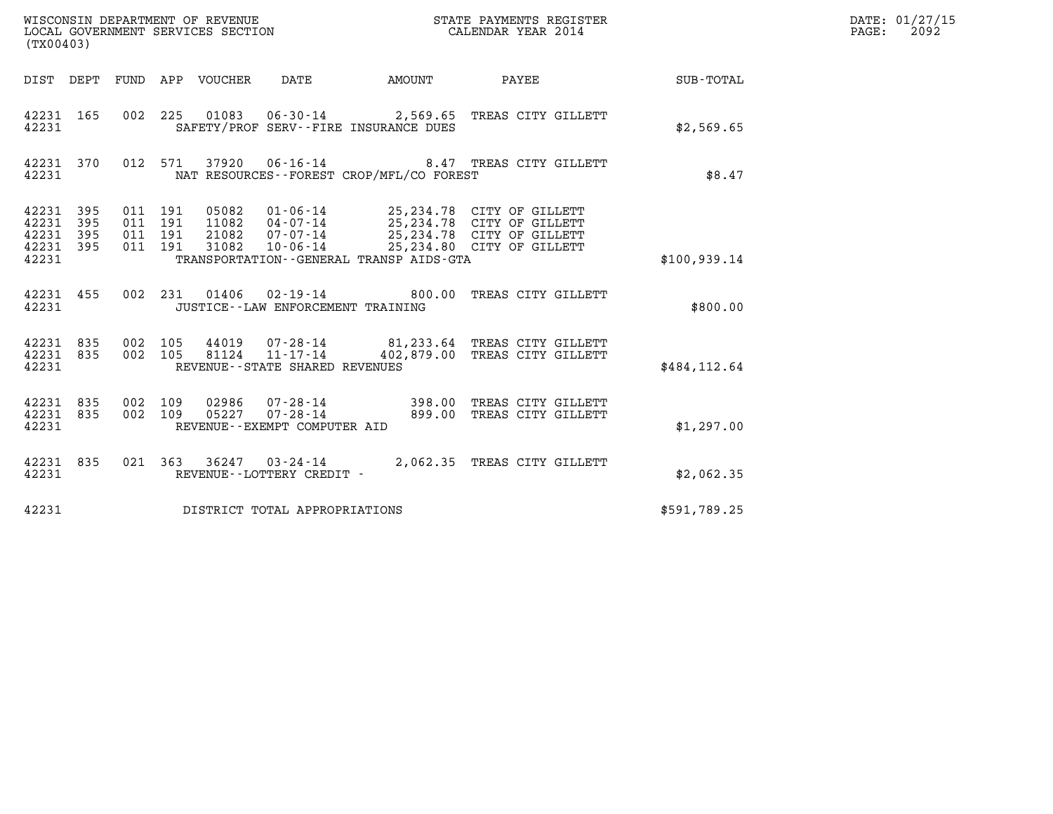| (TX00403)                                             |     |                    |                               |  |                                                     |                                          |                                                                                                                                                                                          |               | DATE: 01/27/15<br>$\mathtt{PAGE:}$<br>2092 |
|-------------------------------------------------------|-----|--------------------|-------------------------------|--|-----------------------------------------------------|------------------------------------------|------------------------------------------------------------------------------------------------------------------------------------------------------------------------------------------|---------------|--------------------------------------------|
|                                                       |     |                    |                               |  |                                                     |                                          | DIST DEPT FUND APP VOUCHER DATE AMOUNT PAYEE TO SUB-TOTAL                                                                                                                                |               |                                            |
| 42231 165<br>42231                                    |     |                    |                               |  |                                                     | SAFETY/PROF SERV--FIRE INSURANCE DUES    | 002 225 01083 06-30-14 2,569.65 TREAS CITY GILLETT                                                                                                                                       | \$2,569.65    |                                            |
| 42231 370<br>42231                                    |     |                    |                               |  |                                                     | NAT RESOURCES--FOREST CROP/MFL/CO FOREST | 012 571 37920 06-16-14 8.47 TREAS CITY GILLETT                                                                                                                                           | \$8.47        |                                            |
| 42231 395<br>42231<br>42231 395<br>42231 395<br>42231 | 395 | 011 191            | 011 191<br>011 191<br>011 191 |  |                                                     | TRANSPORTATION--GENERAL TRANSP AIDS-GTA  | 05082  01-06-14  25,234.78  CITY OF GILLETT<br>11082  04-07-14  25,234.78  CITY OF GILLETT<br>21082  07-07-14  25,234.78  CITY OF GILLETT<br>31082  10-06-14  25,234.80  CITY OF GILLETT | \$100, 939.14 |                                            |
| 42231                                                 |     |                    |                               |  | JUSTICE - - LAW ENFORCEMENT TRAINING                |                                          | 42231 455 002 231 01406 02-19-14 800.00 TREAS CITY GILLETT                                                                                                                               | \$800.00      |                                            |
| 42231 835<br>42231 835<br>42231                       |     | 002 105<br>002 105 |                               |  | 81124 11-17-14<br>REVENUE - - STATE SHARED REVENUES |                                          | 44019  07-28-14  81,233.64 TREAS CITY GILLETT<br>402,879.00 TREAS CITY GILLETT                                                                                                           | \$484.112.64  |                                            |
| 42231 835<br>42231 835<br>42231                       |     | 002 109<br>002 109 |                               |  | REVENUE--EXEMPT COMPUTER AID                        |                                          | 02986  07-28-14  398.00 TREAS CITY GILLETT<br>05227  07-28-14  899.00 TREAS CITY GILLETT                                                                                                 | \$1,297.00    |                                            |
| 42231 835<br>42231                                    |     |                    |                               |  | REVENUE--LOTTERY CREDIT -                           |                                          | 021 363 36247 03-24-14 2,062.35 TREAS CITY GILLETT                                                                                                                                       | \$2,062.35    |                                            |
| 42231                                                 |     |                    |                               |  | DISTRICT TOTAL APPROPRIATIONS                       |                                          |                                                                                                                                                                                          | \$591,789.25  |                                            |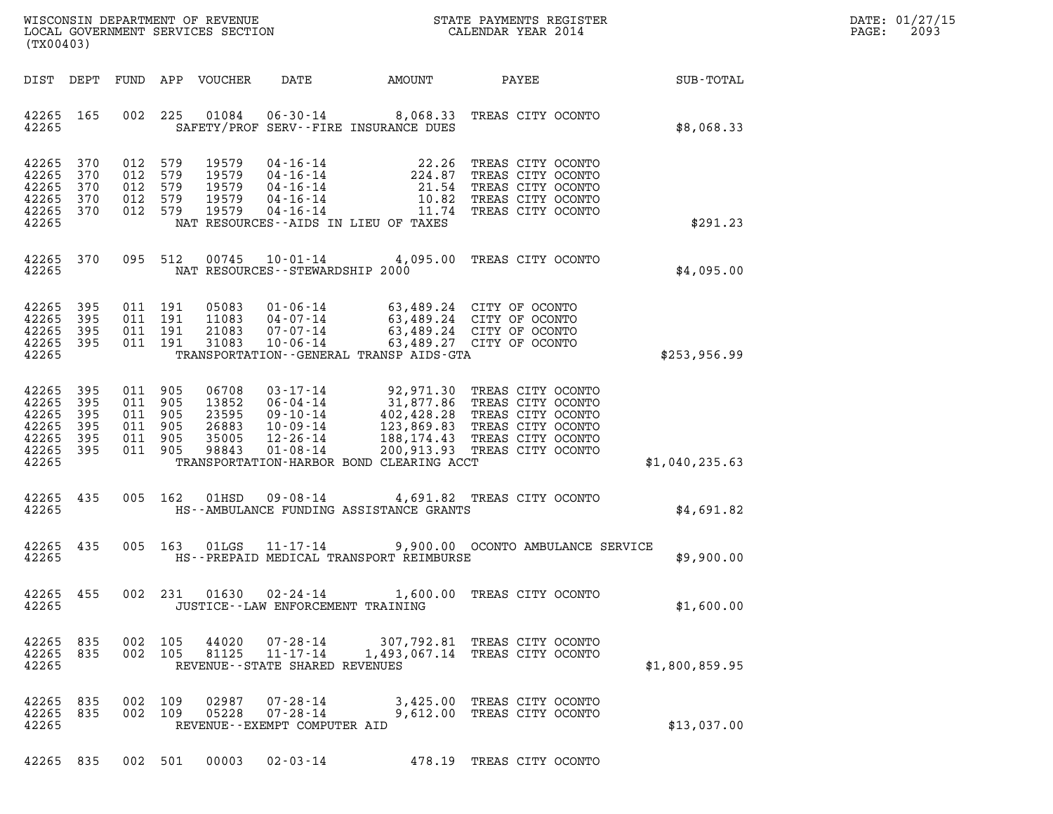| DATE: | 01/27/15 |
|-------|----------|
| PAGE: | 2093     |

| (TX00403)                                                       |                                 |                                                                                                                                          |                                                                                                                                                                                                                                                     |                                                                |                 | DATE: 01/27/15<br>2093<br>$\mathtt{PAGE}$ : |
|-----------------------------------------------------------------|---------------------------------|------------------------------------------------------------------------------------------------------------------------------------------|-----------------------------------------------------------------------------------------------------------------------------------------------------------------------------------------------------------------------------------------------------|----------------------------------------------------------------|-----------------|---------------------------------------------|
| DIST DEPT                                                       |                                 | FUND APP VOUCHER<br>DATE                                                                                                                 | AMOUNT                                                                                                                                                                                                                                              |                                                                | PAYEE SUB-TOTAL |                                             |
| 42265 165<br>42265                                              | 002                             | 01084<br>225                                                                                                                             | 06-30-14 8,068.33 TREAS CITY OCONTO<br>SAFETY/PROF SERV--FIRE INSURANCE DUES                                                                                                                                                                        |                                                                | \$8,068.33      |                                             |
| 42265<br>42265<br>42265<br>42265<br>42265 370<br>42265          | 370<br>370<br>370<br>370        | 012 579<br>19579<br>012 579<br>19579<br>012 579<br>19579<br>012 579<br>19579<br>012 579<br>19579<br>NAT RESOURCES--AIDS IN LIEU OF TAXES | 04-16-14<br>04-16-14<br>04-16-14<br>04-16-14<br>04-16-14<br>04-16-14<br>04-16-14<br>04-16-14<br>04-16-14<br>04-16-14<br>04-16-14<br>04-16-14<br>04-16-14<br>04-16-14<br>04-16-14<br>$04 - 16 - 14$                                                  | 11.74 TREAS CITY OCONTO                                        | \$291.23        |                                             |
| 42265<br>42265                                                  | 370                             | 095 512<br>NAT RESOURCES -- STEWARDSHIP 2000                                                                                             | 00745  10-01-14  4,095.00  TREAS CITY OCONTO                                                                                                                                                                                                        |                                                                | \$4,095.00      |                                             |
| 42265<br>42265<br>42265<br>42265 395<br>42265                   | 395<br>395<br>395               | 011 191<br>05083<br>011 191<br>11083<br>011 191<br>21083<br>011 191<br>31083                                                             | 01-06-14 63,489.24 CITY OF OCONTO<br>04-07-14 63,489.24 CITY OF OCONTO<br>07-07-14 63,489.24 CITY OF OCONTO<br>$10 - 06 - 14$<br>TRANSPORTATION--GENERAL TRANSP AIDS-GTA                                                                            | 63,489.27 CITY OF OCONTO                                       | \$253,956.99    |                                             |
| 42265<br>42265<br>42265<br>42265<br>42265<br>42265 395<br>42265 | 395<br>395<br>395<br>395<br>395 | 011 905<br>06708<br>011 905<br>13852<br>23595<br>011 905<br>011 905<br>26883<br>011 905<br>35005<br>011 905<br>98843<br>$01 - 08 - 14$   | 03-17-14 92,971.30 TREAS CITY OCONTO<br>06-04-14 31,877.86 TREAS CITY OCONTO<br>09-10-14 402,428.28 TREAS CITY OCONTO<br>10-09-14 123,869.83 TREAS CITY OCONTO<br>12-26-14 188,174.43 TREAS CITY OCONTO<br>TRANSPORTATION-HARBOR BOND CLEARING ACCT | 200,913.93 TREAS CITY OCONTO                                   | \$1,040,235.63  |                                             |
| 42265 435<br>42265                                              |                                 | 005 162<br>01HSD                                                                                                                         | 09-08-14 4,691.82 TREAS CITY OCONTO<br>HS--AMBULANCE FUNDING ASSISTANCE GRANTS                                                                                                                                                                      |                                                                | \$4.691.82      |                                             |
| 42265<br>42265                                                  | 435                             | 005 163<br>$01$ LGS                                                                                                                      | 11-17-14 9,900.00 OCONTO AMBULANCE SERVICE<br>HS--PREPAID MEDICAL TRANSPORT REIMBURSE                                                                                                                                                               |                                                                | \$9,900.00      |                                             |
| 42265 455<br>42265                                              |                                 | 002 231 01630 02-24-14<br>JUSTICE -- LAW ENFORCEMENT TRAINING                                                                            |                                                                                                                                                                                                                                                     | 1,600.00 TREAS CITY OCONTO                                     | \$1,600.00      |                                             |
| 42265 835<br>42265<br>42265                                     | 835                             | 002 105<br>44020<br>07-28-14<br>$11 - 17 - 14$<br>81125<br>002 105<br>REVENUE - - STATE SHARED REVENUES                                  |                                                                                                                                                                                                                                                     | 307,792.81 TREAS CITY OCONTO<br>1,493,067.14 TREAS CITY OCONTO | \$1,800,859.95  |                                             |
| 42265 835<br>42265 835<br>42265                                 |                                 | 002 109<br>02987<br>002 109<br>05228<br>REVENUE - - EXEMPT COMPUTER AID                                                                  | 07-28-14<br>$07 - 28 - 14$                                                                                                                                                                                                                          | 3,425.00 TREAS CITY OCONTO<br>9,612.00 TREAS CITY OCONTO       | \$13,037.00     |                                             |

42265 835 002 501 00003 02-03-14 478.19 TREAS CITY OCONTO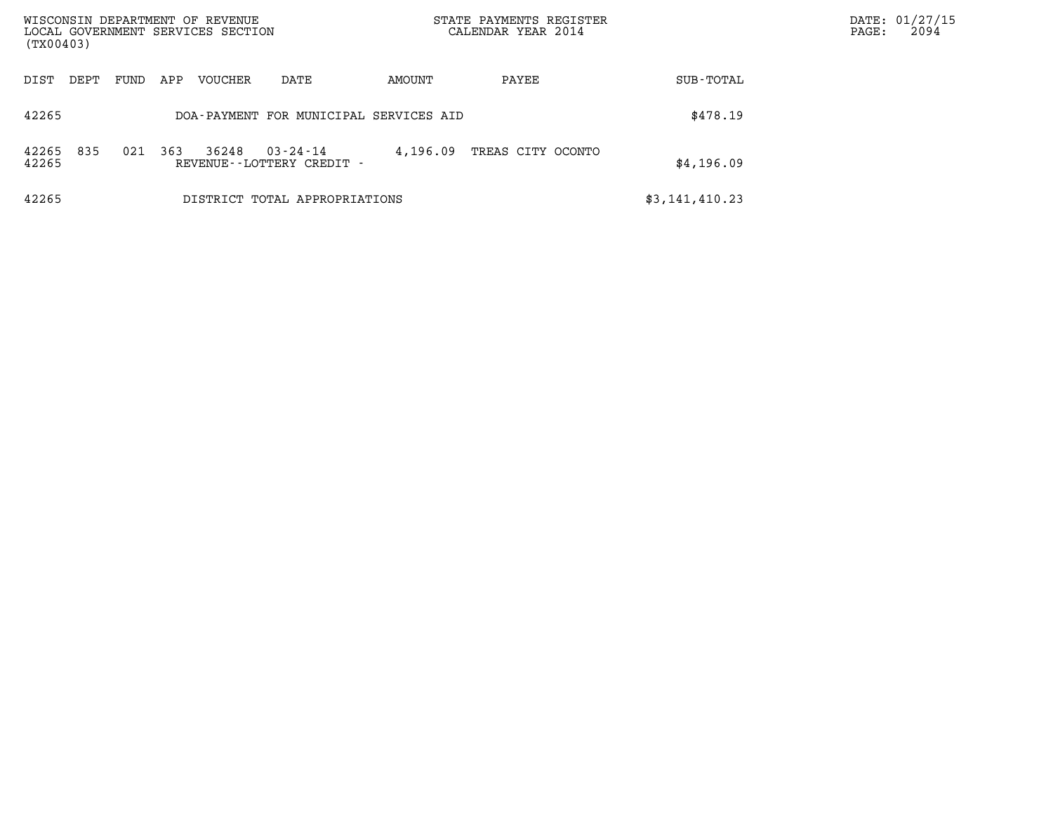| WISCONSIN DEPARTMENT OF REVENUE<br>LOCAL GOVERNMENT SERVICES SECTION<br>(TX00403) |      |     |         |                                                | STATE PAYMENTS REGISTER<br>CALENDAR YEAR 2014 |                   |                | DATE: 01/27/15<br>2094<br>$\mathtt{PAGE}$ : |
|-----------------------------------------------------------------------------------|------|-----|---------|------------------------------------------------|-----------------------------------------------|-------------------|----------------|---------------------------------------------|
| DIST<br>DEPT                                                                      | FUND | APP | VOUCHER | DATE                                           | AMOUNT                                        | PAYEE             | SUB-TOTAL      |                                             |
|                                                                                   |      |     |         |                                                |                                               |                   |                |                                             |
| 42265                                                                             |      |     |         | DOA-PAYMENT FOR MUNICIPAL SERVICES AID         |                                               |                   | \$478.19       |                                             |
| 835<br>42265<br>42265                                                             | 021  | 363 | 36248   | $03 - 24 - 14$<br>REVENUE - - LOTTERY CREDIT - | 4,196.09                                      | TREAS CITY OCONTO | \$4,196.09     |                                             |
| 42265                                                                             |      |     |         | DISTRICT TOTAL APPROPRIATIONS                  |                                               |                   | \$3,141,410.23 |                                             |